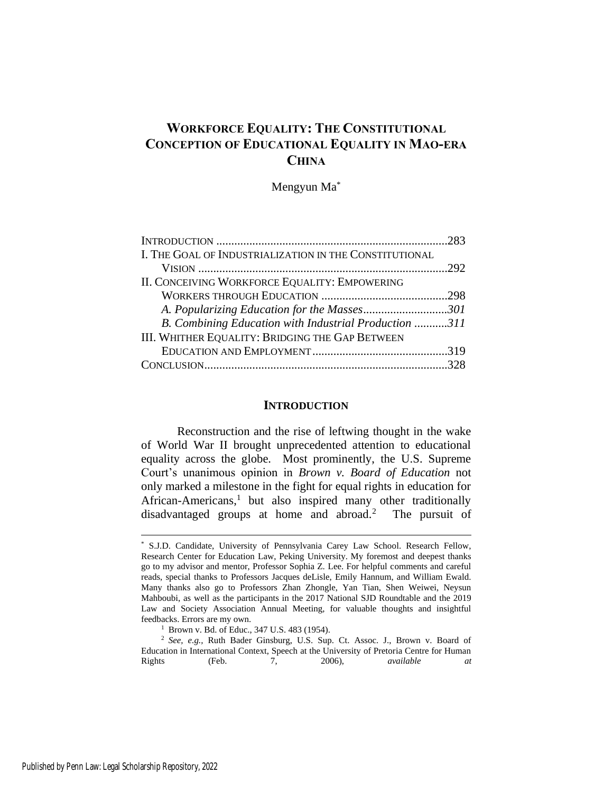# **WORKFORCE EQUALITY: THE CONSTITUTIONAL CONCEPTION OF EDUCATIONAL EQUALITY IN MAO-ERA CHINA**

Mengyun Ma\*

| I. THE GOAL OF INDUSTRIALIZATION IN THE CONSTITUTIONAL |  |
|--------------------------------------------------------|--|
|                                                        |  |
| II. CONCEIVING WORKFORCE EQUALITY: EMPOWERING          |  |
|                                                        |  |
| A. Popularizing Education for the Masses301            |  |
| B. Combining Education with Industrial Production 311  |  |
| III. WHITHER EQUALITY: BRIDGING THE GAP BETWEEN        |  |
|                                                        |  |
|                                                        |  |

### **INTRODUCTION**

Reconstruction and the rise of leftwing thought in the wake of World War II brought unprecedented attention to educational equality across the globe. Most prominently, the U.S. Supreme Court's unanimous opinion in *Brown v. Board of Education* not only marked a milestone in the fight for equal rights in education for African-Americans,<sup>1</sup> but also inspired many other traditionally disadvantaged groups at home and abroad.<sup>2</sup> The pursuit of

<sup>\*</sup> S.J.D. Candidate, University of Pennsylvania Carey Law School. Research Fellow, Research Center for Education Law, Peking University. My foremost and deepest thanks go to my advisor and mentor, Professor Sophia Z. Lee. For helpful comments and careful reads, special thanks to Professors Jacques deLisle, Emily Hannum, and William Ewald. Many thanks also go to Professors Zhan Zhongle, Yan Tian, Shen Weiwei, Neysun Mahboubi, as well as the participants in the 2017 National SJD Roundtable and the 2019 Law and Society Association Annual Meeting, for valuable thoughts and insightful feedbacks. Errors are my own.

<sup>&</sup>lt;sup>1</sup> Brown v. Bd. of Educ., 347 U.S. 483 (1954).

<sup>2</sup> *See, e.g.,* Ruth Bader Ginsburg, U.S. Sup. Ct. Assoc. J., Brown v. Board of Education in International Context, Speech at the University of Pretoria Centre for Human Rights (Feb. 7, 2006), *available at*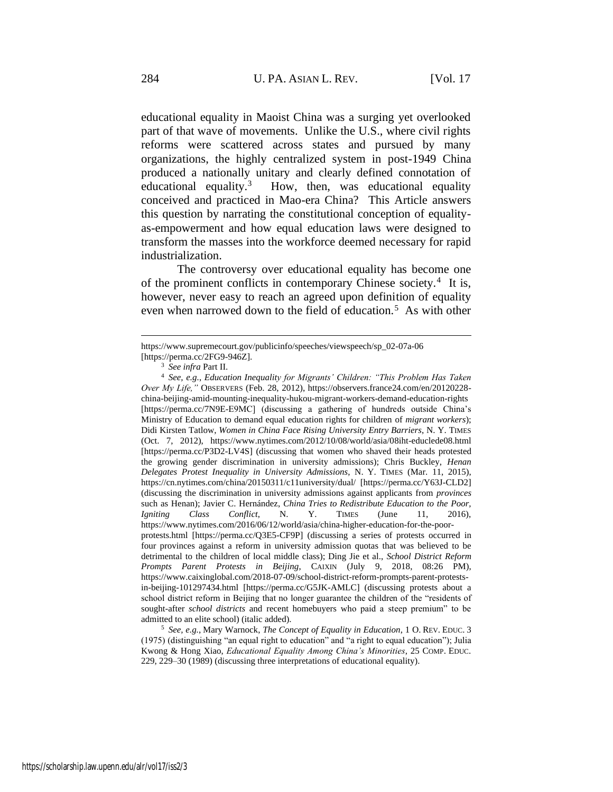educational equality in Maoist China was a surging yet overlooked part of that wave of movements. Unlike the U.S., where civil rights reforms were scattered across states and pursued by many organizations, the highly centralized system in post-1949 China produced a nationally unitary and clearly defined connotation of educational equality.<sup>3</sup> How, then, was educational equality conceived and practiced in Mao-era China? This Article answers this question by narrating the constitutional conception of equalityas-empowerment and how equal education laws were designed to transform the masses into the workforce deemed necessary for rapid industrialization.

The controversy over educational equality has become one of the prominent conflicts in contemporary Chinese society.<sup>4</sup> It is, however, never easy to reach an agreed upon definition of equality even when narrowed down to the field of education.<sup>5</sup> As with other

https://www.supremecourt.gov/publicinfo/speeches/viewspeech/sp\_02-07a-06 [https://perma.cc/2FG9-946Z].

<sup>3</sup> *See infra* Part II.

<sup>4</sup> *See, e.g.*, *Education Inequality for Migrants' Children: "This Problem Has Taken Over My Life,"* OBSERVERS (Feb. 28, 2012), https://observers.france24.com/en/20120228 china-beijing-amid-mounting-inequality-hukou-migrant-workers-demand-education-rights [https://perma.cc/7N9E-E9MC] (discussing a gathering of hundreds outside China's Ministry of Education to demand equal education rights for children of *migrant workers*); Didi Kirsten Tatlow, *Women in China Face Rising University Entry Barriers*, N. Y. TIMES (Oct. 7, 2012), https://www.nytimes.com/2012/10/08/world/asia/08iht-educlede08.html [https://perma.cc/P3D2-LV4S] (discussing that women who shaved their heads protested the growing gender discrimination in university admissions); Chris Buckley, *Henan Delegates Protest Inequality in University Admissions*, N. Y. TIMES (Mar. 11, 2015), https://cn.nytimes.com/china/20150311/c11university/dual/ [https://perma.cc/Y63J-CLD2] (discussing the discrimination in university admissions against applicants from *provinces* such as Henan); Javier C. Hernández, *China Tries to Redistribute Education to the Poor, Igniting Class Conflict*, N. Y. TIMES (June 11, 2016), https://www.nytimes.com/2016/06/12/world/asia/china-higher-education-for-the-poorprotests.html [https://perma.cc/Q3E5-CF9P] (discussing a series of protests occurred in four provinces against a reform in university admission quotas that was believed to be detrimental to the children of local middle class); Ding Jie et al., *School District Reform Prompts Parent Protests in Beijing*, CAIXIN (July 9, 2018, 08:26 PM), https://www.caixinglobal.com/2018-07-09/school-district-reform-prompts-parent-protestsin-beijing-101297434.html [https://perma.cc/G5JK-AMLC] (discussing protests about a school district reform in Beijing that no longer guarantee the children of the "residents of sought-after *school districts* and recent homebuyers who paid a steep premium" to be admitted to an elite school) (italic added).

<sup>5</sup> *See, e.g.*, Mary Warnock, *The Concept of Equality in Education*, 1 O. REV. EDUC. 3 (1975) (distinguishing "an equal right to education" and "a right to equal education"); Julia Kwong & Hong Xiao, *Educational Equality Among China's Minorities*, 25 COMP. EDUC. 229, 229–30 (1989) (discussing three interpretations of educational equality).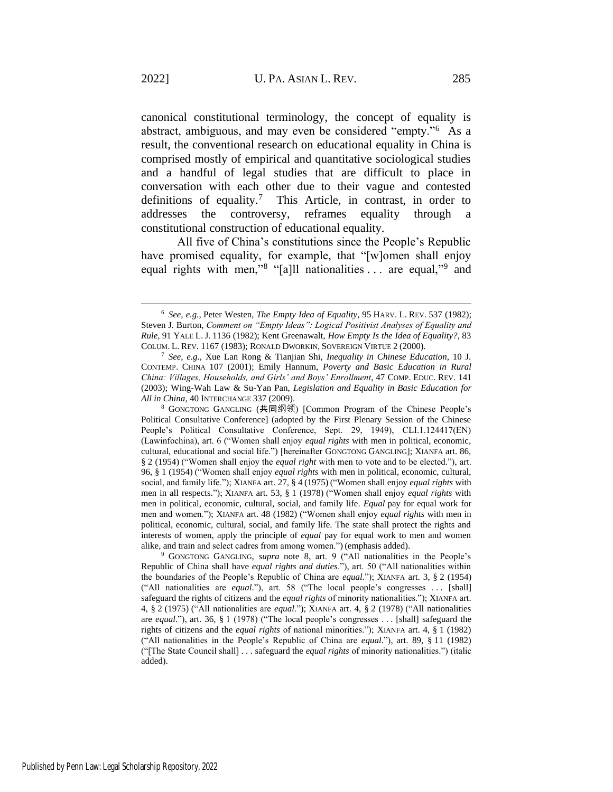canonical constitutional terminology, the concept of equality is abstract, ambiguous, and may even be considered "empty."<sup>6</sup> As a result, the conventional research on educational equality in China is comprised mostly of empirical and quantitative sociological studies and a handful of legal studies that are difficult to place in conversation with each other due to their vague and contested definitions of equality.<sup>7</sup> This Article, in contrast, in order to addresses the controversy, reframes equality through a constitutional construction of educational equality.

<span id="page-2-0"></span>All five of China's constitutions since the People's Republic have promised equality, for example, that "[w]omen shall enjoy equal rights with men,"<sup>8</sup> "[a]ll nationalities ... are equal,"<sup>9</sup> and

<sup>6</sup> *See, e.g.*, Peter Westen, *The Empty Idea of Equality*, 95 HARV. L. REV. 537 (1982); Steven J. Burton, *Comment on "Empty Ideas": Logical Positivist Analyses of Equality and Rule,* 91 YALE L.J. 1136 (1982); Kent Greenawalt, *How Empty Is the Idea of Equality?,* 83 COLUM. L. REV. 1167 (1983); RONALD DWORKIN, SOVEREIGN VIRTUE 2 (2000).

<sup>7</sup> *See*, *e.g*., Xue Lan Rong & Tianjian Shi, *Inequality in Chinese Education,* 10 J. CONTEMP. CHINA 107 (2001); Emily Hannum, *Poverty and Basic Education in Rural China: Villages, Households, and Girls' and Boys' Enrollment*, 47 COMP. EDUC. REV. 141 (2003); Wing-Wah Law & Su-Yan Pan, *Legislation and Equality in Basic Education for All in China*, 40 INTERCHANGE 337 (2009).

<sup>8</sup> GONGTONG GANGLING (共同纲领) [Common Program of the Chinese People's Political Consultative Conference] (adopted by the First Plenary Session of the Chinese People's Political Consultative Conference, Sept. 29, 1949), CLI.1.124417(EN) (Lawinfochina), art. 6 ("Women shall enjoy *equal rights* with men in political, economic, cultural, educational and social life.") [hereinafter GONGTONG GANGLING]; XIANFA art. 86, § 2 (1954) ("Women shall enjoy the *equal right* with men to vote and to be elected."), art. 96, § 1 (1954) ("Women shall enjoy *equal rights* with men in political, economic, cultural, social, and family life."); XIANFA art. 27, § 4 (1975) ("Women shall enjoy *equal rights* with men in all respects."); XIANFA art. 53, § 1 (1978) ("Women shall enjoy *equal rights* with men in political, economic, cultural, social, and family life. *Equal* pay for equal work for men and women."); XIANFA art. 48 (1982) ("Women shall enjoy *equal rights* with men in political, economic, cultural, social, and family life. The state shall protect the rights and interests of women, apply the principle of *equal* pay for equal work to men and women alike, and train and select cadres from among women.") (emphasis added).

<sup>9</sup> GONGTONG GANGLING, *supra* note [8,](#page-2-0) art. 9 ("All nationalities in the People's Republic of China shall have *equal rights and duties*."), art. 50 ("All nationalities within the boundaries of the People's Republic of China are *equal.*"); XIANFA art. 3, § 2 (1954) ("All nationalities are *equal*."), art. 58 ("The local people's congresses . . . [shall] safeguard the rights of citizens and the *equal rights* of minority nationalities."); XIANFA art. 4, § 2 (1975) ("All nationalities are *equal*."); XIANFA art. 4, § 2 (1978) ("All nationalities are *equal*."), art. 36, § 1 (1978) ("The local people's congresses . . . [shall] safeguard the rights of citizens and the *equal rights* of national minorities."); XIANFA art. 4, § 1 (1982) ("All nationalities in the People's Republic of China are *equal*."), art. 89, § 11 (1982) ("[The State Council shall] . . . safeguard the *equal rights* of minority nationalities.") (italic added).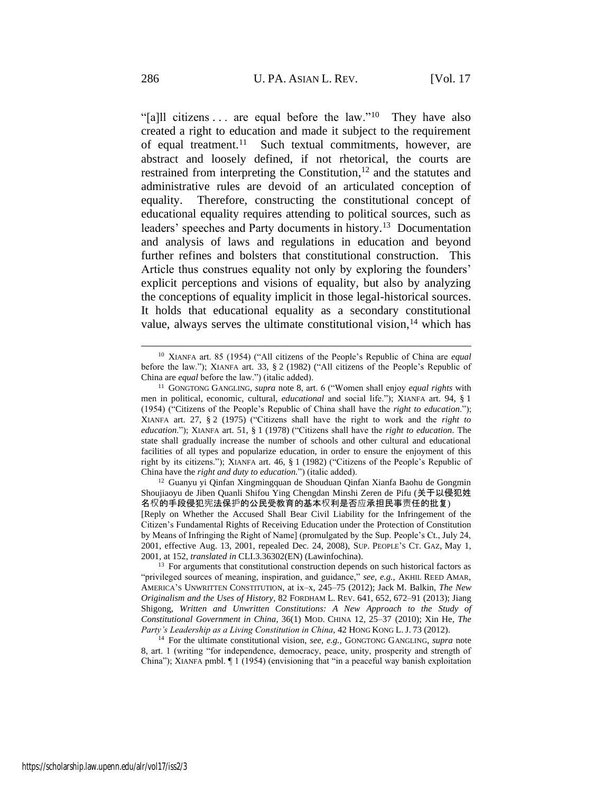"[a]ll citizens . . . are equal before the law."<sup>10</sup> They have also created a right to education and made it subject to the requirement of equal treatment.<sup>11</sup> Such textual commitments, however, are abstract and loosely defined, if not rhetorical, the courts are restrained from interpreting the Constitution,<sup>12</sup> and the statutes and administrative rules are devoid of an articulated conception of equality. Therefore, constructing the constitutional concept of educational equality requires attending to political sources, such as leaders' speeches and Party documents in history.<sup>13</sup> Documentation and analysis of laws and regulations in education and beyond further refines and bolsters that constitutional construction. This Article thus construes equality not only by exploring the founders' explicit perceptions and visions of equality, but also by analyzing the conceptions of equality implicit in those legal-historical sources. It holds that educational equality as a secondary constitutional value, always serves the ultimate constitutional vision, $14$  which has

<sup>12</sup> Guanyu yi Qinfan Xingmingquan de Shouduan Qinfan Xianfa Baohu de Gongmin Shoujiaoyu de Jiben Quanli Shifou Ying Chengdan Minshi Zeren de Pifu (关于以侵犯姓 名权的手段侵犯宪法保护的公民受教育的基本权利是否应承担民事责任的批复) [Reply on Whether the Accused Shall Bear Civil Liability for the Infringement of the Citizen's Fundamental Rights of Receiving Education under the Protection of Constitution by Means of Infringing the Right of Name] (promulgated by the Sup. People's Ct., July 24, 2001, effective Aug. 13, 2001, repealed Dec. 24, 2008), SUP. PEOPLE'S CT. GAZ, May 1, 2001, at 152, *translated in* CLI.3.36302(EN) (Lawinfochina).

<sup>13</sup> For arguments that constitutional construction depends on such historical factors as "privileged sources of meaning, inspiration, and guidance," *see, e.g.,* AKHIL REED AMAR, AMERICA'S UNWRITTEN CONSTITUTION, at ix–x, 245–75 (2012); Jack M. Balkin, *The New Originalism and the Uses of History*, 82 FORDHAM L. REV. 641, 652, 672–91 (2013); Jiang Shigong, *Written and Unwritten Constitutions: A New Approach to the Study of Constitutional Government in China*, 36(1) MOD. CHINA 12, 25–37 (2010); Xin He, *The Party's Leadership as a Living Constitution in China*, 42 HONG KONG L.J. 73 (2012).

<sup>14</sup> For the ultimate constitutional vision, *see, e.g.,* GONGTONG GANGLING, *supra* note [8,](#page-2-0) art. 1 (writing "for independence, democracy, peace, unity, prosperity and strength of China"); XIANFA pmbl. ¶ 1 (1954) (envisioning that "in a peaceful way banish exploitation

<sup>10</sup> XIANFA art. 85 (1954) ("All citizens of the People's Republic of China are *equal* before the law."); XIANFA art. 33, § 2 (1982) ("All citizens of the People's Republic of China are *equal* before the law.") (italic added).

<sup>11</sup> GONGTONG GANGLING, *supra* note [8,](#page-2-0) art. 6 ("Women shall enjoy *equal rights* with men in political, economic, cultural, *educational* and social life."); XIANFA art. 94, § 1 (1954) ("Citizens of the People's Republic of China shall have the *right to education*."); XIANFA art. 27, § 2 (1975) ("Citizens shall have the right to work and the *right to education*."); XIANFA art. 51, § 1 (1978) ("Citizens shall have the *right to education*. The state shall gradually increase the number of schools and other cultural and educational facilities of all types and popularize education, in order to ensure the enjoyment of this right by its citizens."); XIANFA art. 46, § 1 (1982) ("Citizens of the People's Republic of China have the *right and duty to education.*") (italic added).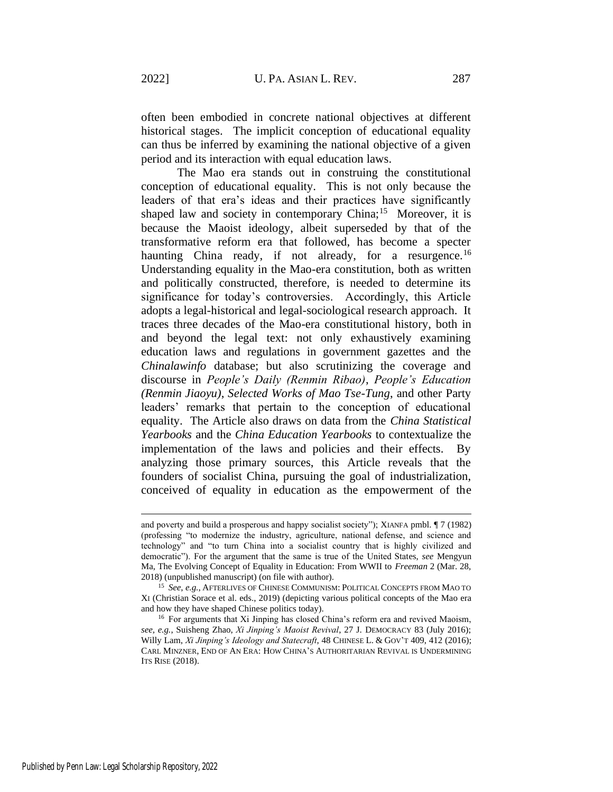often been embodied in concrete national objectives at different historical stages. The implicit conception of educational equality can thus be inferred by examining the national objective of a given period and its interaction with equal education laws.

<span id="page-4-0"></span>The Mao era stands out in construing the constitutional conception of educational equality. This is not only because the leaders of that era's ideas and their practices have significantly shaped law and society in contemporary China;<sup>15</sup> Moreover, it is because the Maoist ideology, albeit superseded by that of the transformative reform era that followed, has become a specter haunting China ready, if not already, for a resurgence.<sup>16</sup> Understanding equality in the Mao-era constitution, both as written and politically constructed, therefore, is needed to determine its significance for today's controversies. Accordingly, this Article adopts a legal-historical and legal-sociological research approach. It traces three decades of the Mao-era constitutional history, both in and beyond the legal text: not only exhaustively examining education laws and regulations in government gazettes and the *Chinalawinfo* database; but also scrutinizing the coverage and discourse in *People's Daily (Renmin Ribao)*, *People's Education (Renmin Jiaoyu)*, *Selected Works of Mao Tse-Tung*, and other Party leaders' remarks that pertain to the conception of educational equality. The Article also draws on data from the *China Statistical Yearbooks* and the *China Education Yearbooks* to contextualize the implementation of the laws and policies and their effects. By analyzing those primary sources, this Article reveals that the founders of socialist China, pursuing the goal of industrialization, conceived of equality in education as the empowerment of the

and poverty and build a prosperous and happy socialist society"); XIANFA pmbl. ¶ 7 (1982) (professing "to modernize the industry, agriculture, national defense, and science and technology" and "to turn China into a socialist country that is highly civilized and democratic"). For the argument that the same is true of the United States, *see* Mengyun Ma, The Evolving Concept of Equality in Education: From WWII to *Freeman* 2 (Mar. 28, 2018) (unpublished manuscript) (on file with author).

<sup>15</sup> *See*, *e.g.*, AFTERLIVES OF CHINESE COMMUNISM: POLITICAL CONCEPTS FROM MAO TO XI (Christian Sorace et al. eds., 2019) (depicting various political concepts of the Mao era and how they have shaped Chinese politics today).

<sup>&</sup>lt;sup>16</sup> For arguments that Xi Jinping has closed China's reform era and revived Maoism, *see, e.g.*, Suisheng Zhao, *Xi Jinping's Maoist Revival*, 27 J. DEMOCRACY 83 (July 2016); Willy Lam, *Xi Jinping's Ideology and Statecraft*, 48 CHINESE L. & GOV'T 409, 412 (2016); CARL MINZNER, END OF AN ERA: HOW CHINA'S AUTHORITARIAN REVIVAL IS UNDERMINING ITS RISE (2018).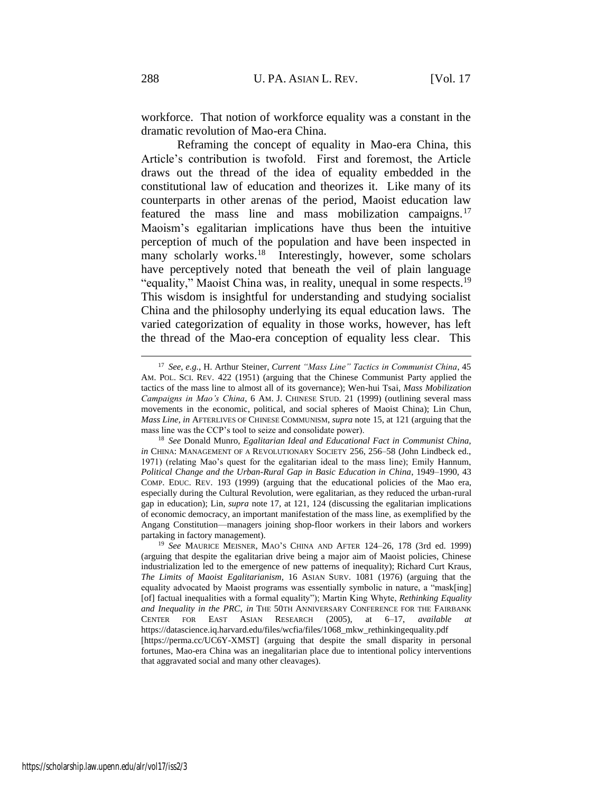workforce. That notion of workforce equality was a constant in the dramatic revolution of Mao-era China.

<span id="page-5-2"></span><span id="page-5-0"></span>Reframing the concept of equality in Mao-era China, this Article's contribution is twofold. First and foremost, the Article draws out the thread of the idea of equality embedded in the constitutional law of education and theorizes it. Like many of its counterparts in other arenas of the period, Maoist education law featured the mass line and mass mobilization campaigns.<sup>17</sup> Maoism's egalitarian implications have thus been the intuitive perception of much of the population and have been inspected in many scholarly works.<sup>18</sup> Interestingly, however, some scholars have perceptively noted that beneath the veil of plain language "equality," Maoist China was, in reality, unequal in some respects.<sup>19</sup> This wisdom is insightful for understanding and studying socialist China and the philosophy underlying its equal education laws. The varied categorization of equality in those works, however, has left the thread of the Mao-era conception of equality less clear. This

that aggravated social and many other cleavages).

<span id="page-5-1"></span><sup>17</sup> *See*, *e.g.*, H. Arthur Steiner, *Current "Mass Line" Tactics in Communist China*, 45 AM. POL. SCI. REV. 422 (1951) (arguing that the Chinese Communist Party applied the tactics of the mass line to almost all of its governance); Wen-hui Tsai, *Mass Mobilization Campaigns in Mao's China*, 6 AM. J. CHINESE STUD. 21 (1999) (outlining several mass movements in the economic, political, and social spheres of Maoist China); Lin Chun, *Mass Line, in* AFTERLIVES OF CHINESE COMMUNISM, *supra* note [15,](#page-4-0) at 121 (arguing that the mass line was the CCP's tool to seize and consolidate power).

<sup>18</sup> *See* Donald Munro, *Egalitarian Ideal and Educational Fact in Communist China, in* CHINA: MANAGEMENT OF A REVOLUTIONARY SOCIETY 256, 256-58 (John Lindbeck ed., 1971) (relating Mao's quest for the egalitarian ideal to the mass line); Emily Hannum, *Political Change and the Urban-Rural Gap in Basic Education in China*, 1949–1990, 43 COMP. EDUC. REV. 193 (1999) (arguing that the educational policies of the Mao era, especially during the Cultural Revolution, were egalitarian, as they reduced the urban-rural gap in education); Lin, *supra* not[e 17,](#page-5-0) at 121, 124 (discussing the egalitarian implications of economic democracy, an important manifestation of the mass line, as exemplified by the Angang Constitution—managers joining shop-floor workers in their labors and workers partaking in factory management).

<sup>19</sup> *See* MAURICE MEISNER, MAO'S CHINA AND AFTER 124–26, 178 (3rd ed. 1999) (arguing that despite the egalitarian drive being a major aim of Maoist policies, Chinese industrialization led to the emergence of new patterns of inequality); Richard Curt Kraus, *The Limits of Maoist Egalitarianism*, 16 ASIAN SURV. 1081 (1976) (arguing that the equality advocated by Maoist programs was essentially symbolic in nature, a "mask[ing] [of] factual inequalities with a formal equality"); Martin King Whyte, *Rethinking Equality and Inequality in the PRC*, *in* THE 50TH ANNIVERSARY CONFERENCE FOR THE FAIRBANK CENTER FOR EAST ASIAN RESEARCH (2005), at 6-17, *available* https://datascience.iq.harvard.edu/files/wcfia/files/1068\_mkw\_rethinkingequality.pdf [https://perma.cc/UC6Y-XMST] (arguing that despite the small disparity in personal fortunes, Mao-era China was an inegalitarian place due to intentional policy interventions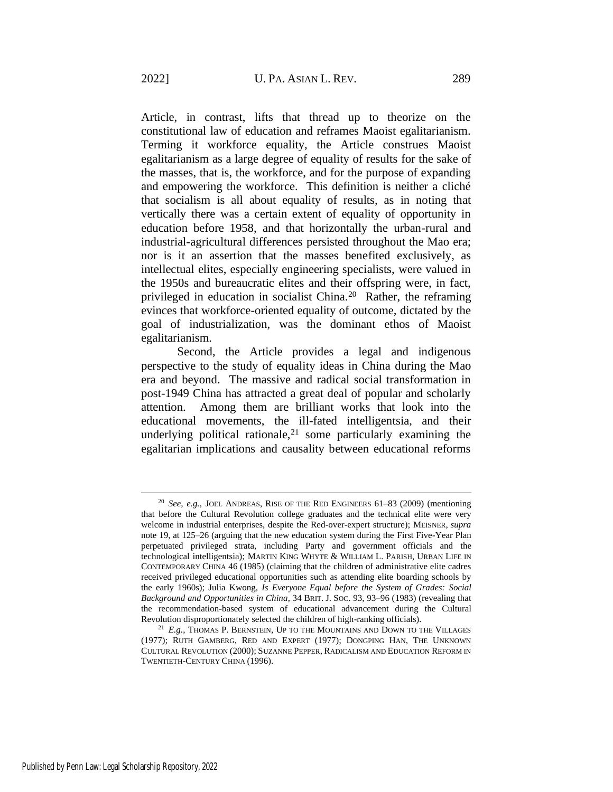Article, in contrast, lifts that thread up to theorize on the constitutional law of education and reframes Maoist egalitarianism. Terming it workforce equality, the Article construes Maoist egalitarianism as a large degree of equality of results for the sake of the masses, that is, the workforce, and for the purpose of expanding and empowering the workforce. This definition is neither a cliché that socialism is all about equality of results, as in noting that vertically there was a certain extent of equality of opportunity in education before 1958, and that horizontally the urban-rural and industrial-agricultural differences persisted throughout the Mao era; nor is it an assertion that the masses benefited exclusively, as intellectual elites, especially engineering specialists, were valued in the 1950s and bureaucratic elites and their offspring were, in fact, privileged in education in socialist China.<sup>20</sup> Rather, the reframing evinces that workforce-oriented equality of outcome, dictated by the goal of industrialization, was the dominant ethos of Maoist egalitarianism.

Second, the Article provides a legal and indigenous perspective to the study of equality ideas in China during the Mao era and beyond. The massive and radical social transformation in post-1949 China has attracted a great deal of popular and scholarly attention. Among them are brilliant works that look into the educational movements, the ill-fated intelligentsia, and their underlying political rationale,  $2<sup>1</sup>$  some particularly examining the egalitarian implications and causality between educational reforms

<span id="page-6-0"></span><sup>20</sup> *See*, *e.g.*, JOEL ANDREAS, RISE OF THE RED ENGINEERS 61–83 (2009) (mentioning that before the Cultural Revolution college graduates and the technical elite were very welcome in industrial enterprises, despite the Red-over-expert structure); MEISNER, *supra* note [19,](#page-5-1) at 125–26 (arguing that the new education system during the First Five-Year Plan perpetuated privileged strata, including Party and government officials and the technological intelligentsia); MARTIN KING WHYTE & WILLIAM L. PARISH, URBAN LIFE IN CONTEMPORARY CHINA 46 (1985) (claiming that the children of administrative elite cadres received privileged educational opportunities such as attending elite boarding schools by the early 1960s); Julia Kwong, *Is Everyone Equal before the System of Grades: Social Background and Opportunities in China*, 34 BRIT. J. SOC. 93, 93–96 (1983) (revealing that the recommendation-based system of educational advancement during the Cultural Revolution disproportionately selected the children of high-ranking officials).

 $21$   $E.g.,$  Thomas P. Bernstein, Up to the Mountains and Down to the Villages (1977); RUTH GAMBERG, RED AND EXPERT (1977); DONGPING HAN, THE UNKNOWN CULTURAL REVOLUTION (2000); SUZANNE PEPPER, RADICALISM AND EDUCATION REFORM IN TWENTIETH-CENTURY CHINA (1996).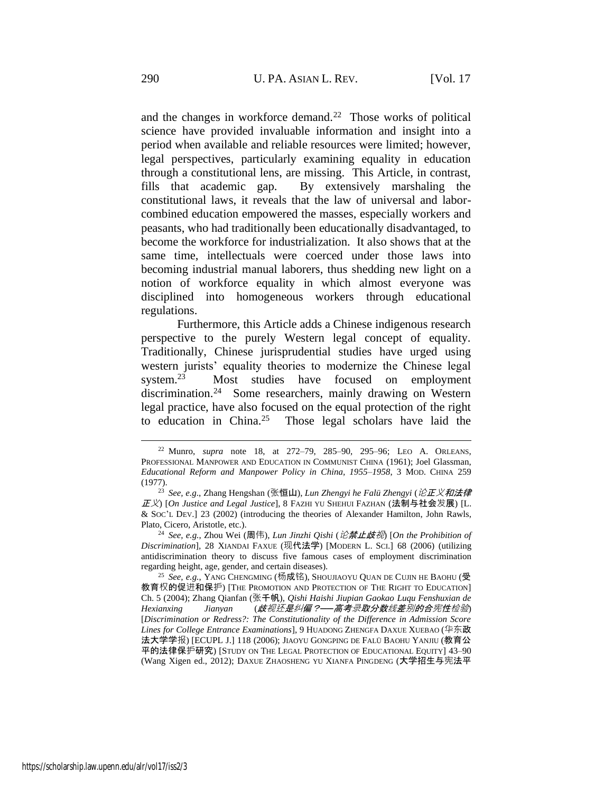<span id="page-7-0"></span>and the changes in workforce demand.<sup>22</sup> Those works of political science have provided invaluable information and insight into a period when available and reliable resources were limited; however, legal perspectives, particularly examining equality in education through a constitutional lens, are missing. This Article, in contrast, fills that academic gap. By extensively marshaling the constitutional laws, it reveals that the law of universal and laborcombined education empowered the masses, especially workers and peasants, who had traditionally been educationally disadvantaged, to become the workforce for industrialization. It also shows that at the same time, intellectuals were coerced under those laws into becoming industrial manual laborers, thus shedding new light on a notion of workforce equality in which almost everyone was disciplined into homogeneous workers through educational regulations.

Furthermore, this Article adds a Chinese indigenous research perspective to the purely Western legal concept of equality. Traditionally, Chinese jurisprudential studies have urged using western jurists' equality theories to modernize the Chinese legal system.<sup>23</sup> Most studies have focused on employment discrimination.<sup>24</sup> Some researchers, mainly drawing on Western legal practice, have also focused on the equal protection of the right to education in China. $25$ Those legal scholars have laid the

<sup>22</sup> Munro, *supra* note [18,](#page-5-2) at 272–79, 285–90, 295–96; LEO A. ORLEANS, PROFESSIONAL MANPOWER AND EDUCATION IN COMMUNIST CHINA (1961); Joel Glassman, *Educational Reform and Manpower Policy in China, 1955*–*1958*, 3 MOD. CHINA 259 (1977).

<sup>23</sup> *See, e.g*., Zhang Hengshan (张恒山), *Lun Zhengyi he Falü Zhengyi* (论正义和法律 <sup>正</sup>义) [*On Justice and Legal Justice*], 8 FAZHI YU SHEHUI FAZHAN (法制与社会发展) [L. & SOC'L DEV.] 23 (2002) (introducing the theories of Alexander Hamilton, John Rawls, Plato, Cicero, Aristotle, etc.).

<sup>24</sup> *See, e.g.*, Zhou Wei (周伟), *Lun Jinzhi Qishi* (论禁止歧视) [*On the Prohibition of Discrimination*]*,* 28 XIANDAI FAXUE (现代法学) [MODERN L. SCI.] 68 (2006) (utilizing antidiscrimination theory to discuss five famous cases of employment discrimination regarding height, age, gender, and certain diseases).

<sup>25</sup> *See, e.g.*, YANG CHENGMING (杨成铭), SHOUJIAOYU QUAN DE CUJIN HE BAOHU (受 教育权的促进和保护) [THE PROMOTION AND PROTECTION OF THE RIGHT TO EDUCATION] Ch. 5 (2004); Zhang Qianfan (张千帆), *Qishi Haishi Jiupian Gaokao Luqu Fenshuxian de Hexianxing Jianyan* (歧视还是纠偏?*──*高考录取分数线差别的合宪性检验) [*Discrimination or Redress?: The Constitutionality of the Difference in Admission Score Lines for College Entrance Examinations*], 9 HUADONG ZHENGFA DAXUE XUEBAO (华东政 法大学学报) [ECUPL J.] 118 (2006); JIAOYU GONGPING DE FALÜ BAOHU YANJIU (教育公 平的法律保护研究) [STUDY ON THE LEGAL PROTECTION OF EDUCATIONAL EQUITY] 43–90 (Wang Xigen ed., 2012); DAXUE ZHAOSHENG YU XIANFA PINGDENG (大学招生与宪法平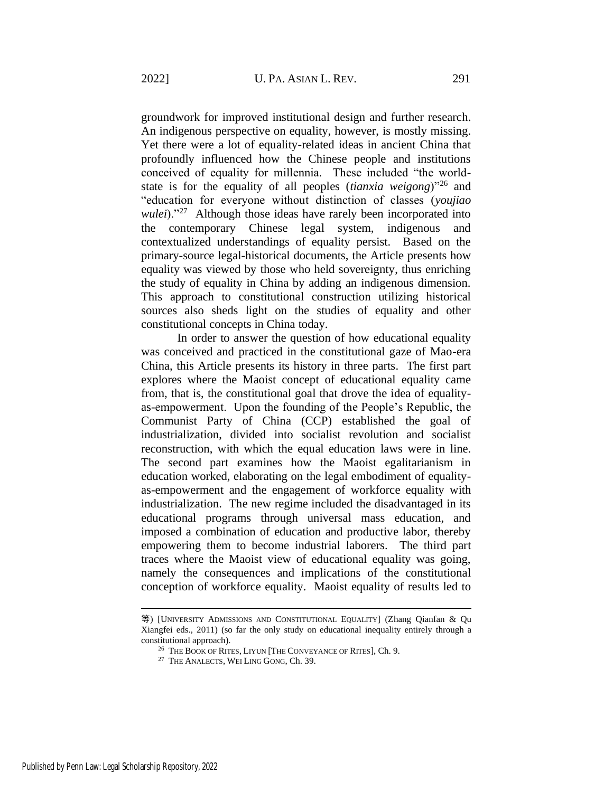groundwork for improved institutional design and further research. An indigenous perspective on equality, however, is mostly missing. Yet there were a lot of equality-related ideas in ancient China that profoundly influenced how the Chinese people and institutions conceived of equality for millennia. These included "the worldstate is for the equality of all peoples (*tianxia weigong*)"<sup>26</sup> and "education for everyone without distinction of classes (*youjiao*  wulei)."<sup>27</sup> Although those ideas have rarely been incorporated into the contemporary Chinese legal system, indigenous and contextualized understandings of equality persist. Based on the primary-source legal-historical documents, the Article presents how equality was viewed by those who held sovereignty, thus enriching the study of equality in China by adding an indigenous dimension. This approach to constitutional construction utilizing historical sources also sheds light on the studies of equality and other constitutional concepts in China today.

In order to answer the question of how educational equality was conceived and practiced in the constitutional gaze of Mao-era China, this Article presents its history in three parts. The first part explores where the Maoist concept of educational equality came from, that is, the constitutional goal that drove the idea of equalityas-empowerment. Upon the founding of the People's Republic, the Communist Party of China (CCP) established the goal of industrialization, divided into socialist revolution and socialist reconstruction, with which the equal education laws were in line. The second part examines how the Maoist egalitarianism in education worked, elaborating on the legal embodiment of equalityas-empowerment and the engagement of workforce equality with industrialization. The new regime included the disadvantaged in its educational programs through universal mass education, and imposed a combination of education and productive labor, thereby empowering them to become industrial laborers. The third part traces where the Maoist view of educational equality was going, namely the consequences and implications of the constitutional conception of workforce equality. Maoist equality of results led to

等) [UNIVERSITY ADMISSIONS AND CONSTITUTIONAL EQUALITY] (Zhang Qianfan & Qu Xiangfei eds., 2011) (so far the only study on educational inequality entirely through a constitutional approach).

<sup>&</sup>lt;sup>26</sup> THE BOOK OF RITES, LIYUN [THE CONVEYANCE OF RITES], Ch. 9.

<sup>27</sup> THE ANALECTS, WEI LING GONG, Ch. 39.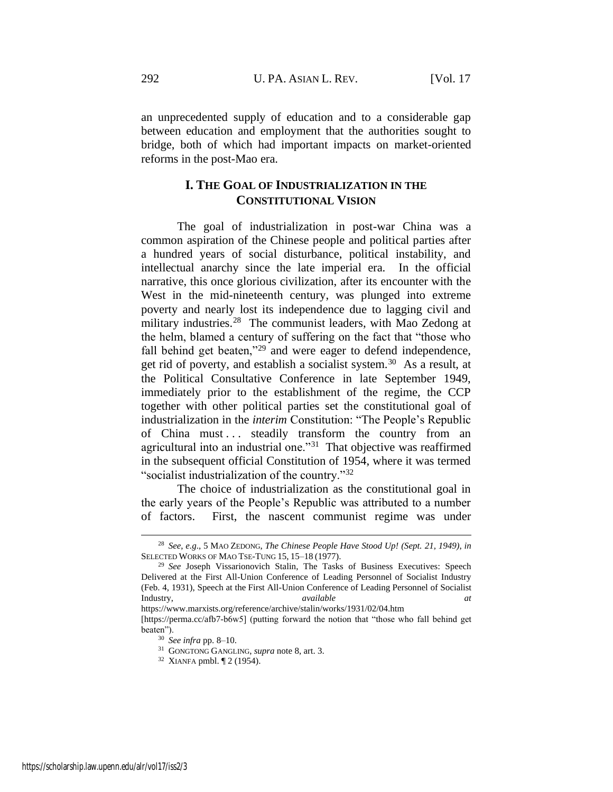an unprecedented supply of education and to a considerable gap between education and employment that the authorities sought to bridge, both of which had important impacts on market-oriented reforms in the post-Mao era.

## **I. THE GOAL OF INDUSTRIALIZATION IN THE CONSTITUTIONAL VISION**

<span id="page-9-0"></span>The goal of industrialization in post-war China was a common aspiration of the Chinese people and political parties after a hundred years of social disturbance, political instability, and intellectual anarchy since the late imperial era. In the official narrative, this once glorious civilization, after its encounter with the West in the mid-nineteenth century, was plunged into extreme poverty and nearly lost its independence due to lagging civil and military industries.<sup>28</sup> The communist leaders, with Mao Zedong at the helm, blamed a century of suffering on the fact that "those who fall behind get beaten,"<sup>29</sup> and were eager to defend independence, get rid of poverty, and establish a socialist system.<sup>30</sup> As a result, at the Political Consultative Conference in late September 1949, immediately prior to the establishment of the regime, the CCP together with other political parties set the constitutional goal of industrialization in the *interim* Constitution: "The People's Republic of China must . . . steadily transform the country from an agricultural into an industrial one."<sup>31</sup> That objective was reaffirmed in the subsequent official Constitution of 1954, where it was termed "socialist industrialization of the country."<sup>32</sup>

The choice of industrialization as the constitutional goal in the early years of the People's Republic was attributed to a number of factors. First, the nascent communist regime was under

<sup>28</sup> *See*, *e.g*., 5 MAO ZEDONG, *The Chinese People Have Stood Up! (Sept. 21, 1949)*, *in*  SELECTED WORKS OF MAO TSE-TUNG 15, 15-18 (1977).

<sup>29</sup> *See* Joseph Vissarionovich Stalin, The Tasks of Business Executives: Speech Delivered at the First All-Union Conference of Leading Personnel of Socialist Industry (Feb. 4, 1931), Speech at the First All-Union Conference of Leading Personnel of Socialist Industry, *available at* https://www.marxists.org/reference/archive/stalin/works/1931/02/04.htm

<sup>[</sup>https://perma.cc/afb7-b6w5] (putting forward the notion that "those who fall behind get beaten").

<sup>30</sup> *See infra* pp[. 8](#page-10-0)[–10.](#page-14-0)

<sup>31</sup> GONGTONG GANGLING, *supra* not[e 8,](#page-2-0) art. 3.

<sup>32</sup> XIANFA pmbl. ¶ 2 (1954).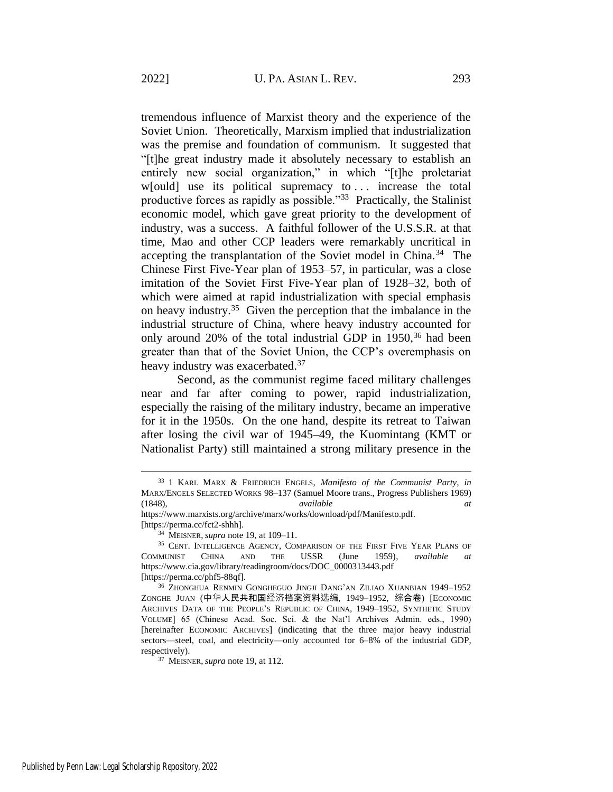<span id="page-10-2"></span>tremendous influence of Marxist theory and the experience of the Soviet Union. Theoretically, Marxism implied that industrialization was the premise and foundation of communism. It suggested that "[t]he great industry made it absolutely necessary to establish an entirely new social organization," in which "[t]he proletariat w[ould] use its political supremacy to ... increase the total productive forces as rapidly as possible."<sup>33</sup> Practically, the Stalinist economic model, which gave great priority to the development of industry, was a success. A faithful follower of the U.S.S.R. at that time, Mao and other CCP leaders were remarkably uncritical in accepting the transplantation of the Soviet model in China.<sup>34</sup> The Chinese First Five-Year plan of 1953–57, in particular, was a close imitation of the Soviet First Five-Year plan of 1928–32, both of which were aimed at rapid industrialization with special emphasis on heavy industry.<sup>35</sup> Given the perception that the imbalance in the industrial structure of China, where heavy industry accounted for only around 20% of the total industrial GDP in 1950,<sup>36</sup> had been greater than that of the Soviet Union, the CCP's overemphasis on heavy industry was exacerbated.<sup>37</sup>

<span id="page-10-1"></span>Second, as the communist regime faced military challenges near and far after coming to power, rapid industrialization, especially the raising of the military industry, became an imperative for it in the 1950s. On the one hand, despite its retreat to Taiwan after losing the civil war of 1945–49, the Kuomintang (KMT or Nationalist Party) still maintained a strong military presence in the

<sup>33</sup> 1 KARL MARX & FRIEDRICH ENGELS, *Manifesto of the Communist Party, in* MARX/ENGELS SELECTED WORKS 98–137 (Samuel Moore trans., Progress Publishers 1969) (1848), *available at* 

https://www.marxists.org/archive/marx/works/download/pdf/Manifesto.pdf. [https://perma.cc/fct2-shhh].

<sup>34</sup> MEISNER,*supra* not[e 19,](#page-5-1) at 109–11.

<sup>&</sup>lt;sup>35</sup> CENT. INTELLIGENCE AGENCY, COMPARISON OF THE FIRST FIVE YEAR PLANS OF COMMUNIST CHINA AND THE USSR (June 1959), *available at*  https://www.cia.gov/library/readingroom/docs/DOC\_0000313443.pdf [https://perma.cc/phf5-88qf].

<sup>36</sup> ZHONGHUA RENMIN GONGHEGUO JINGJI DANG'AN ZILIAO XUANBIAN 1949–1952 ZONGHE JUAN (中华人民共和国经济档案资料选编, 1949–1952, 综合卷) [ECONOMIC ARCHIVES DATA OF THE PEOPLE'S REPUBLIC OF CHINA, 1949–1952, SYNTHETIC STUDY VOLUME] 65 (Chinese Acad. Soc. Sci. & the Nat'l Archives Admin. eds., 1990) [hereinafter ECONOMIC ARCHIVES] (indicating that the three major heavy industrial sectors—steel, coal, and electricity—only accounted for 6–8% of the industrial GDP, respectively).

<span id="page-10-0"></span><sup>37</sup> MEISNER,*supra* not[e 19,](#page-5-1) at 112.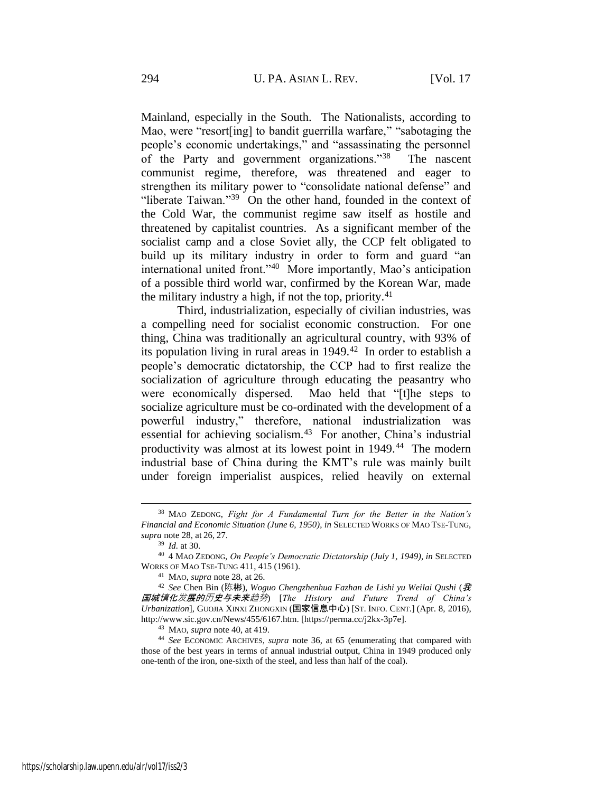Mainland, especially in the South. The Nationalists, according to Mao, were "resort[ing] to bandit guerrilla warfare," "sabotaging the people's economic undertakings," and "assassinating the personnel of the Party and government organizations."<sup>38</sup> The nascent communist regime, therefore, was threatened and eager to strengthen its military power to "consolidate national defense" and "liberate Taiwan."<sup>39</sup> On the other hand, founded in the context of the Cold War, the communist regime saw itself as hostile and threatened by capitalist countries. As a significant member of the socialist camp and a close Soviet ally, the CCP felt obligated to build up its military industry in order to form and guard "an international united front."<sup>40</sup> More importantly, Mao's anticipation of a possible third world war, confirmed by the Korean War, made the military industry a high, if not the top, priority. $41$ 

<span id="page-11-0"></span>Third, industrialization, especially of civilian industries, was a compelling need for socialist economic construction. For one thing, China was traditionally an agricultural country, with 93% of its population living in rural areas in  $1949<sup>42</sup>$  In order to establish a people's democratic dictatorship, the CCP had to first realize the socialization of agriculture through educating the peasantry who were economically dispersed. Mao held that "[t]he steps to socialize agriculture must be co-ordinated with the development of a powerful industry," therefore, national industrialization was essential for achieving socialism.<sup>43</sup> For another, China's industrial productivity was almost at its lowest point in 1949.<sup>44</sup> The modern industrial base of China during the KMT's rule was mainly built under foreign imperialist auspices, relied heavily on external

<sup>38</sup> MAO ZEDONG, *Fight for A Fundamental Turn for the Better in the Nation's Financial and Economic Situation (June 6, 1950)*, *in* SELECTED WORKS OF MAO TSE-TUNG, *supra* not[e 28,](#page-9-0) at 26, 27.

<sup>39</sup> *Id.* at 30.

<sup>40</sup> 4 MAO ZEDONG, *On People's Democratic Dictatorship (July 1, 1949), in* SELECTED WORKS OF MAO TSE-TUNG 411, 415 (1961).

<sup>41</sup> MAO, *supra* not[e 28,](#page-9-0) at 26.

<sup>42</sup> *See* Chen Bin (陈彬), *Woguo Chengzhenhua Fazhan de Lishi yu Weilai Qushi* (我 国城镇化发展的历史与未来趋势) [*The History and Future Trend of China's Urbanization*], GUOJIA XINXI ZHONGXIN (国家信息中心) [ST. INFO. CENT.] (Apr. 8, 2016), http://www.sic.gov.cn/News/455/6167.htm. [https://perma.cc/j2kx-3p7e].

<sup>43</sup> MAO, *supra* not[e 40,](#page-11-0) at 419.

<sup>44</sup> *See* ECONOMIC ARCHIVES*, supra* note [36,](#page-10-1) at 65 (enumerating that compared with those of the best years in terms of annual industrial output, China in 1949 produced only one-tenth of the iron, one-sixth of the steel, and less than half of the coal).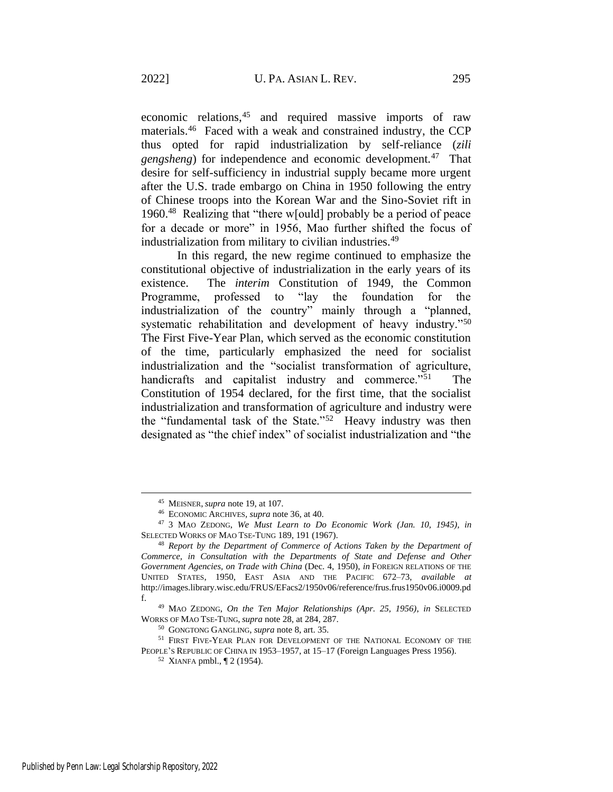<span id="page-12-0"></span>economic relations,<sup>45</sup> and required massive imports of raw materials.<sup>46</sup> Faced with a weak and constrained industry, the CCP thus opted for rapid industrialization by self-reliance (*zili*  gengsheng) for independence and economic development.<sup>47</sup> That desire for self-sufficiency in industrial supply became more urgent after the U.S. trade embargo on China in 1950 following the entry of Chinese troops into the Korean War and the Sino-Soviet rift in 1960.<sup>48</sup> Realizing that "there w[ould] probably be a period of peace for a decade or more" in 1956, Mao further shifted the focus of industrialization from military to civilian industries.<sup>49</sup>

In this regard, the new regime continued to emphasize the constitutional objective of industrialization in the early years of its existence. The *interim* Constitution of 1949, the Common Programme, professed to "lay the foundation for the industrialization of the country" mainly through a "planned, systematic rehabilitation and development of heavy industry."50 The First Five-Year Plan, which served as the economic constitution of the time, particularly emphasized the need for socialist industrialization and the "socialist transformation of agriculture, handicrafts and capitalist industry and commerce."<sup>51</sup> The Constitution of 1954 declared, for the first time, that the socialist industrialization and transformation of agriculture and industry were the "fundamental task of the State."<sup>52</sup> Heavy industry was then designated as "the chief index" of socialist industrialization and "the

<sup>49</sup> MAO ZEDONG, *On the Ten Major Relationships (Apr. 25, 1956)*, *in* SELECTED WORKS OF MAO TSE-TUNG,*supra* not[e 28,](#page-9-0) at 284, 287.

<sup>50</sup> GONGTONG GANGLING, *supra* not[e 8,](#page-2-0) art. 35.

<sup>51</sup> FIRST FIVE-YEAR PLAN FOR DEVELOPMENT OF THE NATIONAL ECONOMY OF THE PEOPLE'S REPUBLIC OF CHINA IN 1953–1957, at 15–17 (Foreign Languages Press 1956).

<sup>45</sup> MEISNER,*supra* not[e 19,](#page-5-1) at 107.

<sup>46</sup> ECONOMIC ARCHIVES*, supra* note [36,](#page-10-1) at 40.

<sup>47</sup> 3 MAO ZEDONG, *We Must Learn to Do Economic Work (Jan. 10, 1945), in* SELECTED WORKS OF MAO TSE-TUNG 189, 191 (1967).

<sup>48</sup> *Report by the Department of Commerce of Actions Taken by the Department of Commerce, in Consultation with the Departments of State and Defense and Other Government Agencies, on Trade with China* (Dec. 4, 1950), *in* FOREIGN RELATIONS OF THE UNITED STATES, 1950, EAST ASIA AND THE PACIFIC 672–73, *available at*  http://images.library.wisc.edu/FRUS/EFacs2/1950v06/reference/frus.frus1950v06.i0009.pd f.

<sup>52</sup> XIANFA pmbl., ¶ 2 (1954).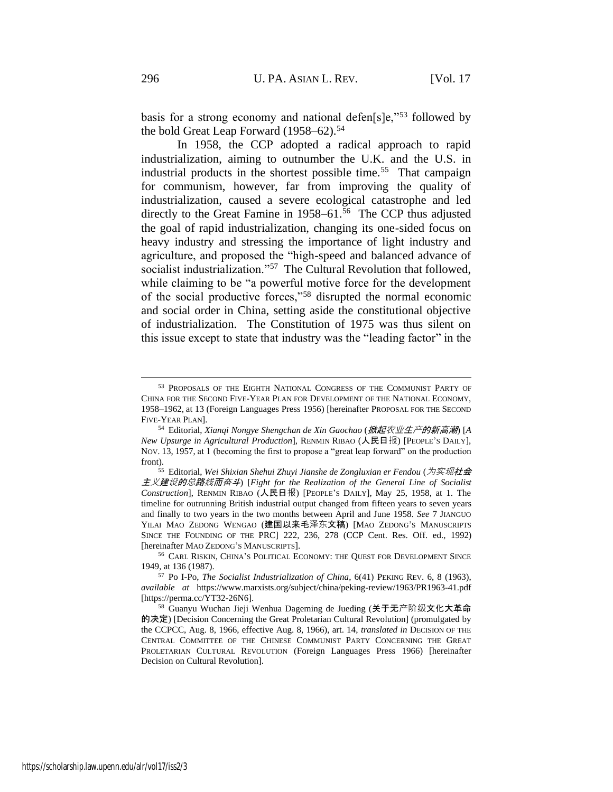<span id="page-13-2"></span>basis for a strong economy and national defen[s]e,"<sup>53</sup> followed by the bold Great Leap Forward (1958–62).<sup>54</sup>

<span id="page-13-1"></span>In 1958, the CCP adopted a radical approach to rapid industrialization, aiming to outnumber the U.K. and the U.S. in industrial products in the shortest possible time.<sup>55</sup> That campaign for communism, however, far from improving the quality of industrialization, caused a severe ecological catastrophe and led directly to the Great Famine in 1958–61.<sup>56</sup> The CCP thus adjusted the goal of rapid industrialization, changing its one-sided focus on heavy industry and stressing the importance of light industry and agriculture, and proposed the "high-speed and balanced advance of socialist industrialization."<sup>57</sup> The Cultural Revolution that followed, while claiming to be "a powerful motive force for the development of the social productive forces,"<sup>58</sup> disrupted the normal economic and social order in China, setting aside the constitutional objective of industrialization. The Constitution of 1975 was thus silent on this issue except to state that industry was the "leading factor" in the

<span id="page-13-0"></span><sup>53</sup> PROPOSALS OF THE EIGHTH NATIONAL CONGRESS OF THE COMMUNIST PARTY OF CHINA FOR THE SECOND FIVE-YEAR PLAN FOR DEVELOPMENT OF THE NATIONAL ECONOMY, 1958–1962, at 13 (Foreign Languages Press 1956) [hereinafter PROPOSAL FOR THE SECOND FIVE-YEAR PLAN].

<sup>54</sup> Editorial, *Xianqi Nongye Shengchan de Xin Gaochao* (掀起农业生产的新高潮) [*A New Upsurge in Agricultural Production*], RENMIN RIBAO (人民日报) [PEOPLE'S DAILY], NOV. 13, 1957, at 1 (becoming the first to propose a "great leap forward" on the production front).

<sup>55</sup> Editorial, *Wei Shixian Shehui Zhuyi Jianshe de Zongluxian er Fendou* (为实现社会 主义建设的总路线而奋斗) [*Fight for the Realization of the General Line of Socialist Construction*], RENMIN RIBAO (人民日报) [PEOPLE'S DAILY], May 25, 1958, at 1. The timeline for outrunning British industrial output changed from fifteen years to seven years and finally to two years in the two months between April and June 1958. *See* 7 JIANGUO YILAI MAO ZEDONG WENGAO (建国以来毛泽东文稿) [MAO ZEDONG'S MANUSCRIPTS SINCE THE FOUNDING OF THE PRC] 222, 236, 278 (CCP Cent. Res. Off. ed., 1992) [hereinafter MAO ZEDONG'S MANUSCRIPTS].

<sup>56</sup> CARL RISKIN, CHINA'S POLITICAL ECONOMY: THE QUEST FOR DEVELOPMENT SINCE 1949, at 136 (1987).

<sup>57</sup> Po I-Po, *The Socialist Industrialization of China*, 6(41) PEKING REV. 6, 8 (1963), *available at* https://www.marxists.org/subject/china/peking-review/1963/PR1963-41.pdf [https://perma.cc/YT32-26N6].

<sup>58</sup> Guanyu Wuchan Jieji Wenhua Dageming de Jueding (关于无产阶级文化大革命 的决定) [Decision Concerning the Great Proletarian Cultural Revolution] (promulgated by the CCPCC, Aug. 8, 1966, effective Aug. 8, 1966), art. 14, *translated in* DECISION OF THE CENTRAL COMMITTEE OF THE CHINESE COMMUNIST PARTY CONCERNING THE GREAT PROLETARIAN CULTURAL REVOLUTION (Foreign Languages Press 1966) [hereinafter Decision on Cultural Revolution].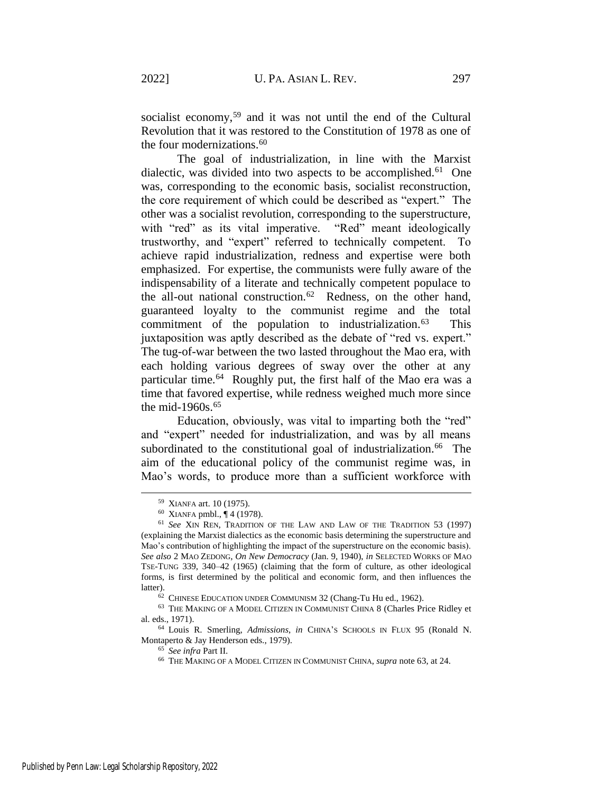socialist economy,<sup>59</sup> and it was not until the end of the Cultural Revolution that it was restored to the Constitution of 1978 as one of the four modernizations.<sup>60</sup>

<span id="page-14-2"></span>The goal of industrialization, in line with the Marxist dialectic, was divided into two aspects to be accomplished.<sup>61</sup> One was, corresponding to the economic basis, socialist reconstruction, the core requirement of which could be described as "expert." The other was a socialist revolution, corresponding to the superstructure, with "red" as its vital imperative. "Red" meant ideologically trustworthy, and "expert" referred to technically competent. To achieve rapid industrialization, redness and expertise were both emphasized. For expertise, the communists were fully aware of the indispensability of a literate and technically competent populace to the all-out national construction.<sup>62</sup> Redness, on the other hand, guaranteed loyalty to the communist regime and the total commitment of the population to industrialization. $63$  This juxtaposition was aptly described as the debate of "red vs. expert." The tug-of-war between the two lasted throughout the Mao era, with each holding various degrees of sway over the other at any particular time.<sup>64</sup> Roughly put, the first half of the Mao era was a time that favored expertise, while redness weighed much more since the mid-1960s. $65$ 

<span id="page-14-4"></span><span id="page-14-3"></span><span id="page-14-1"></span>Education, obviously, was vital to imparting both the "red" and "expert" needed for industrialization, and was by all means subordinated to the constitutional goal of industrialization.<sup>66</sup> The aim of the educational policy of the communist regime was, in Mao's words, to produce more than a sufficient workforce with

<sup>59</sup> XIANFA art. 10 (1975).

<sup>60</sup> XIANFA pmbl., ¶ 4 (1978).

<span id="page-14-0"></span><sup>61</sup> *See* XIN REN, TRADITION OF THE LAW AND LAW OF THE TRADITION 53 (1997) (explaining the Marxist dialectics as the economic basis determining the superstructure and Mao's contribution of highlighting the impact of the superstructure on the economic basis). *See also* 2 MAO ZEDONG, *On New Democracy* (Jan. 9, 1940), *in* SELECTED WORKS OF MAO TSE-TUNG 339, 340–42 (1965) (claiming that the form of culture, as other ideological forms, is first determined by the political and economic form, and then influences the latter).

<sup>62</sup> CHINESE EDUCATION UNDER COMMUNISM 32 (Chang-Tu Hu ed., 1962).

<sup>63</sup> THE MAKING OF A MODEL CITIZEN IN COMMUNIST CHINA 8 (Charles Price Ridley et al. eds., 1971).

<sup>64</sup> Louis R. Smerling, *Admissions*, *in* CHINA'S SCHOOLS IN FLUX 95 (Ronald N. Montaperto & Jay Henderson eds., 1979).

<sup>65</sup> *See infra* Part II.

<sup>66</sup> THE MAKING OF A MODEL CITIZEN IN COMMUNIST CHINA, *supra* note [63,](#page-14-1) at 24.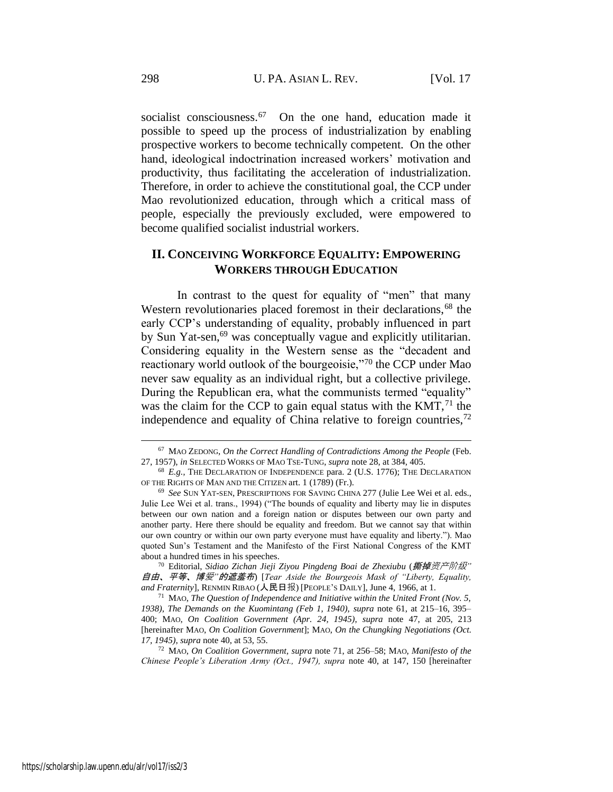<span id="page-15-2"></span>socialist consciousness.<sup>67</sup> On the one hand, education made it possible to speed up the process of industrialization by enabling prospective workers to become technically competent. On the other hand, ideological indoctrination increased workers' motivation and productivity, thus facilitating the acceleration of industrialization. Therefore, in order to achieve the constitutional goal, the CCP under Mao revolutionized education, through which a critical mass of people, especially the previously excluded, were empowered to become qualified socialist industrial workers.

## **II. CONCEIVING WORKFORCE EQUALITY: EMPOWERING WORKERS THROUGH EDUCATION**

In contrast to the quest for equality of "men" that many Western revolutionaries placed foremost in their declarations,<sup>68</sup> the early CCP's understanding of equality, probably influenced in part by Sun Yat-sen,<sup>69</sup> was conceptually vague and explicitly utilitarian. Considering equality in the Western sense as the "decadent and reactionary world outlook of the bourgeoisie,"<sup>70</sup> the CCP under Mao never saw equality as an individual right, but a collective privilege. During the Republican era, what the communists termed "equality" was the claim for the CCP to gain equal status with the  $KMT$ , <sup>71</sup> the independence and equality of China relative to foreign countries, $72$ 

<sup>70</sup> Editorial, *Sidiao Zichan Jieji Ziyou Pingdeng Boai de Zhexiubu* (撕掉资产阶级*"* 自由、平等、博爱*"*的遮羞布) [*Tear Aside the Bourgeois Mask of "Liberty, Equality, and Fraternity*]*,* RENMIN RIBAO (人民日报) [PEOPLE'S DAILY], June 4, 1966, at 1.

<span id="page-15-1"></span><span id="page-15-0"></span><sup>67</sup> MAO ZEDONG, *On the Correct Handling of Contradictions Among the People* (Feb. 27, 1957), *in* SELECTED WORKS OF MAO TSE-TUNG, *supra* note [28,](#page-9-0) at 384, 405.

<sup>68</sup> *E.g.,* THE DECLARATION OF INDEPENDENCE para. 2 (U.S. 1776); THE DECLARATION OF THE RIGHTS OF MAN AND THE CITIZEN art. 1 (1789) (Fr.).

<sup>69</sup> *See* SUN YAT-SEN, PRESCRIPTIONS FOR SAVING CHINA 277 (Julie Lee Wei et al. eds., Julie Lee Wei et al. trans., 1994) ("The bounds of equality and liberty may lie in disputes between our own nation and a foreign nation or disputes between our own party and another party. Here there should be equality and freedom. But we cannot say that within our own country or within our own party everyone must have equality and liberty."). Mao quoted Sun's Testament and the Manifesto of the First National Congress of the KMT about a hundred times in his speeches.

<sup>71</sup> MAO, *The Question of Independence and Initiative within the United Front (Nov. 5, 1938)*, *The Demands on the Kuomintang (Feb 1, 1940), supra* note [61,](#page-14-2) at 215–16, 395– 400; MAO, *On Coalition Government (Apr. 24, 1945)*, *supra* note [47,](#page-12-0) at 205, 213 [hereinafter MAO, *On Coalition Government*]; MAO, *On the Chungking Negotiations (Oct. 17, 1945)*, *supra* not[e 40,](#page-11-0) at 53, 55.

<sup>72</sup> MAO, *On Coalition Government, supra* note [71,](#page-15-0) at 256–58; MAO, *Manifesto of the Chinese People's Liberation Army (Oct., 1947), supra* note [40,](#page-11-0) at 147, 150 [hereinafter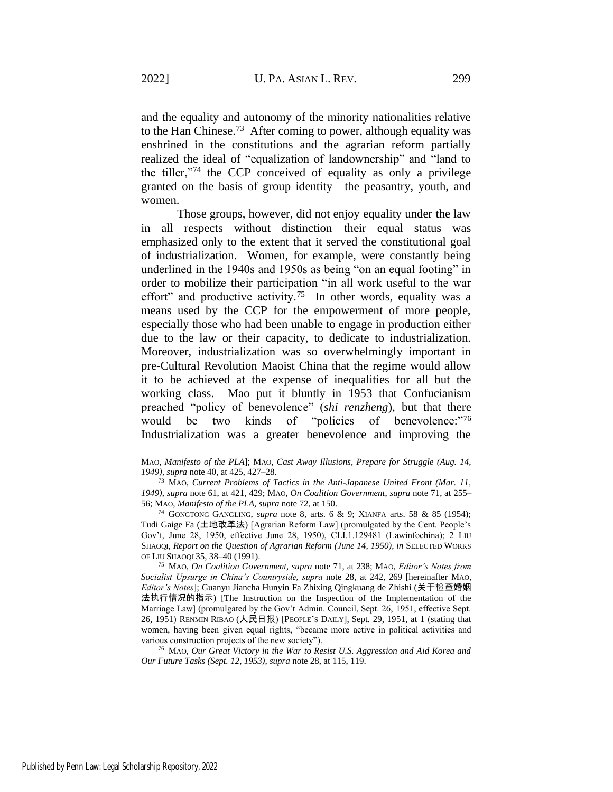and the equality and autonomy of the minority nationalities relative to the Han Chinese.<sup>73</sup> After coming to power, although equality was enshrined in the constitutions and the agrarian reform partially realized the ideal of "equalization of landownership" and "land to the tiller,"<sup>74</sup> the CCP conceived of equality as only a privilege granted on the basis of group identity—the peasantry, youth, and women.

<span id="page-16-0"></span>Those groups, however, did not enjoy equality under the law in all respects without distinction—their equal status was emphasized only to the extent that it served the constitutional goal of industrialization. Women, for example, were constantly being underlined in the 1940s and 1950s as being "on an equal footing" in order to mobilize their participation "in all work useful to the war effort" and productive activity.<sup>75</sup> In other words, equality was a means used by the CCP for the empowerment of more people, especially those who had been unable to engage in production either due to the law or their capacity, to dedicate to industrialization. Moreover, industrialization was so overwhelmingly important in pre-Cultural Revolution Maoist China that the regime would allow it to be achieved at the expense of inequalities for all but the working class. Mao put it bluntly in 1953 that Confucianism preached "policy of benevolence" (*shi renzheng*), but that there would be two kinds of "policies of benevolence:"76 Industrialization was a greater benevolence and improving the

<sup>74</sup> GONGTONG GANGLING, *supra* note [8,](#page-2-0) arts. 6 & 9; XIANFA arts. 58 & 85 (1954); Tudi Gaige Fa (土地改革法) [Agrarian Reform Law] (promulgated by the Cent. People's Gov't, June 28, 1950, effective June 28, 1950), CLI.1.129481 (Lawinfochina); 2 LIU SHAOQI, *Report on the Question of Agrarian Reform (June 14, 1950), in SELECTED WORKS* OF LIU SHAOQI 35, 38–40 (1991).

<sup>75</sup> MAO, *On Coalition Government, supra* note [71,](#page-15-0) at 238; MAO, *Editor's Notes from Socialist Upsurge in China's Countryside, supra* note [28,](#page-9-0) at 242, 269 [hereinafter MAO, *Editor's Notes*]; Guanyu Jiancha Hunyin Fa Zhixing Qingkuang de Zhishi (关于检查婚姻 法执行情况的指示) [The Instruction on the Inspection of the Implementation of the Marriage Law] (promulgated by the Gov't Admin. Council, Sept. 26, 1951, effective Sept. 26, 1951) RENMIN RIBAO (人民日报) [PEOPLE'S DAILY], Sept. 29, 1951, at 1 (stating that women, having been given equal rights, "became more active in political activities and various construction projects of the new society").

<sup>76</sup> MAO*, Our Great Victory in the War to Resist U.S. Aggression and Aid Korea and Our Future Tasks (Sept. 12, 1953), supra* note [28,](#page-9-0) at 115, 119.

MAO, *Manifesto of the PLA*]; MAO, *Cast Away Illusions, Prepare for Struggle (Aug. 14, 1949), supra* note [40,](#page-11-0) at 425, 427–28.

<sup>73</sup> MAO, *Current Problems of Tactics in the Anti-Japanese United Front (Mar. 11, 1949)*, *supra* note [61,](#page-14-2) at 421, 429; MAO, *On Coalition Government*, *supra* note [71,](#page-15-0) at 255– 56; MAO, *Manifesto of the PLA, supra* note [72,](#page-15-1) at 150.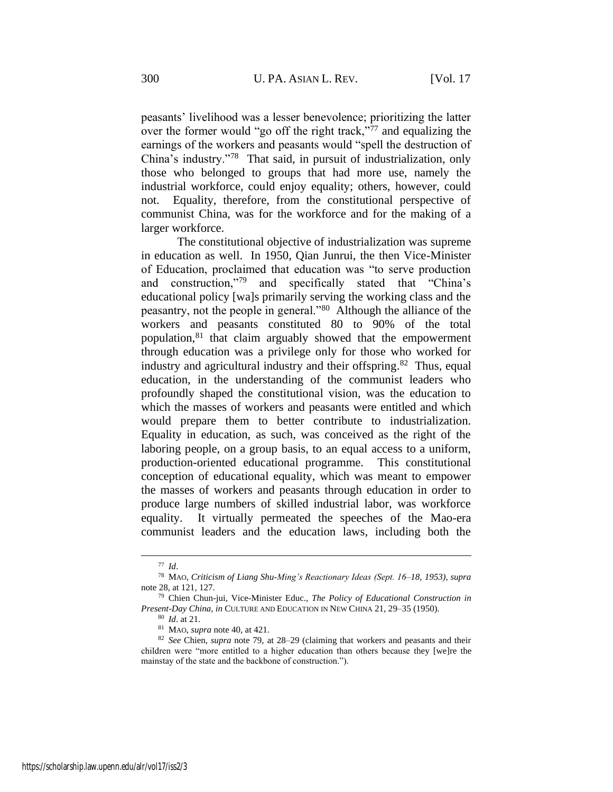peasants' livelihood was a lesser benevolence; prioritizing the latter over the former would "go off the right track,"<sup>77</sup> and equalizing the earnings of the workers and peasants would "spell the destruction of China's industry."<sup>78</sup> That said, in pursuit of industrialization, only those who belonged to groups that had more use, namely the industrial workforce, could enjoy equality; others, however, could not. Equality, therefore, from the constitutional perspective of communist China, was for the workforce and for the making of a larger workforce.

<span id="page-17-0"></span>The constitutional objective of industrialization was supreme in education as well. In 1950, Qian Junrui, the then Vice-Minister of Education, proclaimed that education was "to serve production and construction,"<sup>79</sup> and specifically stated that "China's educational policy [wa]s primarily serving the working class and the peasantry, not the people in general."<sup>80</sup> Although the alliance of the workers and peasants constituted 80 to 90% of the total population,<sup>81</sup> that claim arguably showed that the empowerment through education was a privilege only for those who worked for industry and agricultural industry and their offspring.<sup>82</sup> Thus, equal education, in the understanding of the communist leaders who profoundly shaped the constitutional vision, was the education to which the masses of workers and peasants were entitled and which would prepare them to better contribute to industrialization. Equality in education, as such, was conceived as the right of the laboring people, on a group basis, to an equal access to a uniform, production-oriented educational programme. This constitutional conception of educational equality, which was meant to empower the masses of workers and peasants through education in order to produce large numbers of skilled industrial labor, was workforce equality. It virtually permeated the speeches of the Mao-era communist leaders and the education laws, including both the

<sup>77</sup> *Id*.

<sup>78</sup> MAO, *Criticism of Liang Shu-Ming's Reactionary Ideas (Sept. 16–18, 1953), supra* note [28,](#page-9-0) at 121, 127.

<sup>79</sup> Chien Chun-jui, Vice-Minister Educ., *The Policy of Educational Construction in Present-Day China, in* CULTURE AND EDUCATION IN NEW CHINA 21, 29–35 (1950).

<sup>80</sup> *Id*. at 21.

<sup>81</sup> MAO, *supra* not[e 40,](#page-11-0) at 421.

<sup>82</sup> *See* Chien, *supra* note [79,](#page-17-0) at 28–29 (claiming that workers and peasants and their children were "more entitled to a higher education than others because they [we]re the mainstay of the state and the backbone of construction.").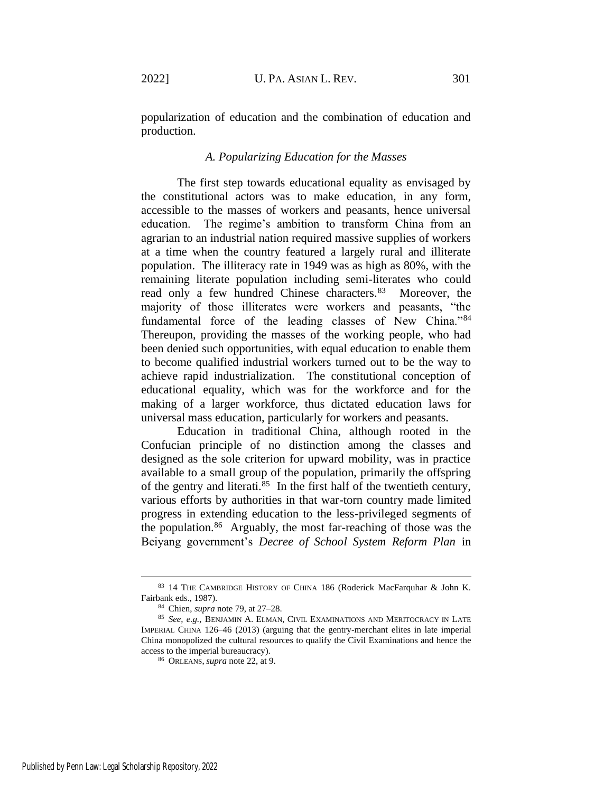popularization of education and the combination of education and production.

## *A. Popularizing Education for the Masses*

The first step towards educational equality as envisaged by the constitutional actors was to make education, in any form, accessible to the masses of workers and peasants, hence universal education. The regime's ambition to transform China from an agrarian to an industrial nation required massive supplies of workers at a time when the country featured a largely rural and illiterate population. The illiteracy rate in 1949 was as high as 80%, with the remaining literate population including semi-literates who could read only a few hundred Chinese characters.<sup>83</sup> Moreover, the majority of those illiterates were workers and peasants, "the fundamental force of the leading classes of New China."84 Thereupon, providing the masses of the working people, who had been denied such opportunities, with equal education to enable them to become qualified industrial workers turned out to be the way to achieve rapid industrialization. The constitutional conception of educational equality, which was for the workforce and for the making of a larger workforce, thus dictated education laws for universal mass education, particularly for workers and peasants.

Education in traditional China, although rooted in the Confucian principle of no distinction among the classes and designed as the sole criterion for upward mobility, was in practice available to a small group of the population, primarily the offspring of the gentry and literati.<sup>85</sup> In the first half of the twentieth century, various efforts by authorities in that war-torn country made limited progress in extending education to the less-privileged segments of the population.<sup>86</sup> Arguably, the most far-reaching of those was the Beiyang government's *Decree of School System Reform Plan* in

<sup>83</sup> 14 THE CAMBRIDGE HISTORY OF CHINA 186 (Roderick MacFarquhar & John K. Fairbank eds., 1987).

<sup>84</sup> Chien, *supra* note [79,](#page-17-0) at 27–28.

<sup>85</sup> *See, e.g.,* BENJAMIN A. ELMAN, CIVIL EXAMINATIONS AND MERITOCRACY IN LATE IMPERIAL CHINA 126–46 (2013) (arguing that the gentry-merchant elites in late imperial China monopolized the cultural resources to qualify the Civil Examinations and hence the access to the imperial bureaucracy).

<sup>86</sup> ORLEANS,*supra* not[e 22,](#page-7-0) at 9.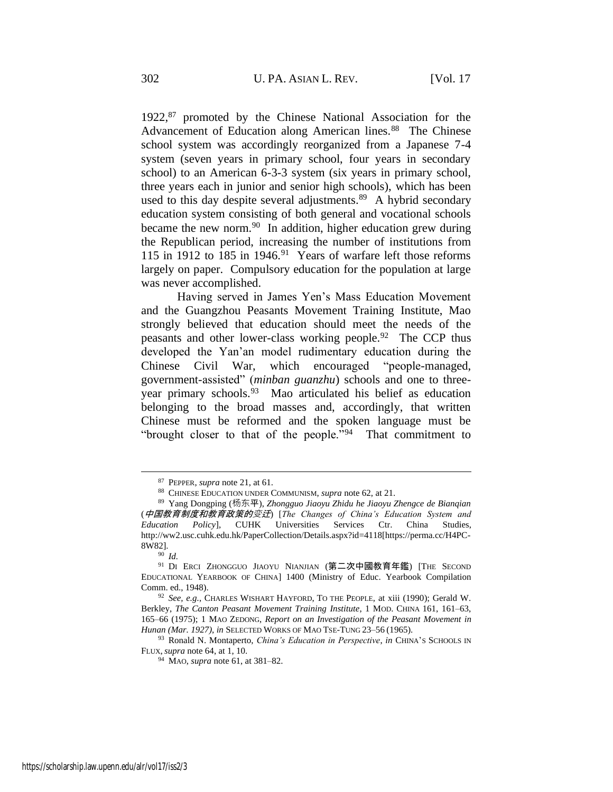1922,<sup>87</sup> promoted by the Chinese National Association for the Advancement of Education along American lines.<sup>88</sup> The Chinese school system was accordingly reorganized from a Japanese 7-4 system (seven years in primary school, four years in secondary school) to an American 6-3-3 system (six years in primary school, three years each in junior and senior high schools), which has been used to this day despite several adjustments.<sup>89</sup> A hybrid secondary education system consisting of both general and vocational schools became the new norm.<sup>90</sup> In addition, higher education grew during the Republican period, increasing the number of institutions from 115 in 1912 to 185 in 1946.<sup>91</sup> Years of warfare left those reforms largely on paper. Compulsory education for the population at large was never accomplished.

Having served in James Yen's Mass Education Movement and the Guangzhou Peasants Movement Training Institute, Mao strongly believed that education should meet the needs of the peasants and other lower-class working people.<sup>92</sup> The CCP thus developed the Yan'an model rudimentary education during the Chinese Civil War, which encouraged "people-managed, government-assisted" (*minban guanzhu*) schools and one to threeyear primary schools.<sup>93</sup> Mao articulated his belief as education belonging to the broad masses and, accordingly, that written Chinese must be reformed and the spoken language must be "brought closer to that of the people." $94$  That commitment to

<sup>93</sup> Ronald N. Montaperto, *China's Education in Perspective*, *in* CHINA'S SCHOOLS IN FLUX,*supra* note [64,](#page-14-4) at 1, 10.

<span id="page-19-0"></span><sup>87</sup> PEPPER, *supra* not[e 21,](#page-6-0) at 61.

<sup>88</sup> CHINESE EDUCATION UNDER COMMUNISM, *supra* note [62,](#page-14-3) at 21.

<sup>89</sup> Yang Dongping (杨东平), *Zhongguo Jiaoyu Zhidu he Jiaoyu Zhengce de Bianqian*  (中国教育制度和教育政策的变迁) [*The Changes of China's Education System and Education Policy*], CUHK Universities Services Ctr. China Studies, http://ww2.usc.cuhk.edu.hk/PaperCollection/Details.aspx?id=4118[https://perma.cc/H4PC-8W82].

<sup>90</sup> *Id.*

<sup>91</sup> DI ERCI ZHONGGUO JIAOYU NIANJIAN (第二次中國教育年鑑) [THE SECOND EDUCATIONAL YEARBOOK OF CHINA] 1400 (Ministry of Educ. Yearbook Compilation Comm. ed., 1948).

<sup>92</sup> *See, e.g.*, CHARLES WISHART HAYFORD, TO THE PEOPLE, at xiii (1990); Gerald W. Berkley, *The Canton Peasant Movement Training Institute*, 1 MOD. CHINA 161, 161–63, 165–66 (1975); 1 MAO ZEDONG, *Report on an Investigation of the Peasant Movement in Hunan (Mar. 1927)*, *in* SELECTED WORKS OF MAO TSE-TUNG 23–56 (1965).

<sup>94</sup> MAO, *supra* not[e 61,](#page-14-2) at 381–82.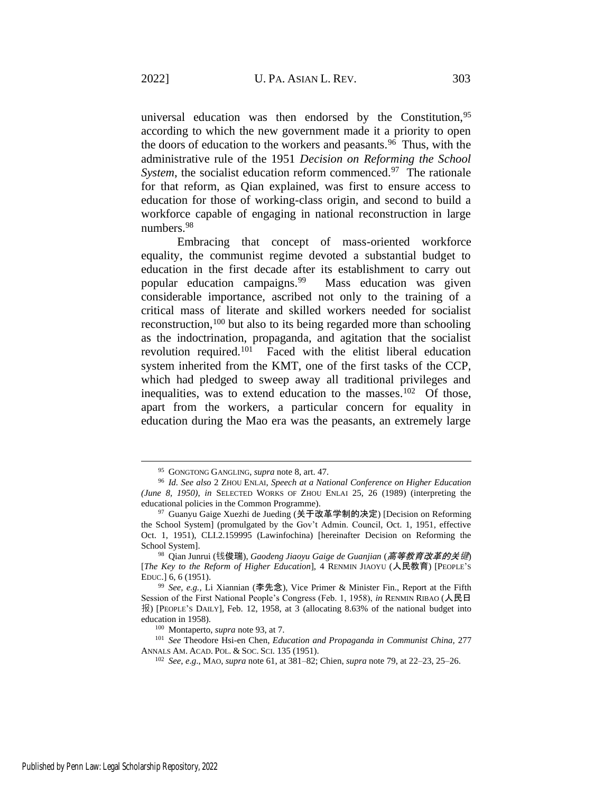<span id="page-20-1"></span><span id="page-20-0"></span>universal education was then endorsed by the Constitution,  $95$ according to which the new government made it a priority to open the doors of education to the workers and peasants.<sup>96</sup> Thus, with the administrative rule of the 1951 *Decision on Reforming the School*  System, the socialist education reform commenced.<sup>97</sup> The rationale for that reform, as Qian explained, was first to ensure access to education for those of working-class origin, and second to build a workforce capable of engaging in national reconstruction in large numbers.<sup>98</sup>

Embracing that concept of mass-oriented workforce equality, the communist regime devoted a substantial budget to education in the first decade after its establishment to carry out popular education campaigns.<sup>99</sup> Mass education was given considerable importance, ascribed not only to the training of a critical mass of literate and skilled workers needed for socialist reconstruction,  $100$  but also to its being regarded more than schooling as the indoctrination, propaganda, and agitation that the socialist revolution required.<sup>101</sup> Faced with the elitist liberal education system inherited from the KMT, one of the first tasks of the CCP, which had pledged to sweep away all traditional privileges and inequalities, was to extend education to the masses.<sup>102</sup> Of those, apart from the workers, a particular concern for equality in education during the Mao era was the peasants, an extremely large

<sup>95</sup> GONGTONG GANGLING, *supra* not[e 8,](#page-2-0) art. 47.

<sup>96</sup> *Id. See also* 2 ZHOU ENLAI, *Speech at a National Conference on Higher Education (June 8, 1950)*, *in* SELECTED WORKS OF ZHOU ENLAI 25, 26 (1989) (interpreting the educational policies in the Common Programme).

 $97$  Guanyu Gaige Xuezhi de Jueding (关于改革学制的决定) [Decision on Reforming the School System] (promulgated by the Gov't Admin. Council, Oct. 1, 1951, effective Oct. 1, 1951), CLI.2.159995 (Lawinfochina) [hereinafter Decision on Reforming the School System].

<sup>98</sup> Qian Junrui (钱俊瑞), *Gaodeng Jiaoyu Gaige de Guanjian* (高等教育改革的关键) [*The Key to the Reform of Higher Education*], 4 RENMIN JIAOYU (人民教育) [PEOPLE'S EDUC.] 6, 6 (1951).

<sup>99</sup> *See, e.g.,* Li Xiannian (李先念), Vice Primer & Minister Fin., Report at the Fifth Session of the First National People's Congress (Feb. 1, 1958), *in* RENMIN RIBAO (人民日 报) [PEOPLE'S DAILY], Feb. 12, 1958, at 3 (allocating 8.63% of the national budget into education in 1958).

<sup>100</sup> Montaperto, *supra* not[e 93,](#page-19-0) at 7.

<sup>101</sup> *See* Theodore Hsi-en Chen, *Education and Propaganda in Communist China,* 277 ANNALS AM. ACAD. POL. & SOC. SCI. 135 (1951).

<sup>102</sup> *See*, *e*.*g*., MAO, *supra* note [61,](#page-14-2) at 381–82; Chien, *supra* not[e 79,](#page-17-0) at 22–23, 25–26.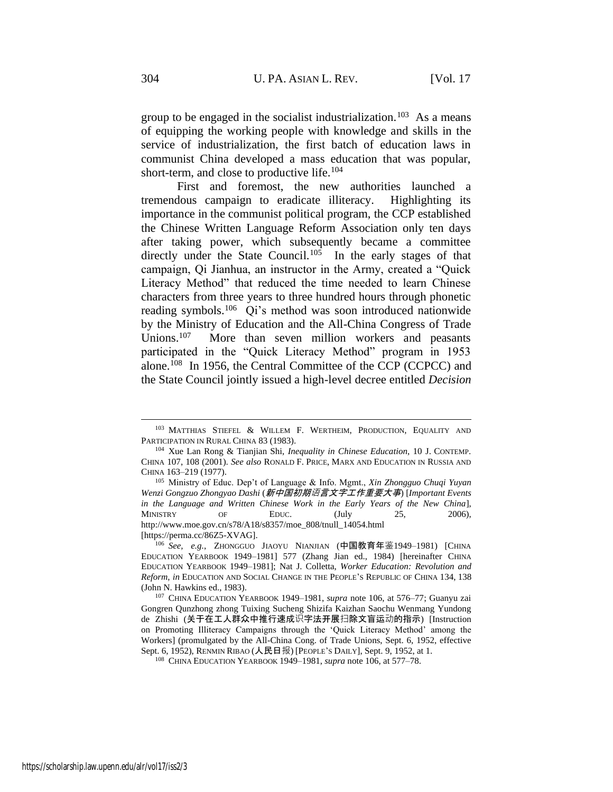<span id="page-21-1"></span>group to be engaged in the socialist industrialization.<sup>103</sup> As a means of equipping the working people with knowledge and skills in the service of industrialization, the first batch of education laws in communist China developed a mass education that was popular, short-term, and close to productive life.<sup>104</sup>

First and foremost, the new authorities launched a tremendous campaign to eradicate illiteracy. Highlighting its importance in the communist political program, the CCP established the Chinese Written Language Reform Association only ten days after taking power, which subsequently became a committee directly under the State Council.<sup>105</sup> In the early stages of that campaign, Qi Jianhua, an instructor in the Army, created a "Quick Literacy Method" that reduced the time needed to learn Chinese characters from three years to three hundred hours through phonetic reading symbols.<sup>106</sup> Qi's method was soon introduced nationwide by the Ministry of Education and the All-China Congress of Trade Unions.<sup>107</sup> More than seven million workers and peasants participated in the "Quick Literacy Method" program in 1953 alone.<sup>108</sup> In 1956, the Central Committee of the CCP (CCPCC) and the State Council jointly issued a high-level decree entitled *Decision* 

<span id="page-21-0"></span><sup>103</sup> MATTHIAS STIEFEL & WILLEM F. WERTHEIM, PRODUCTION, EQUALITY AND PARTICIPATION IN RURAL CHINA 83 (1983).

<sup>104</sup> Xue Lan Rong & Tianjian Shi, *Inequality in Chinese Education*, 10 J. CONTEMP. CHINA 107, 108 (2001). *See also* RONALD F. PRICE, MARX AND EDUCATION IN RUSSIA AND CHINA 163–219 (1977).

<sup>105</sup> Ministry of Educ. Dep't of Language & Info. Mgmt., *Xin Zhongguo Chuqi Yuyan Wenzi Gongzuo Zhongyao Dashi* (新中国初期语言文字工作重要大事) [*Important Events in the Language and Written Chinese Work in the Early Years of the New China*], MINISTRY OF EDUC. (July 25, 2006), http://www.moe.gov.cn/s78/A18/s8357/moe\_808/tnull\_14054.html [https://perma.cc/86Z5-XVAG].

<sup>106</sup> *See, e.g.*, ZHONGGUO JIAOYU NIANJIAN (中国教育年鉴1949–1981) [CHINA EDUCATION YEARBOOK 1949–1981] 577 (Zhang Jian ed., 1984) [hereinafter CHINA EDUCATION YEARBOOK 1949–1981]; Nat J. Colletta, *Worker Education: Revolution and Reform*, *in* EDUCATION AND SOCIAL CHANGE IN THE PEOPLE'S REPUBLIC OF CHINA 134, 138 (John N. Hawkins ed., 1983).

<sup>107</sup> CHINA EDUCATION YEARBOOK 1949–1981, *supra* note [106,](#page-21-0) at 576–77; Guanyu zai Gongren Qunzhong zhong Tuixing Sucheng Shizifa Kaizhan Saochu Wenmang Yundong de Zhishi (关于在工人群众中推行速成识字法开展扫除文盲运动的指示) [Instruction on Promoting Illiteracy Campaigns through the 'Quick Literacy Method' among the Workers] (promulgated by the All-China Cong. of Trade Unions, Sept. 6, 1952, effective Sept. 6, 1952), RENMIN RIBAO (人民日报) [PEOPLE'S DAILY], Sept. 9, 1952, at 1.

<sup>108</sup> CHINA EDUCATION YEARBOOK 1949–1981, *supra* note [106,](#page-21-0) at 577–78.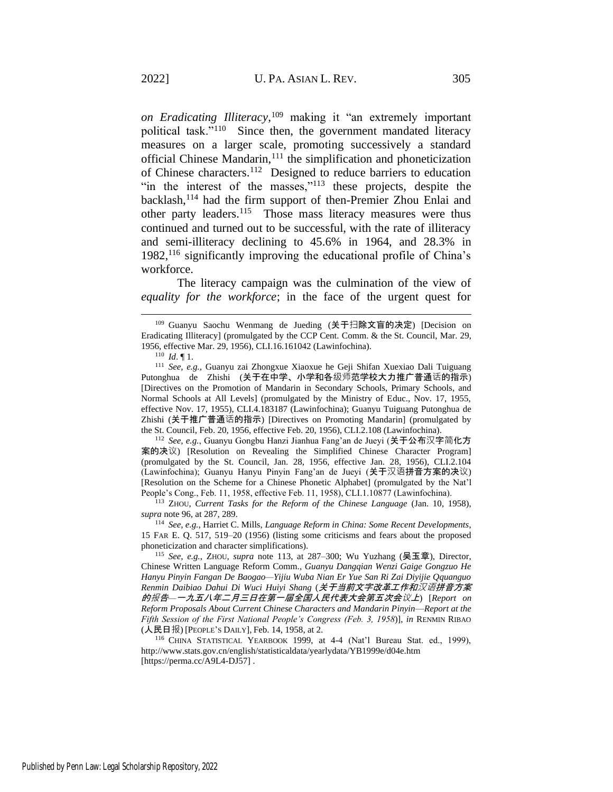<span id="page-22-0"></span>*on Eradicating Illiteracy*, <sup>109</sup> making it "an extremely important political task."<sup>110</sup> Since then, the government mandated literacy measures on a larger scale, promoting successively a standard official Chinese Mandarin, $111$  the simplification and phoneticization of Chinese characters.<sup>112</sup> Designed to reduce barriers to education "in the interest of the masses,"<sup>113</sup> these projects, despite the backlash,<sup>114</sup> had the firm support of then-Premier Zhou Enlai and other party leaders.<sup>115</sup> Those mass literacy measures were thus continued and turned out to be successful, with the rate of illiteracy and semi-illiteracy declining to 45.6% in 1964, and 28.3% in 1982,<sup>116</sup> significantly improving the educational profile of China's workforce.

<span id="page-22-1"></span>The literacy campaign was the culmination of the view of *equality for the workforce*; in the face of the urgent quest for

<sup>112</sup> *See, e.g.*, Guanyu Gongbu Hanzi Jianhua Fang'an de Jueyi (关于公布汉字简化方 案的决议) [Resolution on Revealing the Simplified Chinese Character Program] (promulgated by the St. Council, Jan. 28, 1956, effective Jan. 28, 1956), CLI.2.104 (Lawinfochina); Guanyu Hanyu Pinyin Fang'an de Jueyi (关于汉语拼音方案的决议) [Resolution on the Scheme for a Chinese Phonetic Alphabet] (promulgated by the Nat'l People's Cong., Feb. 11, 1958, effective Feb. 11, 1958), CLI.1.10877 (Lawinfochina).

<sup>113</sup> ZHOU, *Current Tasks for the Reform of the Chinese Language* (Jan. 10, 1958), *supra* not[e 96,](#page-20-0) at 287, 289.

<sup>114</sup> *See, e.g.*, Harriet C. Mills, *Language Reform in China: Some Recent Developments*, 15 FAR E. Q. 517, 519–20 (1956) (listing some criticisms and fears about the proposed phoneticization and character simplifications).

<sup>115</sup> *See, e.g.*, ZHOU, *supra* note [113,](#page-22-0) at 287–300; Wu Yuzhang (吴玉章), Director, Chinese Written Language Reform Comm.*, Guanyu Dangqian Wenzi Gaige Gongzuo He Hanyu Pinyin Fangan De Baogao—Yijiu Wuba Nian Er Yue San Ri Zai Diyijie Qquanguo Renmin Daibiao Dahui Di Wuci Huiyi Shang* (关于当前文字改革工作和汉语拼音方案 的报告*—*一九五八年二月三日在第一届全国人民代表大会第五次会议上) [*Report on Reform Proposals About Current Chinese Characters and Mandarin Pinyin*—*Report at the Fifth Session of the First National People's Congress (Feb. 3, 1958*)], *in* RENMIN RIBAO (人民日报) [PEOPLE'S DAILY], Feb. 14, 1958, at 2.

<sup>116</sup> CHINA STATISTICAL YEARBOOK 1999, at 4-4 (Nat'l Bureau Stat. ed., 1999), http://www.stats.gov.cn/english/statisticaldata/yearlydata/YB1999e/d04e.htm [https://perma.cc/A9L4-DJ57].

<sup>109</sup> Guanyu Saochu Wenmang de Jueding (关于扫除文盲的决定) [Decision on Eradicating Illiteracy] (promulgated by the CCP Cent. Comm. & the St. Council, Mar. 29, 1956, effective Mar. 29, 1956), CLI.16.161042 (Lawinfochina).

<sup>110</sup> *Id*. ¶ 1.

<sup>111</sup> *See, e.g.*, Guanyu zai Zhongxue Xiaoxue he Geji Shifan Xuexiao Dali Tuiguang Putonghua de Zhishi (关于在中学、小学和各级师范学校大力推广普通话的指示) [Directives on the Promotion of Mandarin in Secondary Schools, Primary Schools, and Normal Schools at All Levels] (promulgated by the Ministry of Educ., Nov. 17, 1955, effective Nov. 17, 1955), CLI.4.183187 (Lawinfochina); Guanyu Tuiguang Putonghua de Zhishi (关于推广普通话的指示) [Directives on Promoting Mandarin] (promulgated by the St. Council, Feb. 20, 1956, effective Feb. 20, 1956), CLI.2.108 (Lawinfochina).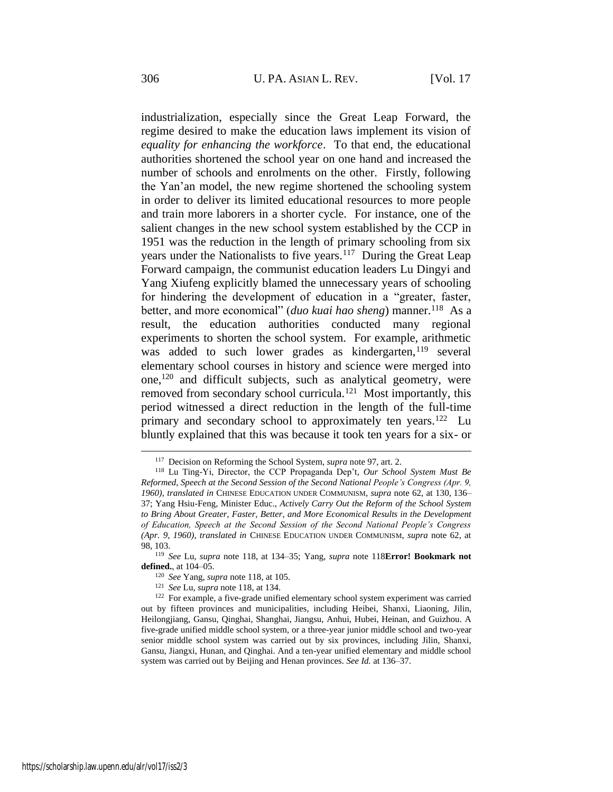industrialization, especially since the Great Leap Forward, the regime desired to make the education laws implement its vision of *equality for enhancing the workforce*. To that end, the educational authorities shortened the school year on one hand and increased the number of schools and enrolments on the other. Firstly, following the Yan'an model, the new regime shortened the schooling system in order to deliver its limited educational resources to more people and train more laborers in a shorter cycle. For instance, one of the salient changes in the new school system established by the CCP in 1951 was the reduction in the length of primary schooling from six years under the Nationalists to five years.<sup>117</sup> During the Great Leap Forward campaign, the communist education leaders Lu Dingyi and Yang Xiufeng explicitly blamed the unnecessary years of schooling for hindering the development of education in a "greater, faster, better, and more economical" (*duo kuai hao sheng*) manner.<sup>118</sup> As a result, the education authorities conducted many regional experiments to shorten the school system. For example, arithmetic was added to such lower grades as kindergarten,<sup>119</sup> several elementary school courses in history and science were merged into one, $120$  and difficult subjects, such as analytical geometry, were removed from secondary school curricula.<sup>121</sup> Most importantly, this period witnessed a direct reduction in the length of the full-time primary and secondary school to approximately ten years.<sup>122</sup> Lu bluntly explained that this was because it took ten years for a six- or

<span id="page-23-0"></span><sup>117</sup> Decision on Reforming the School System, *supra* note [97,](#page-20-1) art. 2.

<sup>118</sup> Lu Ting-Yi, Director, the CCP Propaganda Dep't*, Our School System Must Be Reformed, Speech at the Second Session of the Second National People's Congress (Apr. 9, 1960)*, *translated in* CHINESE EDUCATION UNDER COMMUNISM, *supra* note [62,](#page-14-3) at 130, 136– 37; Yang Hsiu-Feng, Minister Educ., *Actively Carry Out the Reform of the School System to Bring About Greater, Faster, Better, and More Economical Results in the Development of Education, Speech at the Second Session of the Second National People's Congress (Apr. 9, 1960)*, *translated in* CHINESE EDUCATION UNDER COMMUNISM, *supra* note [62,](#page-14-3) at 98, 103.

<sup>119</sup> *See* Lu, *supra* note [118,](#page-23-0) at 134–35; Yang, *supra* note [118](#page-23-0)**Error! Bookmark not defined.**, at 104–05.

<sup>120</sup> *See* Yang, *supra* not[e 118,](#page-23-0) at 105.

<sup>121</sup> *See* Lu, *supra* note [118,](#page-23-0) at 134.

<sup>&</sup>lt;sup>122</sup> For example, a five-grade unified elementary school system experiment was carried out by fifteen provinces and municipalities, including Heibei, Shanxi, Liaoning, Jilin, Heilongjiang, Gansu, Qinghai, Shanghai, Jiangsu, Anhui, Hubei, Heinan, and Guizhou. A five-grade unified middle school system, or a three-year junior middle school and two-year senior middle school system was carried out by six provinces, including Jilin, Shanxi, Gansu, Jiangxi, Hunan, and Qinghai. And a ten-year unified elementary and middle school system was carried out by Beijing and Henan provinces. *See Id.* at 136–37.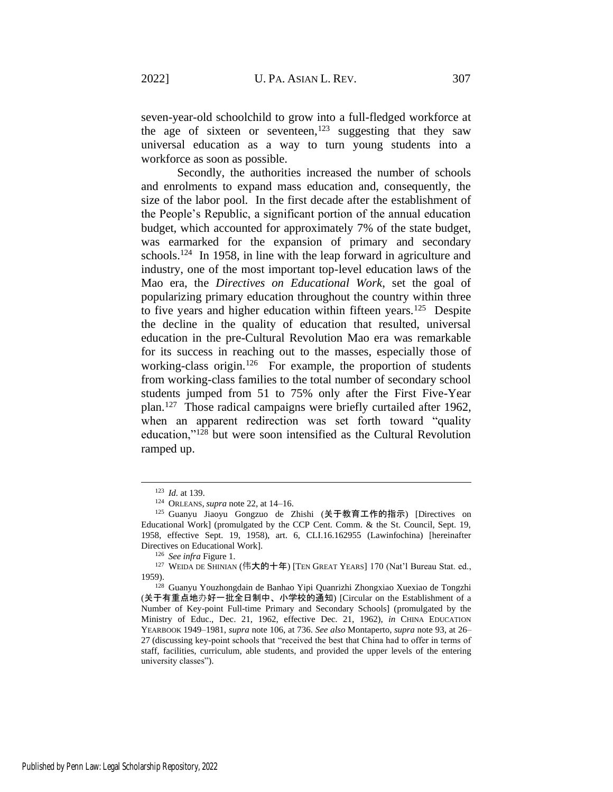seven-year-old schoolchild to grow into a full-fledged workforce at the age of sixteen or seventeen,<sup>123</sup> suggesting that they saw universal education as a way to turn young students into a workforce as soon as possible.

<span id="page-24-0"></span>Secondly, the authorities increased the number of schools and enrolments to expand mass education and, consequently, the size of the labor pool. In the first decade after the establishment of the People's Republic, a significant portion of the annual education budget, which accounted for approximately 7% of the state budget, was earmarked for the expansion of primary and secondary schools.<sup>124</sup> In 1958, in line with the leap forward in agriculture and industry, one of the most important top-level education laws of the Mao era, the *Directives on Educational Work*, set the goal of popularizing primary education throughout the country within three to five years and higher education within fifteen years.<sup>125</sup> Despite the decline in the quality of education that resulted, universal education in the pre-Cultural Revolution Mao era was remarkable for its success in reaching out to the masses, especially those of working-class origin.<sup>126</sup> For example, the proportion of students from working-class families to the total number of secondary school students jumped from 51 to 75% only after the First Five-Year plan.<sup>127</sup> Those radical campaigns were briefly curtailed after 1962, when an apparent redirection was set forth toward "quality education,"<sup>128</sup> but were soon intensified as the Cultural Revolution ramped up.

<sup>123</sup> *Id.* at 139.

<sup>124</sup> ORLEANS,*supra* not[e 22,](#page-7-0) at 14–16.

<sup>125</sup> Guanyu Jiaoyu Gongzuo de Zhishi (关于教育工作的指示) [Directives on Educational Work] (promulgated by the CCP Cent. Comm. & the St. Council, Sept. 19, 1958, effective Sept. 19, 1958), art. 6, CLI.16.162955 (Lawinfochina) [hereinafter Directives on Educational Work].

<sup>126</sup> *See infra* Figure 1.

<sup>&</sup>lt;sup>127</sup> WEIDA DE SHINIAN (伟大的十年) [TEN GREAT YEARS] 170 (Nat'l Bureau Stat. ed., 1959).

<sup>128</sup> Guanyu Youzhongdain de Banhao Yipi Quanrizhi Zhongxiao Xuexiao de Tongzhi (关于有重点地办好一批全日制中、小学校的通知) [Circular on the Establishment of a Number of Key-point Full-time Primary and Secondary Schools] (promulgated by the Ministry of Educ., Dec. 21, 1962, effective Dec. 21, 1962), *in* CHINA EDUCATION YEARBOOK 1949–1981, *supra* not[e 106,](#page-21-0) at 736. *See also* Montaperto, *supra* note [93](#page-19-0)*,* at 26– 27 (discussing key-point schools that "received the best that China had to offer in terms of staff, facilities, curriculum, able students, and provided the upper levels of the entering university classes").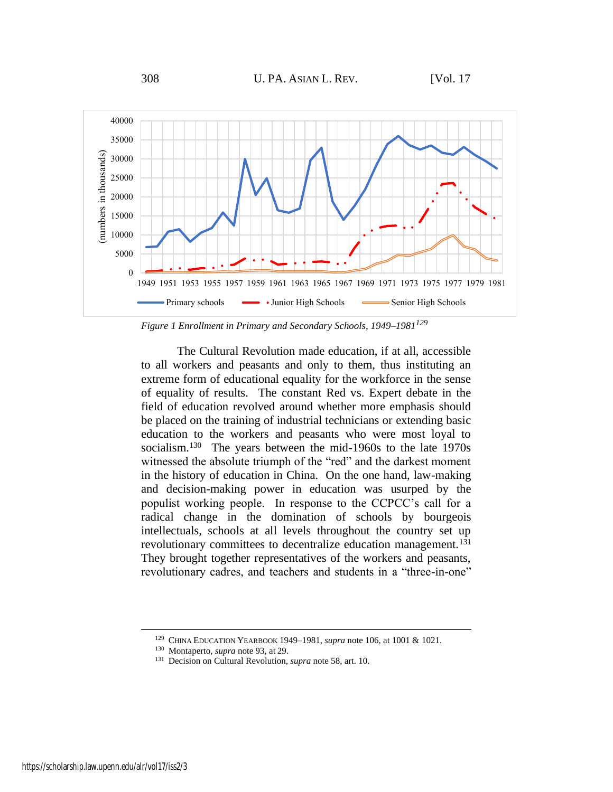

*Figure 1 Enrollment in Primary and Secondary Schools, 1949–1981<sup>129</sup>*

The Cultural Revolution made education, if at all, accessible to all workers and peasants and only to them, thus instituting an extreme form of educational equality for the workforce in the sense of equality of results. The constant Red vs. Expert debate in the field of education revolved around whether more emphasis should be placed on the training of industrial technicians or extending basic education to the workers and peasants who were most loyal to socialism.<sup>130</sup> The years between the mid-1960s to the late 1970s witnessed the absolute triumph of the "red" and the darkest moment in the history of education in China. On the one hand, law-making and decision-making power in education was usurped by the populist working people. In response to the CCPCC's call for a radical change in the domination of schools by bourgeois intellectuals, schools at all levels throughout the country set up revolutionary committees to decentralize education management.<sup>131</sup> They brought together representatives of the workers and peasants, revolutionary cadres, and teachers and students in a "three-in-one"

<sup>129</sup> CHINA EDUCATION YEARBOOK 1949–1981, *supra* note [106,](#page-21-0) at 1001 & 1021.

<sup>130</sup> Montaperto, *supra* not[e 93,](#page-19-0) at 29.

<sup>131</sup> Decision on Cultural Revolution, *supra* not[e 58,](#page-13-0) art. 10.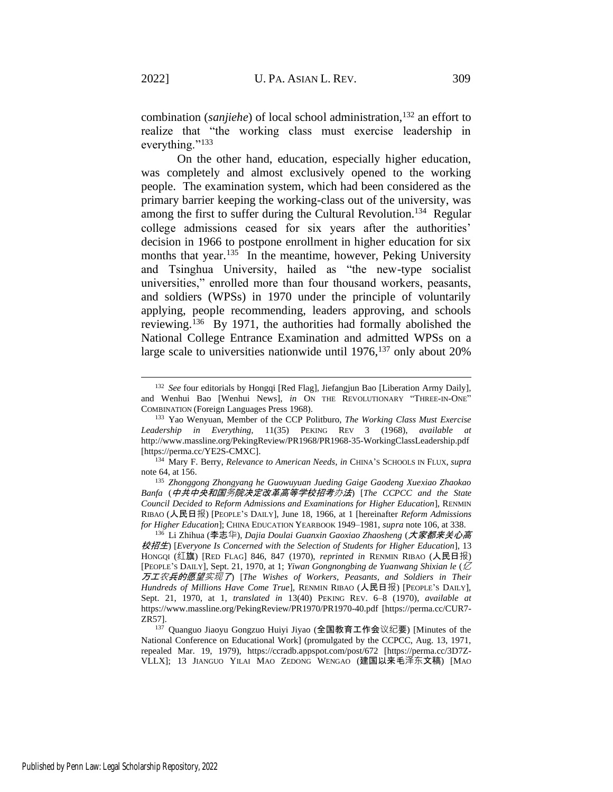combination (*sanjiehe*) of local school administration,<sup>132</sup> an effort to realize that "the working class must exercise leadership in everything."<sup>133</sup>

<span id="page-26-0"></span>On the other hand, education, especially higher education, was completely and almost exclusively opened to the working people. The examination system, which had been considered as the primary barrier keeping the working-class out of the university, was among the first to suffer during the Cultural Revolution.<sup>134</sup> Regular college admissions ceased for six years after the authorities' decision in 1966 to postpone enrollment in higher education for six months that year.<sup>135</sup> In the meantime, however, Peking University and Tsinghua University, hailed as "the new-type socialist universities," enrolled more than four thousand workers, peasants, and soldiers (WPSs) in 1970 under the principle of voluntarily applying, people recommending, leaders approving, and schools reviewing.<sup>136</sup> By 1971, the authorities had formally abolished the National College Entrance Examination and admitted WPSs on a large scale to universities nationwide until  $1976$ ,  $137$  only about  $20\%$ 

<sup>&</sup>lt;sup>132</sup> *See* four editorials by Hongqi [Red Flag], Jiefangjun Bao [Liberation Army Daily], and Wenhui Bao [Wenhui News], *in* ON THE REVOLUTIONARY "THREE-IN-ONE" COMBINATION (Foreign Languages Press 1968).

<sup>133</sup> Yao Wenyuan, Member of the CCP Politburo, *The Working Class Must Exercise Leadership in Everything,* 11(35) PEKING REV 3 (1968), *available at* http://www.massline.org/PekingReview/PR1968/PR1968-35-WorkingClassLeadership.pdf [https://perma.cc/YE2S-CMXC].

<sup>134</sup> Mary F. Berry, *Relevance to American Needs*, *in* CHINA'S SCHOOLS IN FLUX, *supra* note [64,](#page-14-4) at 156.

<sup>135</sup> *Zhonggong Zhongyang he Guowuyuan Jueding Gaige Gaodeng Xuexiao Zhaokao Banfa* (中共中央和国务院决定改革高等学校招考办法) [*The CCPCC and the State Council Decided to Reform Admissions and Examinations for Higher Education*], RENMIN RIBAO (人民日报) [PEOPLE'S DAILY], June 18, 1966, at 1 [hereinafter *Reform Admissions for Higher Education*]; CHINA EDUCATION YEARBOOK 1949–1981, *supra* note [106,](#page-21-0) at 338.

<sup>136</sup> Li Zhihua (李志华), *Dajia Doulai Guanxin Gaoxiao Zhaosheng* (大家都来关心高 校招生) [*Everyone Is Concerned with the Selection of Students for Higher Education*], 13 HONGQI (红旗) [RED FLAG] 846, 847 (1970), *reprinted in* RENMIN RIBAO (人民日报) [PEOPLE'S DAILY], Sept. 21, 1970, at 1; *Yiwan Gongnongbing de Yuanwang Shixian le* (亿 万工农兵的愿望实现了) [*The Wishes of Workers, Peasants, and Soldiers in Their Hundreds of Millions Have Come True*], RENMIN RIBAO (人民日报) [PEOPLE'S DAILY], Sept. 21, 1970, at 1, *translated in* 13(40) PEKING REV. 6–8 (1970), *available at* https://www.massline.org/PekingReview/PR1970/PR1970-40.pdf [https://perma.cc/CUR7- ZR57].

<sup>137</sup> Quanguo Jiaoyu Gongzuo Huiyi Jiyao (全国教育工作会议纪要) [Minutes of the National Conference on Educational Work] (promulgated by the CCPCC, Aug. 13, 1971, repealed Mar. 19, 1979), https://ccradb.appspot.com/post/672 [https://perma.cc/3D7Z-VLLX]; 13 JIANGUO YILAI MAO ZEDONG WENGAO (建国以来毛泽东文稿) [MAO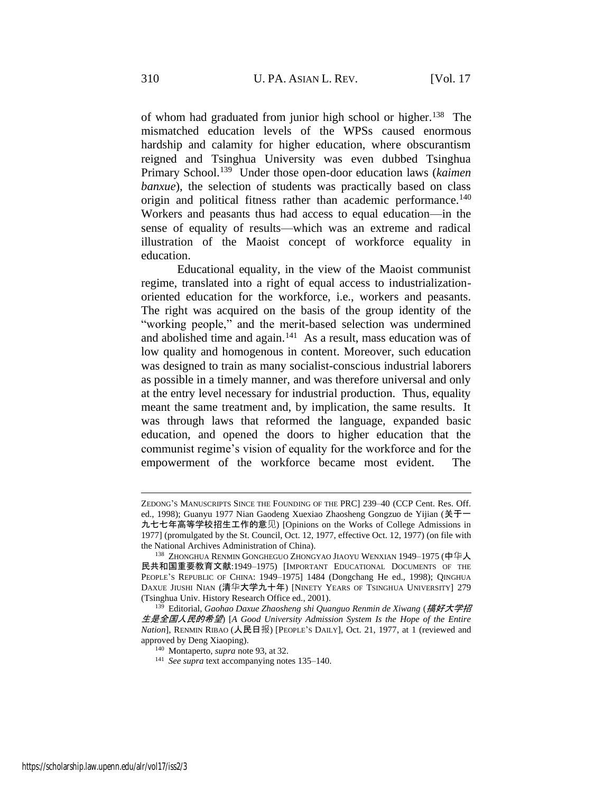of whom had graduated from junior high school or higher.<sup>138</sup> The mismatched education levels of the WPSs caused enormous hardship and calamity for higher education, where obscurantism reigned and Tsinghua University was even dubbed Tsinghua Primary School.<sup>139</sup> Under those open-door education laws (kaimen *banxue*), the selection of students was practically based on class origin and political fitness rather than academic performance.<sup>140</sup> Workers and peasants thus had access to equal education—in the sense of equality of results—which was an extreme and radical illustration of the Maoist concept of workforce equality in education.

<span id="page-27-0"></span>Educational equality, in the view of the Maoist communist regime, translated into a right of equal access to industrializationoriented education for the workforce, i.e., workers and peasants. The right was acquired on the basis of the group identity of the "working people," and the merit-based selection was undermined and abolished time and again.<sup>141</sup> As a result, mass education was of low quality and homogenous in content. Moreover, such education was designed to train as many socialist-conscious industrial laborers as possible in a timely manner, and was therefore universal and only at the entry level necessary for industrial production. Thus, equality meant the same treatment and, by implication, the same results. It was through laws that reformed the language, expanded basic education, and opened the doors to higher education that the communist regime's vision of equality for the workforce and for the empowerment of the workforce became most evident. The

ZEDONG'S MANUSCRIPTS SINCE THE FOUNDING OF THE PRC] 239–40 (CCP Cent. Res. Off. ed., 1998); Guanyu 1977 Nian Gaodeng Xuexiao Zhaosheng Gongzuo de Yijian (关于一 九七七年高等学校招生工作的意见) [Opinions on the Works of College Admissions in 1977] (promulgated by the St. Council, Oct. 12, 1977, effective Oct. 12, 1977) (on file with the National Archives Administration of China).

<sup>&</sup>lt;sup>138</sup> Zhonghua Renmin Gongheguo Zhongyao Jiaoyu Wenxian 1949–1975 (中华人 民共和国重要教育文献:1949–1975) [IMPORTANT EDUCATIONAL DOCUMENTS OF THE PEOPLE'S REPUBLIC OF CHINA: 1949-1975] 1484 (Dongchang He ed., 1998); QINGHUA DAXUE JIUSHI NIAN (清华大学九十年) [NINETY YEARS OF TSINGHUA UNIVERSITY] 279 (Tsinghua Univ. History Research Office ed., 2001).

<sup>&</sup>lt;sup>139</sup> Editorial, *Gaohao Daxue Zhaosheng shi Quanguo Renmin de Xiwang* (*搞好大学招* 生是全国人民的希望) [*A Good University Admission System Is the Hope of the Entire Nation*], RENMIN RIBAO (人民日报) [PEOPLE'S DAILY], Oct. 21, 1977, at 1 (reviewed and approved by Deng Xiaoping).

<sup>140</sup> Montaperto, *supra* not[e 93,](#page-19-0) at 32.

<sup>141</sup> *See supra* text accompanying note[s 135](#page-26-0)[–140.](#page-27-0)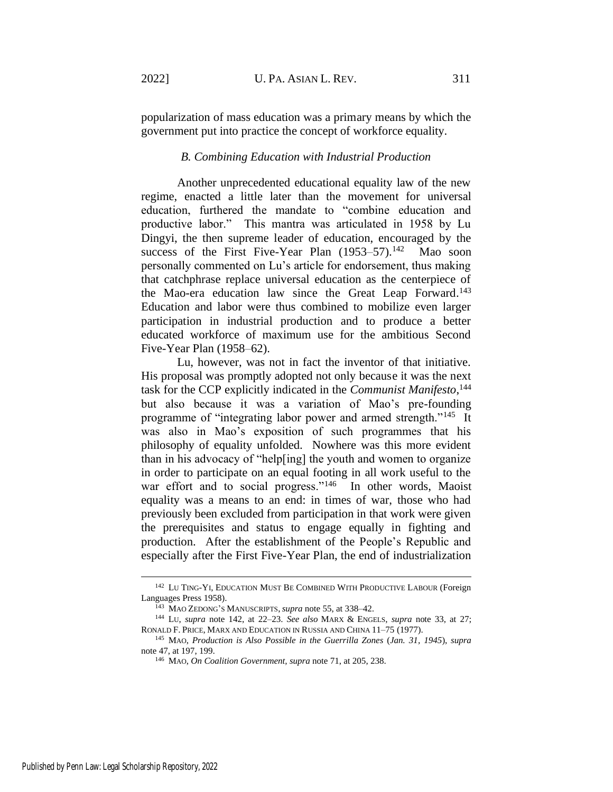popularization of mass education was a primary means by which the government put into practice the concept of workforce equality.

#### <span id="page-28-0"></span>*B. Combining Education with Industrial Production*

Another unprecedented educational equality law of the new regime, enacted a little later than the movement for universal education, furthered the mandate to "combine education and productive labor." This mantra was articulated in 1958 by Lu Dingyi, the then supreme leader of education, encouraged by the success of the First Five-Year Plan  $(1953-57)$ .<sup>142</sup> Mao soon personally commented on Lu's article for endorsement, thus making that catchphrase replace universal education as the centerpiece of the Mao-era education law since the Great Leap Forward.<sup>143</sup> Education and labor were thus combined to mobilize even larger participation in industrial production and to produce a better educated workforce of maximum use for the ambitious Second Five-Year Plan (1958–62).

Lu, however, was not in fact the inventor of that initiative. His proposal was promptly adopted not only because it was the next task for the CCP explicitly indicated in the *Communist Manifesto*, 144 but also because it was a variation of Mao's pre-founding programme of "integrating labor power and armed strength."<sup>145</sup> It was also in Mao's exposition of such programmes that his philosophy of equality unfolded. Nowhere was this more evident than in his advocacy of "help[ing] the youth and women to organize in order to participate on an equal footing in all work useful to the war effort and to social progress."<sup>146</sup> In other words, Maoist equality was a means to an end: in times of war, those who had previously been excluded from participation in that work were given the prerequisites and status to engage equally in fighting and production. After the establishment of the People's Republic and especially after the First Five-Year Plan, the end of industrialization

<sup>&</sup>lt;sup>142</sup> LU TING-YI, EDUCATION MUST BE COMBINED WITH PRODUCTIVE LABOUR (Foreign Languages Press 1958).

<sup>143</sup> MAO ZEDONG'S MANUSCRIPTS,*supra* not[e 55,](#page-13-1) at 338–42.

<sup>144</sup> LU, *supra* note [142,](#page-28-0) at 22–23. *See also* MARX & ENGELS, *supra* note [33,](#page-10-2) at 27; RONALD F. PRICE, MARX AND EDUCATION IN RUSSIA AND CHINA 11–75 (1977).

<sup>145</sup> MAO, *Production is Also Possible in the Guerrilla Zones* (*Jan. 31, 1945*), *supra* note [47,](#page-12-0) at 197, 199.

<sup>146</sup> MAO, *On Coalition Government, supra* note [71,](#page-15-0) at 205, 238.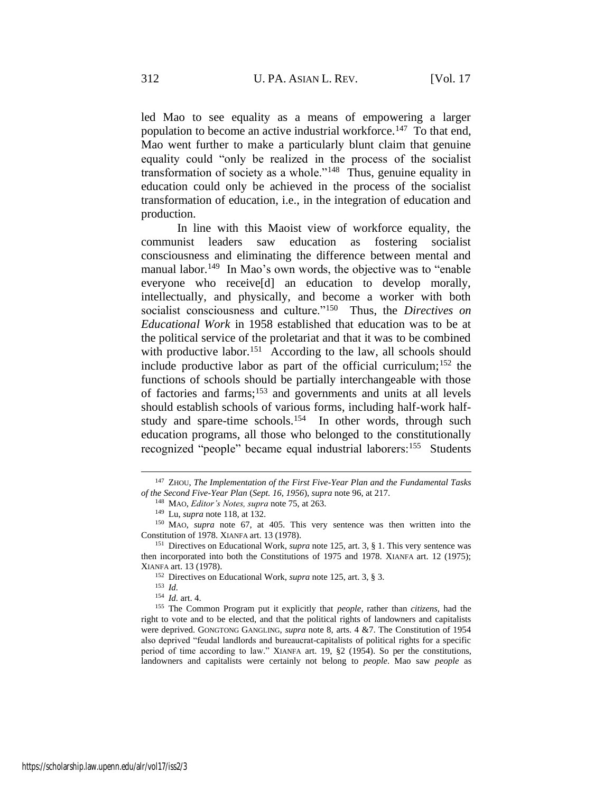led Mao to see equality as a means of empowering a larger population to become an active industrial workforce.<sup>147</sup> To that end, Mao went further to make a particularly blunt claim that genuine equality could "only be realized in the process of the socialist transformation of society as a whole."<sup>148</sup> Thus, genuine equality in education could only be achieved in the process of the socialist transformation of education, i.e., in the integration of education and production.

In line with this Maoist view of workforce equality, the communist leaders saw education as fostering socialist consciousness and eliminating the difference between mental and manual labor.<sup>149</sup> In Mao's own words, the objective was to "enable" everyone who receive[d] an education to develop morally, intellectually, and physically, and become a worker with both socialist consciousness and culture."<sup>150</sup> Thus, the *Directives on Educational Work* in 1958 established that education was to be at the political service of the proletariat and that it was to be combined with productive labor.<sup>151</sup> According to the law, all schools should include productive labor as part of the official curriculum;<sup>152</sup> the functions of schools should be partially interchangeable with those of factories and farms;<sup>153</sup> and governments and units at all levels should establish schools of various forms, including half-work halfstudy and spare-time schools.<sup>154</sup> In other words, through such education programs, all those who belonged to the constitutionally recognized "people" became equal industrial laborers:<sup>155</sup> Students

<sup>153</sup> *Id.*

<sup>154</sup> *Id.* art. 4.

<sup>147</sup> ZHOU, *The Implementation of the First Five-Year Plan and the Fundamental Tasks of the Second Five-Year Plan* (*Sept. 16, 1956*), *supra* note [96,](#page-20-0) at 217.

<sup>148</sup> MAO, *Editor's Notes, supra* note [75,](#page-16-0) at 263.

<sup>149</sup> Lu, *supra* not[e 118,](#page-23-0) at 132.

<sup>150</sup> MAO, *supra* note [67,](#page-15-2) at 405. This very sentence was then written into the Constitution of 1978. XIANFA art. 13 (1978).

<sup>151</sup> Directives on Educational Work, *supra* note [125,](#page-24-0) art. 3, § 1. This very sentence was then incorporated into both the Constitutions of 1975 and 1978. XIANFA art. 12 (1975); XIANFA art. 13 (1978).

<sup>152</sup> Directives on Educational Work, *supra* not[e 125,](#page-24-0) art. 3, § 3.

<sup>155</sup> The Common Program put it explicitly that *people*, rather than *citizens,* had the right to vote and to be elected, and that the political rights of landowners and capitalists were deprived. GONGTONG GANGLING, *supra* note [8,](#page-2-0) arts. 4 &7. The Constitution of 1954 also deprived "feudal landlords and bureaucrat-capitalists of political rights for a specific period of time according to law." XIANFA art. 19, §2 (1954). So per the constitutions, landowners and capitalists were certainly not belong to *people*. Mao saw *people* as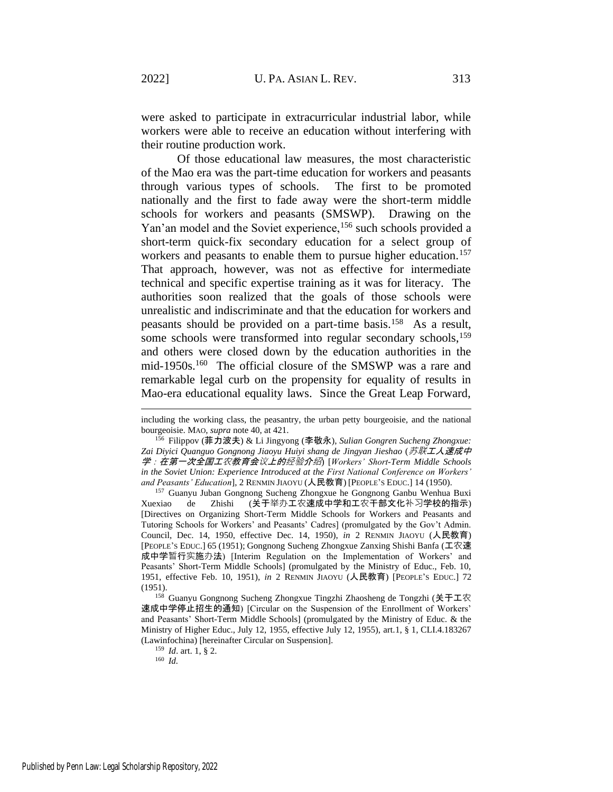were asked to participate in extracurricular industrial labor, while workers were able to receive an education without interfering with their routine production work.

Of those educational law measures, the most characteristic of the Mao era was the part-time education for workers and peasants through various types of schools. The first to be promoted nationally and the first to fade away were the short-term middle schools for workers and peasants (SMSWP). Drawing on the Yan'an model and the Soviet experience,<sup>156</sup> such schools provided a short-term quick-fix secondary education for a select group of workers and peasants to enable them to pursue higher education.<sup>157</sup> That approach, however, was not as effective for intermediate technical and specific expertise training as it was for literacy. The authorities soon realized that the goals of those schools were unrealistic and indiscriminate and that the education for workers and peasants should be provided on a part-time basis.<sup>158</sup> As a result, some schools were transformed into regular secondary schools,<sup>159</sup> and others were closed down by the education authorities in the mid-1950s.<sup>160</sup> The official closure of the SMSWP was a rare and remarkable legal curb on the propensity for equality of results in Mao-era educational equality laws. Since the Great Leap Forward,

including the working class, the peasantry, the urban petty bourgeoisie, and the national bourgeoisie. MAO, *supra* not[e 40,](#page-11-0) at 421.

<sup>156</sup> Filippov (菲力波夫) & Li Jingyong (李敬永), *Sulian Gongren Sucheng Zhongxue: Zai Diyici Quanguo Gongnong Jiaoyu Huiyi shang de Jingyan Jieshao* (苏联工人速成中 学:在第一次全国工农教育会议上的经验介绍) [*Workers' Short-Term Middle Schools in the Soviet Union: Experience Introduced at the First National Conference on Workers' and Peasants' Education*], 2 RENMIN JIAOYU (人民教育) [PEOPLE'S EDUC.] 14 (1950).

<sup>157</sup> Guanyu Juban Gongnong Sucheng Zhongxue he Gongnong Ganbu Wenhua Buxi Xuexiao de Zhishi (关于举办工农速成中学和工农干部文化补习学校的指示) [Directives on Organizing Short-Term Middle Schools for Workers and Peasants and Tutoring Schools for Workers' and Peasants' Cadres] (promulgated by the Gov't Admin. Council, Dec. 14, 1950, effective Dec. 14, 1950), *in* 2 RENMIN JIAOYU (人民教育) [PEOPLE'S EDUC.] 65 (1951); Gongnong Sucheng Zhongxue Zanxing Shishi Banfa (工农速 成中学暂行实施办法) [Interim Regulation on the Implementation of Workers' and Peasants' Short-Term Middle Schools] (promulgated by the Ministry of Educ., Feb. 10, 1951, effective Feb. 10, 1951), *in* 2 RENMIN JIAOYU (人民教育) [PEOPLE'S EDUC.] 72 (1951).

<sup>158</sup> Guanyu Gongnong Sucheng Zhongxue Tingzhi Zhaosheng de Tongzhi (关于工农 速成中学停止招生的通知) [Circular on the Suspension of the Enrollment of Workers' and Peasants' Short-Term Middle Schools] (promulgated by the Ministry of Educ. & the Ministry of Higher Educ., July 12, 1955, effective July 12, 1955), art.1, § 1, CLI.4.183267 (Lawinfochina) [hereinafter Circular on Suspension].

<sup>159</sup> *Id*. art. 1, § 2.

<sup>160</sup> *Id.*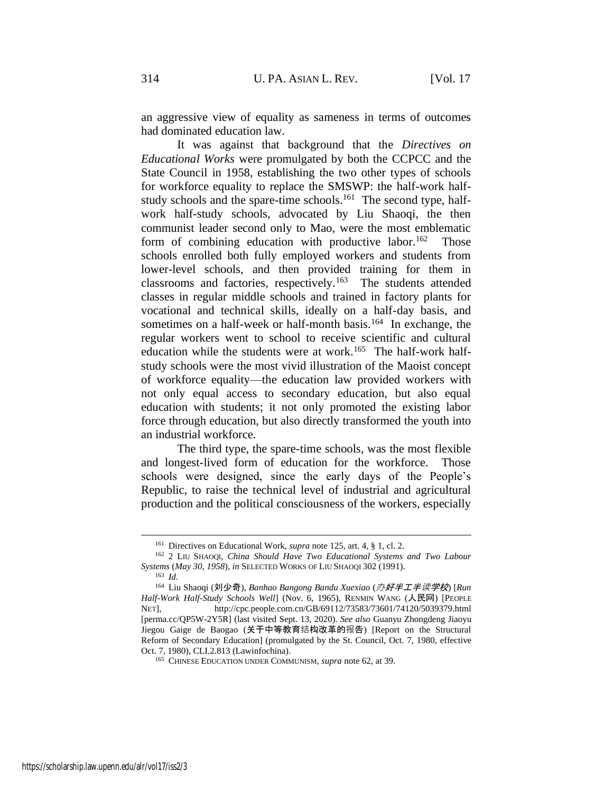an aggressive view of equality as sameness in terms of outcomes had dominated education law.

It was against that background that the *Directives on Educational Works* were promulgated by both the CCPCC and the State Council in 1958, establishing the two other types of schools for workforce equality to replace the SMSWP: the half-work halfstudy schools and the spare-time schools.<sup>161</sup> The second type, halfwork half-study schools, advocated by Liu Shaoqi, the then communist leader second only to Mao, were the most emblematic form of combining education with productive labor.<sup>162</sup> Those schools enrolled both fully employed workers and students from lower-level schools, and then provided training for them in classrooms and factories, respectively.<sup>163</sup> The students attended classes in regular middle schools and trained in factory plants for vocational and technical skills, ideally on a half-day basis, and sometimes on a half-week or half-month basis.<sup>164</sup> In exchange, the regular workers went to school to receive scientific and cultural education while the students were at work.<sup>165</sup> The half-work halfstudy schools were the most vivid illustration of the Maoist concept of workforce equality—the education law provided workers with not only equal access to secondary education, but also equal education with students; it not only promoted the existing labor force through education, but also directly transformed the youth into an industrial workforce.

The third type, the spare-time schools, was the most flexible and longest-lived form of education for the workforce. Those schools were designed, since the early days of the People's Republic, to raise the technical level of industrial and agricultural production and the political consciousness of the workers, especially

<sup>161</sup> Directives on Educational Work, *supra* not[e 125,](#page-24-0) art. 4, § 1, cl. 2.

<span id="page-31-0"></span><sup>162</sup> 2 LIU SHAOQI, *China Should Have Two Educational Systems and Two Labour Systems* (*May 30, 1958*)*, in* SELECTED WORKS OF LIU SHAOQI 302 (1991).

<sup>163</sup> *Id.*

<sup>&</sup>lt;sup>164</sup> Liu Shaoqi (刘少奇), *Banhao Bangong Bandu Xuexiao (办好半工半读学校*) [*Run Half-Work Half-Study Schools Well*] (Nov. 6, 1965), RENMIN WANG (人民网) [PEOPLE NET], http://cpc.people.com.cn/GB/69112/73583/73601/74120/5039379.html [perma.cc/QP5W-2Y5R] (last visited Sept. 13, 2020). *See also* Guanyu Zhongdeng Jiaoyu Jiegou Gaige de Baogao (关于中等教育结构改革的报告) [Report on the Structural Reform of Secondary Education] (promulgated by the St. Council, Oct. 7, 1980, effective Oct. 7, 1980), CLI.2.813 (Lawinfochina).

<sup>165</sup> CHINESE EDUCATION UNDER COMMUNISM, *supra* note [62,](#page-14-3) at 39.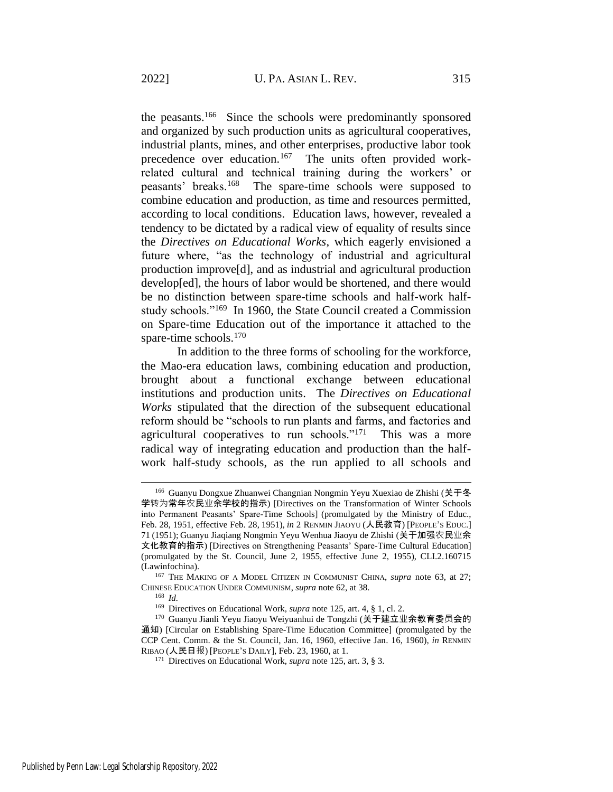the peasants.<sup>166</sup> Since the schools were predominantly sponsored and organized by such production units as agricultural cooperatives, industrial plants, mines, and other enterprises, productive labor took precedence over education.<sup>167</sup> The units often provided workrelated cultural and technical training during the workers' or peasants' breaks.<sup>168</sup> The spare-time schools were supposed to combine education and production, as time and resources permitted, according to local conditions. Education laws, however, revealed a tendency to be dictated by a radical view of equality of results since the *Directives on Educational Works*, which eagerly envisioned a future where, "as the technology of industrial and agricultural production improve[d], and as industrial and agricultural production develop[ed], the hours of labor would be shortened, and there would be no distinction between spare-time schools and half-work halfstudy schools."<sup>169</sup> In 1960, the State Council created a Commission on Spare-time Education out of the importance it attached to the spare-time schools.<sup>170</sup>

In addition to the three forms of schooling for the workforce, the Mao-era education laws, combining education and production, brought about a functional exchange between educational institutions and production units. The *Directives on Educational Works* stipulated that the direction of the subsequent educational reform should be "schools to run plants and farms, and factories and agricultural cooperatives to run schools."<sup>171</sup> This was a more radical way of integrating education and production than the halfwork half-study schools, as the run applied to all schools and

<sup>166</sup> Guanyu Dongxue Zhuanwei Changnian Nongmin Yeyu Xuexiao de Zhishi (关于冬 学转为常年农民业余学校的指示) [Directives on the Transformation of Winter Schools into Permanent Peasants' Spare-Time Schools] (promulgated by the Ministry of Educ., Feb. 28, 1951, effective Feb. 28, 1951), *in* 2 RENMIN JIAOYU (人民教育) [PEOPLE's EDUC.] 71 (1951); Guanyu Jiaqiang Nongmin Yeyu Wenhua Jiaoyu de Zhishi (关于加强农民业余 文化教育的指示) [Directives on Strengthening Peasants' Spare-Time Cultural Education] (promulgated by the St. Council, June 2, 1955, effective June 2, 1955), CLI.2.160715 (Lawinfochina).

<sup>&</sup>lt;sup>167</sup> THE MAKING OF A MODEL CITIZEN IN COMMUNIST CHINA, *supra* note [63,](#page-14-1) at 27; CHINESE EDUCATION UNDER COMMUNISM, *supra* note [62,](#page-14-3) at 38.

<sup>168</sup> *Id.*

<sup>169</sup> Directives on Educational Work, *supra* not[e 125,](#page-24-0) art. 4, § 1, cl. 2.

<span id="page-32-0"></span><sup>170</sup> Guanyu Jianli Yeyu Jiaoyu Weiyuanhui de Tongzhi (关于建立业余教育委员会的 通知) [Circular on Establishing Spare-Time Education Committee] (promulgated by the CCP Cent. Comm. & the St. Council, Jan. 16, 1960, effective Jan. 16, 1960), *in* RENMIN RIBAO (人民日报) [PEOPLE'S DAILY], Feb. 23, 1960, at 1.

<sup>171</sup> Directives on Educational Work, *supra* not[e 125,](#page-24-0) art. 3, § 3.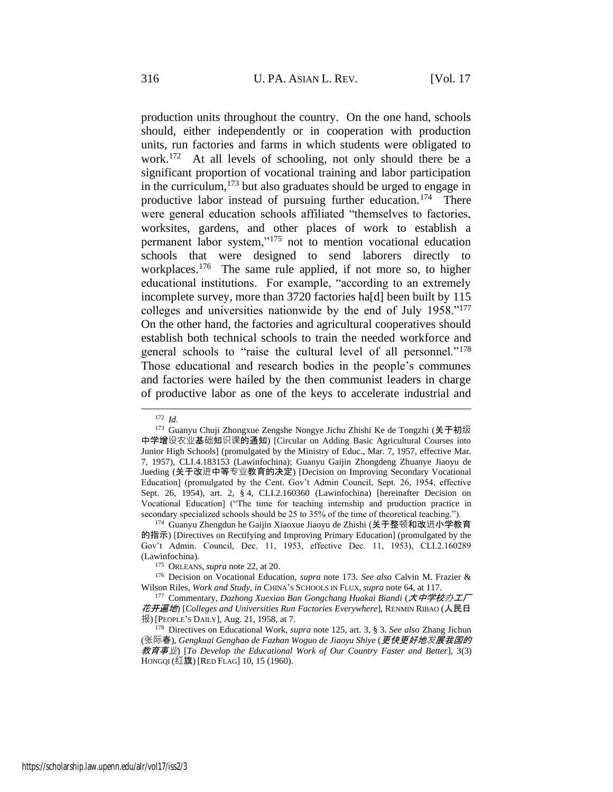<span id="page-33-0"></span>production units throughout the country. On the one hand, schools should, either independently or in cooperation with production units, run factories and farms in which students were obligated to work.<sup>172</sup> At all levels of schooling, not only should there be a significant proportion of vocational training and labor participation in the curriculum,  $173$  but also graduates should be urged to engage in productive labor instead of pursuing further education.<sup>174</sup> There were general education schools affiliated "themselves to factories, worksites, gardens, and other places of work to establish a permanent labor system,"<sup>175</sup> not to mention vocational education schools that were designed to send laborers directly to workplaces.<sup>176</sup> The same rule applied, if not more so, to higher educational institutions. For example, "according to an extremely incomplete survey, more than 3720 factories ha[d] been built by 115 colleges and universities nationwide by the end of July 1958."<sup>177</sup> On the other hand, the factories and agricultural cooperatives should establish both technical schools to train the needed workforce and general schools to "raise the cultural level of all personnel."<sup>178</sup> Those educational and research bodies in the people's communes and factories were hailed by the then communist leaders in charge of productive labor as one of the keys to accelerate industrial and

<span id="page-33-1"></span><sup>172</sup> *Id.*

<sup>173</sup> Guanyu Chuji Zhongxue Zengshe Nongye Jichu Zhishi Ke de Tongzhi (关于初级 中学增设农业基础知识课的通知) [Circular on Adding Basic Agricultural Courses into Junior High Schools] (promulgated by the Ministry of Educ., Mar. 7, 1957, effective Mar. 7, 1957), CLI.4.183153 (Lawinfochina); Guanyu Gaijin Zhongdeng Zhuanye Jiaoyu de Jueding (关于改进中等专业教育的决定) [Decision on Improving Secondary Vocational Education] (promulgated by the Cent. Gov't Admin Council, Sept. 26, 1954, effective Sept. 26, 1954), art. 2, § 4, CLI.2.160360 (Lawinfochina) [hereinafter Decision on Vocational Education] ("The time for teaching internship and production practice in secondary specialized schools should be 25 to 35% of the time of theoretical teaching.").

<sup>&</sup>lt;sup>174</sup> Guanyu Zhengdun he Gaijin Xiaoxue Jiaoyu de Zhishi (关于整顿和改进小学教育 的指示) [Directives on Rectifying and Improving Primary Education] (promulgated by the Gov't Admin. Council, Dec. 11, 1953, effective Dec. 11, 1953), CLI.2.160289 (Lawinfochina).

<sup>175</sup> ORLEANS,*supra* not[e 22,](#page-7-0) at 20.

<sup>176</sup> Decision on Vocational Education, *supra* note [173.](#page-33-0) *See also* Calvin M. Frazier & Wilson Riles, *Work and Study*, *in* CHINA'S SCHOOLS IN FLUX,*supra* not[e 64,](#page-14-4) at 117.

<sup>177</sup> Commentary, *Dazhong Xuexiao Ban Gongchang Huakai Biandi* (大中学校办工厂 花开遍地) [*Colleges and Universities Run Factories Everywhere*], RENMIN RIBAO (人民日 报) [PEOPLE'S DAILY], Aug. 21, 1958, at 7.

<sup>178</sup> Directives on Educational Work*, supra* note [125,](#page-24-0) art. 3, § 3. *See also* Zhang Jichun (张际春), *Gengkuai Genghao de Fazhan Woguo de Jiaoyu Shiye* (更快更好地发展我国的 教育事业) [*To Develop the Educational Work of Our Country Faster and Better*], 3(3) HONGQI (红旗) [RED FLAG] 10, 15 (1960).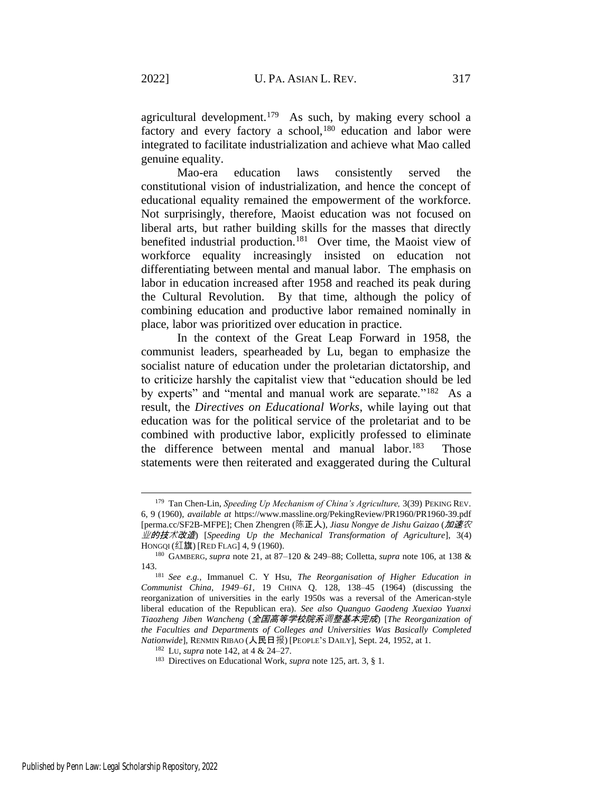agricultural development.<sup>179</sup> As such, by making every school a factory and every factory a school, $180$  education and labor were integrated to facilitate industrialization and achieve what Mao called genuine equality.

Mao-era education laws consistently served the constitutional vision of industrialization, and hence the concept of educational equality remained the empowerment of the workforce. Not surprisingly, therefore, Maoist education was not focused on liberal arts, but rather building skills for the masses that directly benefited industrial production.<sup>181</sup> Over time, the Maoist view of workforce equality increasingly insisted on education not differentiating between mental and manual labor. The emphasis on labor in education increased after 1958 and reached its peak during the Cultural Revolution. By that time, although the policy of combining education and productive labor remained nominally in place, labor was prioritized over education in practice.

In the context of the Great Leap Forward in 1958, the communist leaders, spearheaded by Lu, began to emphasize the socialist nature of education under the proletarian dictatorship, and to criticize harshly the capitalist view that "education should be led by experts" and "mental and manual work are separate."<sup>182</sup> As a result, the *Directives on Educational Works*, while laying out that education was for the political service of the proletariat and to be combined with productive labor, explicitly professed to eliminate the difference between mental and manual labor.<sup>183</sup> Those statements were then reiterated and exaggerated during the Cultural

<sup>179</sup> Tan Chen-Lin, *Speeding Up Mechanism of China's Agriculture,* 3(39) PEKING REV. 6, 9 (1960), *available at* https://www.massline.org/PekingReview/PR1960/PR1960-39.pdf [perma.cc/SF2B-MFPE]; Chen Zhengren (陈正人), *Jiasu Nongye de Jishu Gaizao* (加速农 业的技术改造) [*Speeding Up the Mechanical Transformation of Agriculture*], 3(4) HONGQI (红旗) [RED FLAG] 4, 9 (1960).

<sup>180</sup> GAMBERG, *supra* not[e 21,](#page-6-0) at 87–120 & 249–88; Colletta, *supra* note [106,](#page-21-0) at 138 & 143.

<sup>181</sup> *See e.g.,* Immanuel C. Y Hsu, *The Reorganisation of Higher Education in Communist China, 1949*–*61,* 19 CHINA Q. 128, 138–45 (1964) (discussing the reorganization of universities in the early 1950s was a reversal of the American-style liberal education of the Republican era). *See also Quanguo Gaodeng Xuexiao Yuanxi Tiaozheng Jiben Wancheng* (全国高等学校院系调整基本完成) [*The Reorganization of the Faculties and Departments of Colleges and Universities Was Basically Completed Nationwide*], RENMIN RIBAO (人民日报) [PEOPLE'S DAILY], Sept. 24, 1952, at 1.

<sup>182</sup> LU, *supra* note [142,](#page-28-0) at 4 & 24–27.

<sup>183</sup> Directives on Educational Work, *supra* not[e 125,](#page-24-0) art. 3, § 1.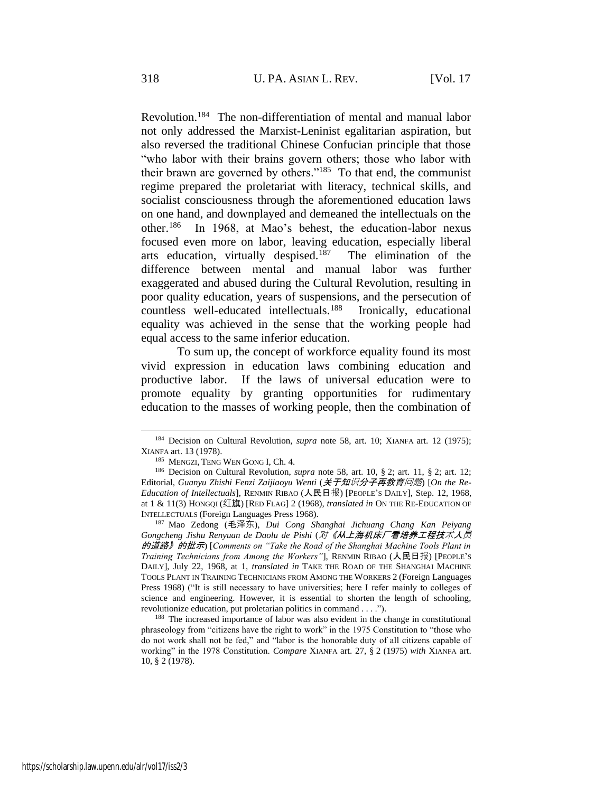Revolution.<sup>184</sup> The non-differentiation of mental and manual labor not only addressed the Marxist-Leninist egalitarian aspiration, but also reversed the traditional Chinese Confucian principle that those "who labor with their brains govern others; those who labor with their brawn are governed by others."<sup>185</sup> To that end, the communist regime prepared the proletariat with literacy, technical skills, and socialist consciousness through the aforementioned education laws on one hand, and downplayed and demeaned the intellectuals on the other.<sup>186</sup> In 1968, at Mao's behest, the education-labor nexus focused even more on labor, leaving education, especially liberal arts education, virtually despised.<sup>187</sup> The elimination of the difference between mental and manual labor was further exaggerated and abused during the Cultural Revolution, resulting in poor quality education, years of suspensions, and the persecution of countless well-educated intellectuals.<sup>188</sup> Ironically, educational equality was achieved in the sense that the working people had equal access to the same inferior education.

To sum up, the concept of workforce equality found its most vivid expression in education laws combining education and productive labor. If the laws of universal education were to promote equality by granting opportunities for rudimentary education to the masses of working people, then the combination of

<sup>184</sup> Decision on Cultural Revolution, *supra* note [58,](#page-13-0) art. 10; XIANFA art. 12 (1975); XIANFA art. 13 (1978).

<sup>185</sup> MENGZI, TENG WEN GONG I, Ch. 4.

<sup>186</sup> Decision on Cultural Revolution, *supra* note [58,](#page-13-0) art. 10, § 2; art. 11, § 2; art. 12; Editorial, *Guanyu Zhishi Fenzi Zaijiaoyu Wenti* (关于知识分子再教育问题) [*On the Re-Education of Intellectuals*], RENMIN RIBAO (人民日报) [PEOPLE'S DAILY], Step. 12, 1968, at 1 & 11(3) HONGQI (红旗) [RED FLAG] 2 (1968), *translated in* ON THE RE-EDUCATION OF INTELLECTUALS (Foreign Languages Press 1968).

<sup>187</sup> Mao Zedong (毛泽东), *Dui Cong Shanghai Jichuang Chang Kan Peiyang Gongcheng Jishu Renyuan de Daolu de Pishi* (对《从上海机床厂看培养工程技术人员 的道路》的批示) [*Comments on "Take the Road of the Shanghai Machine Tools Plant in Training Technicians from Among the Workers"*], RENMIN RIBAO (人民日报) [PEOPLE'S DAILY], July 22, 1968, at 1, *translated in* TAKE THE ROAD OF THE SHANGHAI MACHINE TOOLS PLANT IN TRAINING TECHNICIANS FROM AMONG THE WORKERS 2 (Foreign Languages Press 1968) ("It is still necessary to have universities; here I refer mainly to colleges of science and engineering. However, it is essential to shorten the length of schooling, revolutionize education, put proletarian politics in command . . . .").

<sup>&</sup>lt;sup>188</sup> The increased importance of labor was also evident in the change in constitutional phraseology from "citizens have the right to work" in the 1975 Constitution to "those who do not work shall not be fed," and "labor is the honorable duty of all citizens capable of working" in the 1978 Constitution. *Compare* XIANFA art. 27, § 2 (1975) *with* XIANFA art. 10, § 2 (1978).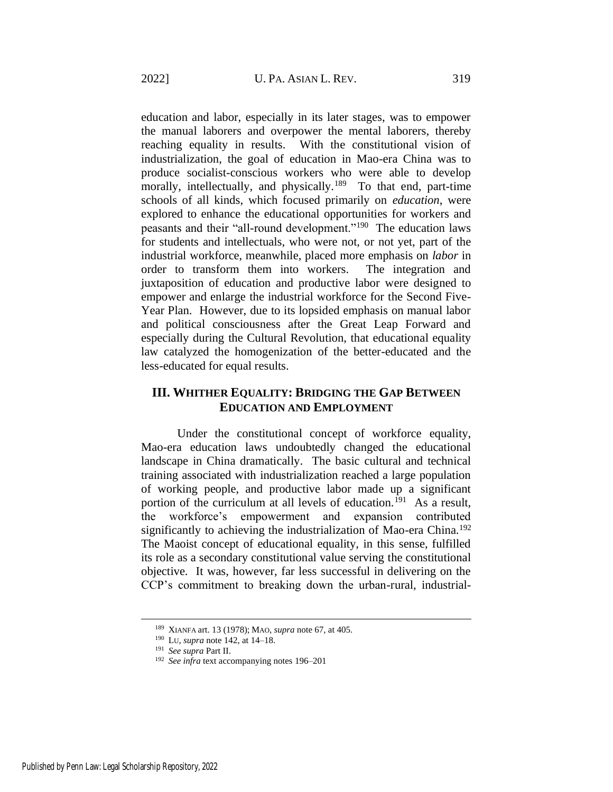education and labor, especially in its later stages, was to empower the manual laborers and overpower the mental laborers, thereby reaching equality in results. With the constitutional vision of industrialization, the goal of education in Mao-era China was to produce socialist-conscious workers who were able to develop morally, intellectually, and physically.<sup>189</sup> To that end, part-time schools of all kinds, which focused primarily on *education*, were explored to enhance the educational opportunities for workers and peasants and their "all-round development."<sup>190</sup> The education laws for students and intellectuals, who were not, or not yet, part of the industrial workforce, meanwhile, placed more emphasis on *labor* in order to transform them into workers. The integration and juxtaposition of education and productive labor were designed to empower and enlarge the industrial workforce for the Second Five-Year Plan. However, due to its lopsided emphasis on manual labor and political consciousness after the Great Leap Forward and especially during the Cultural Revolution, that educational equality

# **III. WHITHER EQUALITY: BRIDGING THE GAP BETWEEN EDUCATION AND EMPLOYMENT**

law catalyzed the homogenization of the better-educated and the

Under the constitutional concept of workforce equality, Mao-era education laws undoubtedly changed the educational landscape in China dramatically. The basic cultural and technical training associated with industrialization reached a large population of working people, and productive labor made up a significant portion of the curriculum at all levels of education.<sup>191</sup> As a result, the workforce's empowerment and expansion contributed significantly to achieving the industrialization of Mao-era China.<sup>192</sup> The Maoist concept of educational equality, in this sense, fulfilled its role as a secondary constitutional value serving the constitutional objective. It was, however, far less successful in delivering on the CCP's commitment to breaking down the urban-rural, industrial-

less-educated for equal results.

<sup>189</sup> XIANFA art. 13 (1978); MAO, *supra* not[e 67,](#page-15-2) at 405.

<sup>190</sup> LU, *supra* note [142,](#page-28-0) at 14–18.

<sup>191</sup> *See supra* Part II.

<sup>192</sup> *See infra* text accompanying note[s 196](#page-37-0)[–201](#page-37-1)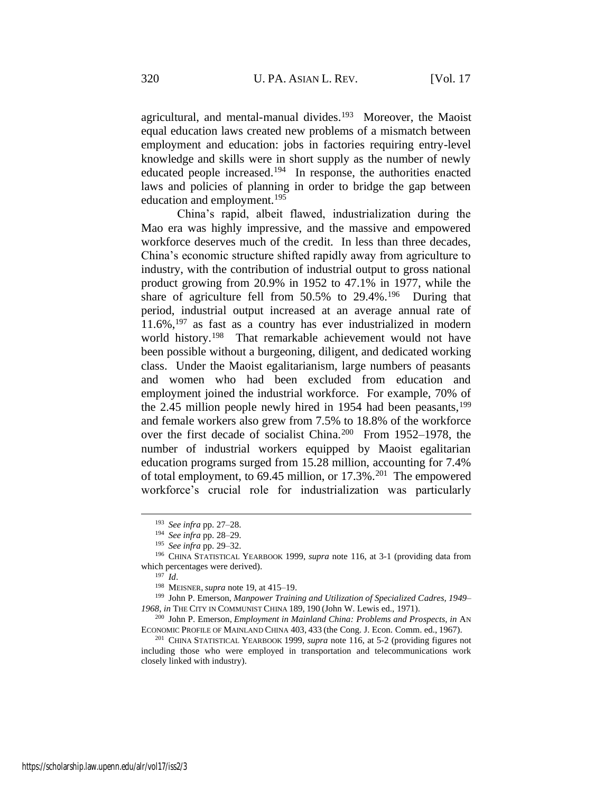agricultural, and mental-manual divides.<sup>193</sup> Moreover, the Maoist equal education laws created new problems of a mismatch between employment and education: jobs in factories requiring entry-level knowledge and skills were in short supply as the number of newly educated people increased.<sup>194</sup> In response, the authorities enacted laws and policies of planning in order to bridge the gap between education and employment.<sup>195</sup>

<span id="page-37-0"></span>China's rapid, albeit flawed, industrialization during the Mao era was highly impressive, and the massive and empowered workforce deserves much of the credit. In less than three decades, China's economic structure shifted rapidly away from agriculture to industry, with the contribution of industrial output to gross national product growing from 20.9% in 1952 to 47.1% in 1977, while the share of agriculture fell from 50.5% to 29.4%.<sup>196</sup> During that period, industrial output increased at an average annual rate of  $11.6\%$ ,<sup>197</sup> as fast as a country has ever industrialized in modern world history.<sup>198</sup> That remarkable achievement would not have been possible without a burgeoning, diligent, and dedicated working class. Under the Maoist egalitarianism, large numbers of peasants and women who had been excluded from education and employment joined the industrial workforce. For example, 70% of the 2.45 million people newly hired in 1954 had been peasants, $199$ and female workers also grew from 7.5% to 18.8% of the workforce over the first decade of socialist China.<sup>200</sup> From 1952–1978, the number of industrial workers equipped by Maoist egalitarian education programs surged from 15.28 million, accounting for 7.4% of total employment, to 69.45 million, or 17.3%.<sup>201</sup> The empowered workforce's crucial role for industrialization was particularly

<span id="page-37-1"></span><sup>193</sup> *See infra* pp[. 27–](#page-38-0)28.

<sup>194</sup> *See infra* pp. 28–29.

<sup>195</sup> *See infra* pp. 29[–32.](#page-45-0)

<sup>196</sup> CHINA STATISTICAL YEARBOOK 1999, *supra* note [116,](#page-22-1) at 3-1 (providing data from which percentages were derived).

<sup>197</sup> *Id*.

<sup>198</sup> MEISNER,*supra* not[e 19,](#page-5-1) at 415–19.

<sup>199</sup> John P. Emerson, *Manpower Training and Utilization of Specialized Cadres, 1949*– *1968*, *in* THE CITY IN COMMUNIST CHINA 189, 190 (John W. Lewis ed., 1971).

<sup>200</sup> John P. Emerson, *Employment in Mainland China: Problems and Prospects, in* AN ECONOMIC PROFILE OF MAINLAND CHINA 403, 433 (the Cong. J. Econ. Comm. ed., 1967).

<sup>201</sup> CHINA STATISTICAL YEARBOOK 1999, *supra* note [116,](#page-22-1) at 5-2 (providing figures not including those who were employed in transportation and telecommunications work closely linked with industry).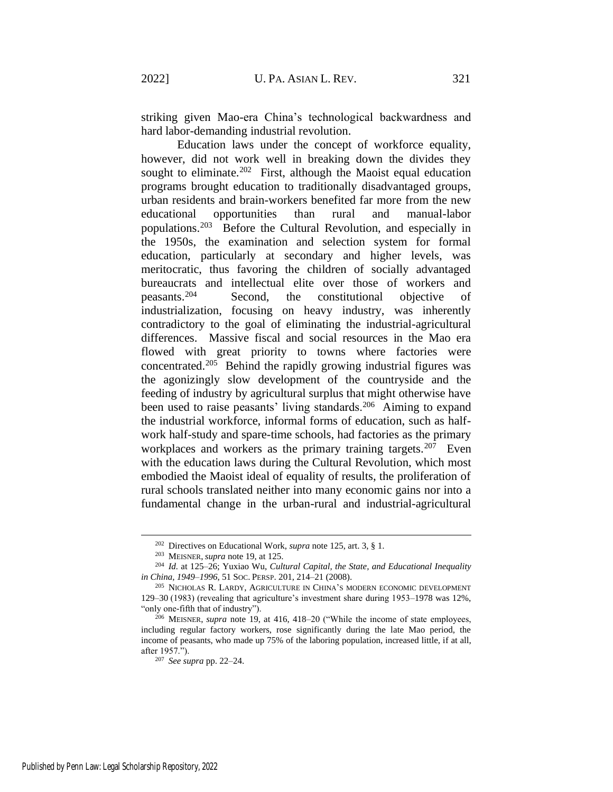striking given Mao-era China's technological backwardness and hard labor-demanding industrial revolution.

Education laws under the concept of workforce equality, however, did not work well in breaking down the divides they sought to eliminate.<sup>202</sup> First, although the Maoist equal education programs brought education to traditionally disadvantaged groups, urban residents and brain-workers benefited far more from the new educational opportunities than rural and manual-labor populations.<sup>203</sup> Before the Cultural Revolution, and especially in the 1950s, the examination and selection system for formal education, particularly at secondary and higher levels, was meritocratic, thus favoring the children of socially advantaged bureaucrats and intellectual elite over those of workers and peasants.<sup>204</sup> Second, the constitutional objective of industrialization, focusing on heavy industry, was inherently contradictory to the goal of eliminating the industrial-agricultural differences. Massive fiscal and social resources in the Mao era flowed with great priority to towns where factories were concentrated.<sup>205</sup> Behind the rapidly growing industrial figures was the agonizingly slow development of the countryside and the feeding of industry by agricultural surplus that might otherwise have been used to raise peasants' living standards.<sup>206</sup> Aiming to expand the industrial workforce, informal forms of education, such as halfwork half-study and spare-time schools, had factories as the primary workplaces and workers as the primary training targets.<sup>207</sup> Even with the education laws during the Cultural Revolution, which most embodied the Maoist ideal of equality of results, the proliferation of rural schools translated neither into many economic gains nor into a fundamental change in the urban-rural and industrial-agricultural

<span id="page-38-0"></span><sup>202</sup> Directives on Educational Work, *supra* not[e 125,](#page-24-0) art. 3, § 1.

<sup>203</sup> MEISNER,*supra* not[e 19,](#page-5-1) at 125.

<sup>204</sup> *Id.* at 125–26; Yuxiao Wu, *Cultural Capital, the State, and Educational Inequality in China, 1949–1996*, 51 SOC. PERSP. 201, 214–21 (2008).

<sup>205</sup> NICHOLAS R. LARDY, AGRICULTURE IN CHINA'S MODERN ECONOMIC DEVELOPMENT 129–30 (1983) (revealing that agriculture's investment share during 1953–1978 was 12%, "only one-fifth that of industry").

<sup>206</sup> MEISNER, *supra* note [19,](#page-5-1) at 416, 418–20 ("While the income of state employees, including regular factory workers, rose significantly during the late Mao period, the income of peasants, who made up 75% of the laboring population, increased little, if at all, after 1957.").

<sup>207</sup> *See supra* pp[. 22–](#page-31-0)[24.](#page-32-0)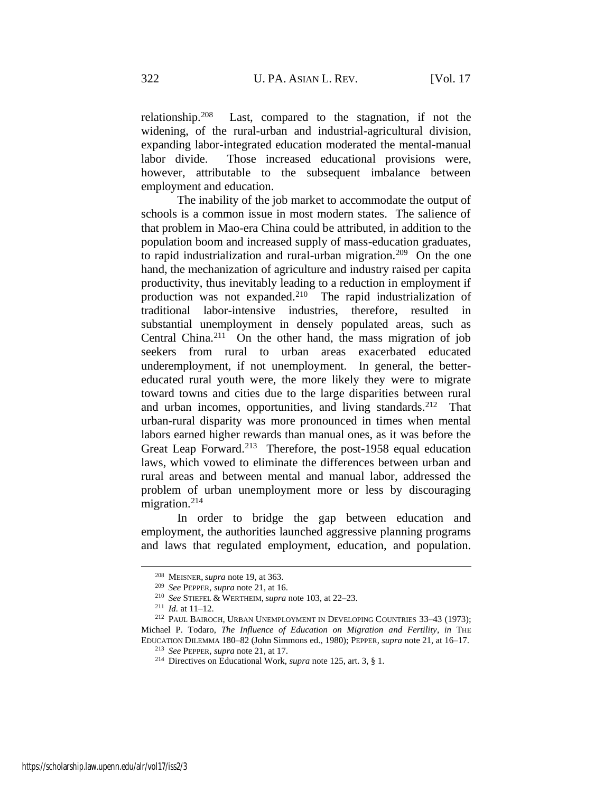relationship.<sup>208</sup> Last, compared to the stagnation, if not the widening, of the rural-urban and industrial-agricultural division, expanding labor-integrated education moderated the mental-manual labor divide. Those increased educational provisions were, however, attributable to the subsequent imbalance between employment and education.

The inability of the job market to accommodate the output of schools is a common issue in most modern states. The salience of that problem in Mao-era China could be attributed, in addition to the population boom and increased supply of mass-education graduates, to rapid industrialization and rural-urban migration.<sup>209</sup> On the one hand, the mechanization of agriculture and industry raised per capita productivity, thus inevitably leading to a reduction in employment if production was not expanded.<sup>210</sup> The rapid industrialization of traditional labor-intensive industries, therefore, resulted in substantial unemployment in densely populated areas, such as Central China.<sup>211</sup> On the other hand, the mass migration of job seekers from rural to urban areas exacerbated educated underemployment, if not unemployment. In general, the bettereducated rural youth were, the more likely they were to migrate toward towns and cities due to the large disparities between rural and urban incomes, opportunities, and living standards.<sup>212</sup> That urban-rural disparity was more pronounced in times when mental labors earned higher rewards than manual ones, as it was before the Great Leap Forward.<sup>213</sup> Therefore, the post-1958 equal education laws, which vowed to eliminate the differences between urban and rural areas and between mental and manual labor, addressed the problem of urban unemployment more or less by discouraging migration.<sup>214</sup>

In order to bridge the gap between education and employment, the authorities launched aggressive planning programs and laws that regulated employment, education, and population.

<sup>208</sup> MEISNER,*supra* not[e 19,](#page-5-1) at 363.

<sup>209</sup> *See* PEPPER, *supra* not[e 21,](#page-6-0) at 16.

<sup>210</sup> *See* STIEFEL & WERTHEIM,*supra* note [103,](#page-21-1) at 22–23.

<sup>211</sup> *Id.* at 11–12.

<sup>212</sup> PAUL BAIROCH, URBAN UNEMPLOYMENT IN DEVELOPING COUNTRIES 33–43 (1973); Michael P. Todaro, *The Influence of Education on Migration and Fertility*, *in* THE EDUCATION DILEMMA 180–82 (John Simmons ed., 1980); PEPPER, *supra* note [21,](#page-6-0) at 16–17.

<sup>213</sup> *See* PEPPER, *supra* not[e 21,](#page-6-0) at 17.

<sup>214</sup> Directives on Educational Work, *supra* not[e 125,](#page-24-0) art. 3, § 1.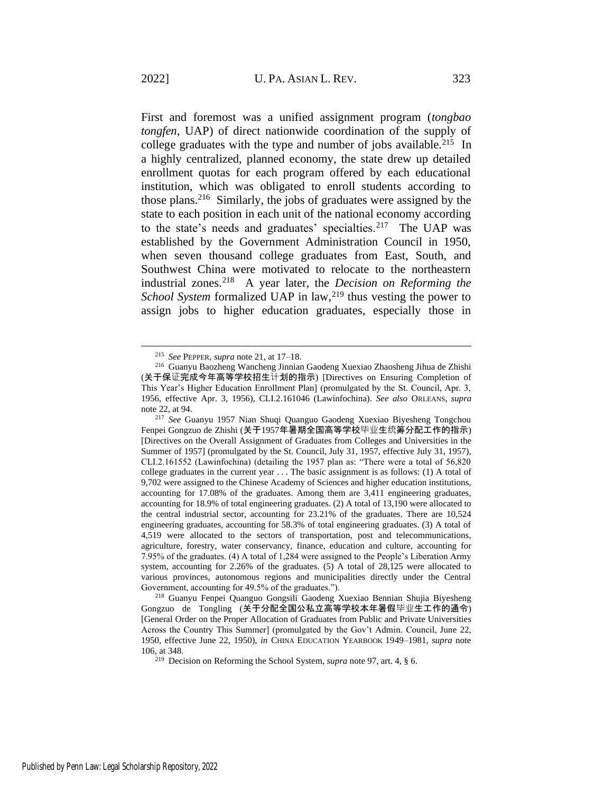First and foremost was a unified assignment program (*tongbao tongfen*, UAP) of direct nationwide coordination of the supply of college graduates with the type and number of jobs available.<sup>215</sup> In a highly centralized, planned economy, the state drew up detailed enrollment quotas for each program offered by each educational institution, which was obligated to enroll students according to those plans.<sup>216</sup> Similarly, the jobs of graduates were assigned by the state to each position in each unit of the national economy according to the state's needs and graduates' specialties.<sup>217</sup> The UAP was established by the Government Administration Council in 1950, when seven thousand college graduates from East, South, and Southwest China were motivated to relocate to the northeastern industrial zones.<sup>218</sup> A year later, the *Decision on Reforming the School System* formalized UAP in law,<sup>219</sup> thus vesting the power to assign jobs to higher education graduates, especially those in

<sup>218</sup> Guanyu Fenpei Quanguo Gongsili Gaodeng Xuexiao Bennian Shujia Biyesheng Gongzuo de Tongling (关于分配全国公私立高等学校本年暑假毕业生工作的通令) [General Order on the Proper Allocation of Graduates from Public and Private Universities Across the Country This Summer] (promulgated by the Gov't Admin. Council, June 22, 1950, effective June 22, 1950), *in* CHINA EDUCATION YEARBOOK 1949–1981, *supra* note [106,](#page-21-0) at 348.

<sup>215</sup> *See* PEPPER, *supra* not[e 21,](#page-6-0) at 17–18.

<sup>216</sup> Guanyu Baozheng Wancheng Jinnian Gaodeng Xuexiao Zhaosheng Jihua de Zhishi (关于保证完成今年高等学校招生计划的指示) [Directives on Ensuring Completion of This Year's Higher Education Enrollment Plan] (promulgated by the St. Council, Apr. 3, 1956, effective Apr. 3, 1956), CLI.2.161046 (Lawinfochina). *See also* ORLEANS, *supra* note [22,](#page-7-0) at 94.

<sup>217</sup> *See* Guanyu 1957 Nian Shuqi Quanguo Gaodeng Xuexiao Biyesheng Tongchou Fenpei Gongzuo de Zhishi (关于1957年暑期全国高等学校毕业生统筹分配工作的指示) [Directives on the Overall Assignment of Graduates from Colleges and Universities in the Summer of 1957] (promulgated by the St. Council, July 31, 1957, effective July 31, 1957), CLI.2.161552 (Lawinfochina) (detailing the 1957 plan as: "There were a total of 56,820 college graduates in the current year . . . The basic assignment is as follows: (1) A total of 9,702 were assigned to the Chinese Academy of Sciences and higher education institutions, accounting for 17.08% of the graduates. Among them are 3,411 engineering graduates, accounting for 18.9% of total engineering graduates. (2) A total of 13,190 were allocated to the central industrial sector, accounting for 23.21% of the graduates. There are 10,524 engineering graduates, accounting for 58.3% of total engineering graduates. (3) A total of 4,519 were allocated to the sectors of transportation, post and telecommunications, agriculture, forestry, water conservancy, finance, education and culture, accounting for 7.95% of the graduates. (4) A total of 1,284 were assigned to the People's Liberation Army system, accounting for 2.26% of the graduates. (5) A total of 28,125 were allocated to various provinces, autonomous regions and municipalities directly under the Central Government, accounting for 49.5% of the graduates.").

<sup>219</sup> Decision on Reforming the School System, *supra* note [97,](#page-20-1) art. 4, § 6.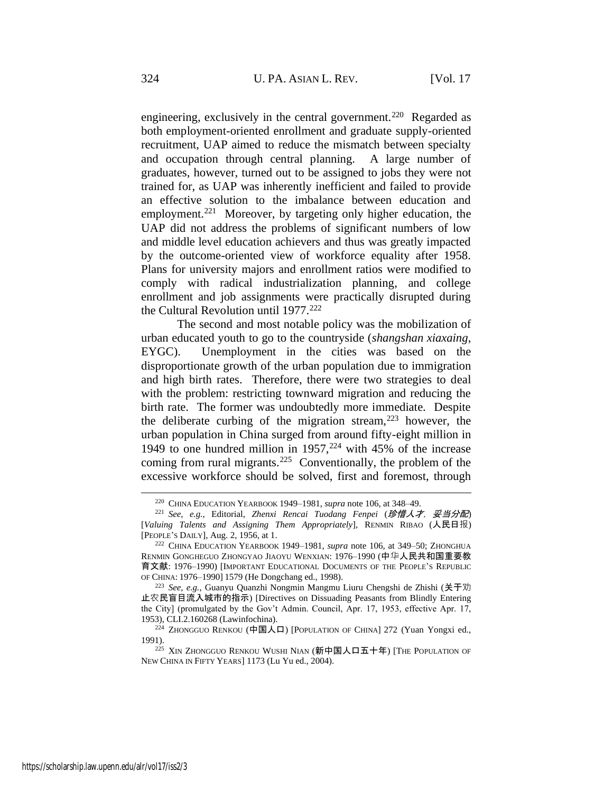engineering, exclusively in the central government.<sup>220</sup> Regarded as both employment-oriented enrollment and graduate supply-oriented recruitment, UAP aimed to reduce the mismatch between specialty and occupation through central planning. A large number of graduates, however, turned out to be assigned to jobs they were not trained for, as UAP was inherently inefficient and failed to provide an effective solution to the imbalance between education and employment.<sup>221</sup> Moreover, by targeting only higher education, the UAP did not address the problems of significant numbers of low and middle level education achievers and thus was greatly impacted by the outcome-oriented view of workforce equality after 1958. Plans for university majors and enrollment ratios were modified to comply with radical industrialization planning, and college enrollment and job assignments were practically disrupted during the Cultural Revolution until 1977.<sup>222</sup>

The second and most notable policy was the mobilization of urban educated youth to go to the countryside (*shangshan xiaxaing*, EYGC). Unemployment in the cities was based on the disproportionate growth of the urban population due to immigration and high birth rates. Therefore, there were two strategies to deal with the problem: restricting townward migration and reducing the birth rate. The former was undoubtedly more immediate. Despite the deliberate curbing of the migration stream, $223$  however, the urban population in China surged from around fifty-eight million in 1949 to one hundred million in 1957,  $224$  with 45% of the increase coming from rural migrants.<sup>225</sup> Conventionally, the problem of the excessive workforce should be solved, first and foremost, through

<sup>220</sup> CHINA EDUCATION YEARBOOK 1949–1981, *supra* note [106,](#page-21-0) at 348–49.

<sup>&</sup>lt;sup>221</sup> See, e.g., Editorial, Zhenxi Rencai Tuodang Fenpei (珍惜人才, 妥当分配) [*Valuing Talents and Assigning Them Appropriately*], RENMIN RIBAO (人民日报) [PEOPLE'S DAILY], Aug. 2, 1956, at 1.

<sup>222</sup> CHINA EDUCATION YEARBOOK 1949–1981, *supra* note [106,](#page-21-0) at 349–50; ZHONGHUA RENMIN GONGHEGUO ZHONGYAO JIAOYU WENXIAN: 1976–1990 (中华人民共和国重要教 育文献: 1976–1990) [IMPORTANT EDUCATIONAL DOCUMENTS OF THE PEOPLE'S REPUBLIC OF CHINA: 1976–1990] 1579 (He Dongchang ed., 1998).

<sup>223</sup> *See, e.g.*, Guanyu Quanzhi Nongmin Mangmu Liuru Chengshi de Zhishi (关于劝 止农民盲目流入城市的指示) [Directives on Dissuading Peasants from Blindly Entering the City] (promulgated by the Gov't Admin. Council, Apr. 17, 1953, effective Apr. 17, 1953), CLI.2.160268 (Lawinfochina).

<sup>224</sup> ZHONGGUO RENKOU (中国人口) [POPULATION OF CHINA] 272 (Yuan Yongxi ed., 1991).

<sup>225</sup> XIN ZHONGGUO RENKOU WUSHI NIAN (新中国人口五十年) [THE POPULATION OF NEW CHINA IN FIFTY YEARS] 1173 (Lu Yu ed., 2004).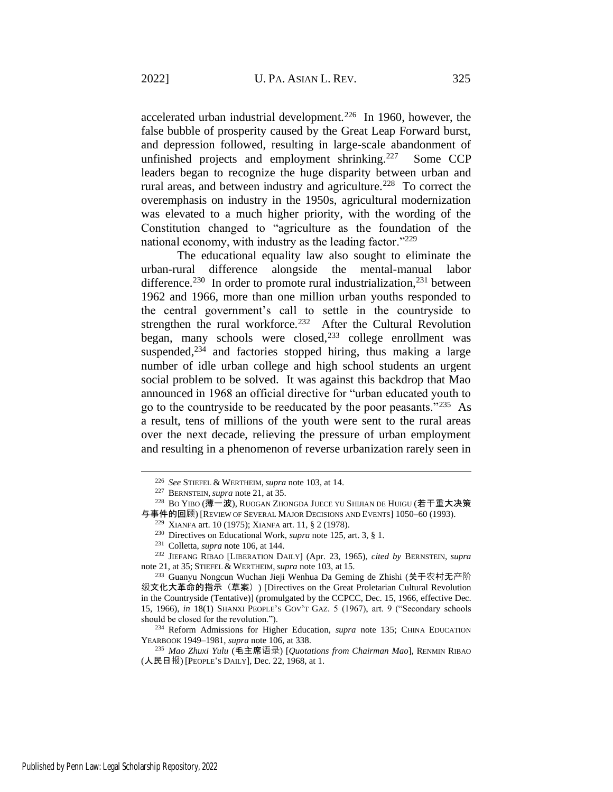accelerated urban industrial development.<sup>226</sup> In 1960, however, the false bubble of prosperity caused by the Great Leap Forward burst, and depression followed, resulting in large-scale abandonment of unfinished projects and employment shrinking.<sup>227</sup> Some CCP leaders began to recognize the huge disparity between urban and rural areas, and between industry and agriculture.<sup>228</sup> To correct the overemphasis on industry in the 1950s, agricultural modernization was elevated to a much higher priority, with the wording of the Constitution changed to "agriculture as the foundation of the national economy, with industry as the leading factor."<sup>229</sup>

The educational equality law also sought to eliminate the urban-rural difference alongside the mental-manual labor difference.<sup>230</sup> In order to promote rural industrialization,<sup>231</sup> between 1962 and 1966, more than one million urban youths responded to the central government's call to settle in the countryside to strengthen the rural workforce.<sup>232</sup> After the Cultural Revolution began, many schools were closed, $233$  college enrollment was suspended, $234$  and factories stopped hiring, thus making a large number of idle urban college and high school students an urgent social problem to be solved. It was against this backdrop that Mao announced in 1968 an official directive for "urban educated youth to go to the countryside to be reeducated by the poor peasants."235 As a result, tens of millions of the youth were sent to the rural areas over the next decade, relieving the pressure of urban employment and resulting in a phenomenon of reverse urbanization rarely seen in

<sup>232</sup> JIEFANG RIBAO [LIBERATION DAILY] (Apr. 23, 1965), *cited by* BERNSTEIN, *supra* note [21,](#page-6-0) at 35; STIEFEL & WERTHEIM,*supra* note [103,](#page-21-1) at 15.

<sup>233</sup> Guanyu Nongcun Wuchan Jieji Wenhua Da Geming de Zhishi (关于农村无产阶 级文化大革命的指示(草案)) [Directives on the Great Proletarian Cultural Revolution in the Countryside (Tentative)] (promulgated by the CCPCC, Dec. 15, 1966, effective Dec. 15, 1966), *in* 18(1) SHANXI PEOPLE'S GOV'T GAZ. 5 (1967), art. 9 ("Secondary schools should be closed for the revolution.").

<sup>234</sup> Reform Admissions for Higher Education, *supra* note [135;](#page-26-0) CHINA EDUCATION YEARBOOK 1949–1981, *supra* not[e 106,](#page-21-0) at 338.

<sup>235</sup> *Mao Zhuxi Yulu* (毛主席语录) [*Quotations from Chairman Mao*], RENMIN RIBAO (人民日报) [PEOPLE'S DAILY], Dec. 22, 1968, at 1.

<sup>226</sup> *See* STIEFEL & WERTHEIM,*supra* note [103,](#page-21-1) at 14.

<sup>227</sup> BERNSTEIN, *supra* note [21,](#page-6-0) at 35.

<sup>&</sup>lt;sup>228</sup> BO YIBO (薄一波), RUOGAN ZHONGDA JUECE YU SHIJIAN DE HUIGU (若干重大决策

与事件的回顾) [REVIEW OF SEVERAL MAJOR DECISIONS AND EVENTS] 1050–60 (1993).

<sup>229</sup> XIANFA art. 10 (1975); XIANFA art. 11, § 2 (1978).

<sup>230</sup> Directives on Educational Work, *supra* not[e 125,](#page-24-0) art. 3, § 1.

<sup>231</sup> Colletta, *supra* note [106,](#page-21-0) at 144.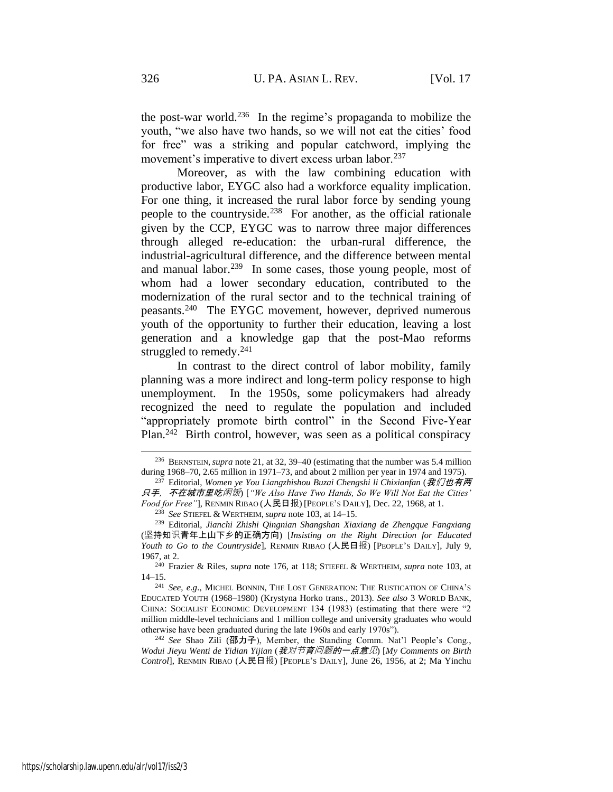the post-war world.<sup>236</sup> In the regime's propaganda to mobilize the youth, "we also have two hands, so we will not eat the cities' food for free" was a striking and popular catchword, implying the movement's imperative to divert excess urban labor.<sup>237</sup>

Moreover, as with the law combining education with productive labor, EYGC also had a workforce equality implication. For one thing, it increased the rural labor force by sending young people to the countryside.<sup>238</sup> For another, as the official rationale given by the CCP, EYGC was to narrow three major differences through alleged re-education: the urban-rural difference, the industrial-agricultural difference, and the difference between mental and manual labor.<sup>239</sup> In some cases, those young people, most of whom had a lower secondary education, contributed to the modernization of the rural sector and to the technical training of peasants.<sup>240</sup> The EYGC movement, however, deprived numerous youth of the opportunity to further their education, leaving a lost generation and a knowledge gap that the post-Mao reforms struggled to remedy. $241$ 

In contrast to the direct control of labor mobility, family planning was a more indirect and long-term policy response to high unemployment. In the 1950s, some policymakers had already recognized the need to regulate the population and included "appropriately promote birth control" in the Second Five-Year Plan.<sup>242</sup> Birth control, however, was seen as a political conspiracy

<sup>242</sup> *See* Shao Zili (邵力子), Member, the Standing Comm. Nat'l People's Cong., *Wodui Jieyu Wenti de Yidian Yijian* (我对节育问题的一点意见) [*My Comments on Birth Control*], RENMIN RIBAO (人民日报) [PEOPLE'S DAILY], June 26, 1956, at 2; Ma Yinchu

<sup>236</sup> BERNSTEIN, *supra* note [21,](#page-6-0) at 32, 39–40 (estimating that the number was 5.4 million during 1968–70, 2.65 million in 1971–73, and about 2 million per year in 1974 and 1975).

<sup>&</sup>lt;sup>237</sup> Editorial, *Women ye You Liangzhishou Buzai Chengshi li Chixianfan* (我们也有两 只手, 不在城市里吃闲饭) ["We Also Have Two Hands, So We Will Not Eat the Cities' *Food for Free"*], RENMIN RIBAO (人民日报) [PEOPLE'S DAILY], Dec. 22, 1968, at 1.

<sup>238</sup> *See* STIEFEL & WERTHEIM,*supra* note [103,](#page-21-1) at 14–15.

<sup>239</sup> Editorial, *Jianchi Zhishi Qingnian Shangshan Xiaxiang de Zhengque Fangxiang*  (坚持知识青年上山下乡的正确方向) [*Insisting on the Right Direction for Educated Youth to Go to the Countryside*], RENMIN RIBAO (人民日报) [PEOPLE'S DAILY], July 9, 1967, at 2.

<sup>240</sup> Frazier & Riles, *supra* note [176,](#page-33-1) at 118; STIEFEL & WERTHEIM, *supra* note [103,](#page-21-1) at 14–15.

<sup>241</sup> *See*, *e*.*g*., MICHEL BONNIN, THE LOST GENERATION: THE RUSTICATION OF CHINA'S EDUCATED YOUTH (1968–1980) (Krystyna Horko trans., 2013). *See also* 3 WORLD BANK, CHINA: SOCIALIST ECONOMIC DEVELOPMENT 134 (1983) (estimating that there were "2 million middle-level technicians and 1 million college and university graduates who would otherwise have been graduated during the late 1960s and early 1970s").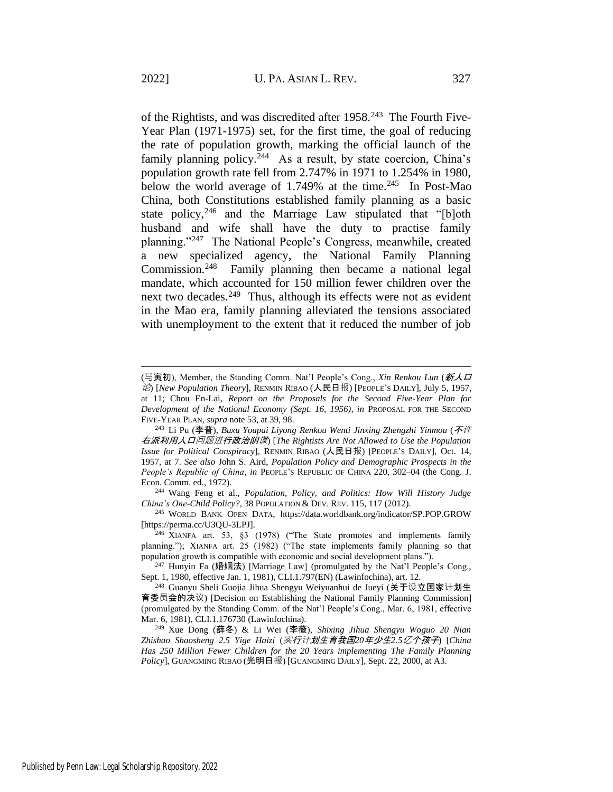of the Rightists, and was discredited after 1958.<sup>243</sup> The Fourth Five-Year Plan (1971-1975) set, for the first time, the goal of reducing the rate of population growth, marking the official launch of the family planning policy.<sup>244</sup> As a result, by state coercion, China's population growth rate fell from 2.747% in 1971 to 1.254% in 1980, below the world average of  $1.749\%$  at the time.<sup>245</sup> In Post-Mao China, both Constitutions established family planning as a basic state policy,<sup>246</sup> and the Marriage Law stipulated that "[b]oth husband and wife shall have the duty to practise family planning."<sup>247</sup> The National People's Congress, meanwhile, created a new specialized agency, the National Family Planning Commission.<sup>248</sup> Family planning then became a national legal mandate, which accounted for 150 million fewer children over the next two decades.<sup>249</sup> Thus, although its effects were not as evident in the Mao era, family planning alleviated the tensions associated with unemployment to the extent that it reduced the number of job

<sup>(</sup>马寅初), Member, the Standing Comm. Nat'l People's Cong., *Xin Renkou Lun* (新人口 论) [*New Population Theory*], RENMIN RIBAO (人民日报) [PEOPLE'S DAILY], July 5, 1957, at 11; Chou En-Lai, *Report on the Proposals for the Second Five-Year Plan for Development of the National Economy (Sept. 16, 1956)*, *in* PROPOSAL FOR THE SECOND FIVE-YEAR PLAN, *supra* note [53,](#page-13-2) at 39, 98.

<sup>&</sup>lt;sup>243</sup> Li Pu (李普), *Buxu Youpai Liyong Renkou Wenti Jinxing Zhengzhi Yinmou* (*不许* 右派利用人口问题进行政治阴谋) [*The Rightists Are Not Allowed to Use the Population Issue for Political Conspiracy*], RENMIN RIBAO (人民日报) [PEOPLE'S DAILY], Oct. 14, 1957, at 7. *See also* John S. Aird, *Population Policy and Demographic Prospects in the People's Republic of China*, *in* PEOPLE'S REPUBLIC OF CHINA 220, 302–04 (the Cong. J. Econ. Comm. ed., 1972).

<sup>244</sup> Wang Feng et al., *Population, Policy, and Politics: How Will History Judge China's One-Child Policy?*, 38 POPULATION & DEV. REV. 115, 117 (2012).

<sup>245</sup> WORLD BANK OPEN DATA, https://data.worldbank.org/indicator/SP.POP.GROW [https://perma.cc/U3QU-3LPJ].

<sup>&</sup>lt;sup>246</sup> XIANFA art. 53, §3 (1978) ("The State promotes and implements family planning."); XIANFA art. 25 (1982) ("The state implements family planning so that population growth is compatible with economic and social development plans.").

<sup>&</sup>lt;sup>247</sup> Hunyin Fa (婚姻法) [Marriage Law] (promulgated by the Nat'l People's Cong., Sept. 1, 1980, effective Jan. 1, 1981), CLI.1.797(EN) (Lawinfochina), art. 12.

<sup>248</sup> Guanyu Sheli Guojia Jihua Shengyu Weiyuanhui de Jueyi (关于设立国家计划生 育委员会的决议) [Decision on Establishing the National Family Planning Commission] (promulgated by the Standing Comm. of the Nat'l People's Cong., Mar. 6, 1981, effective Mar. 6, 1981), CLI.1.176730 (Lawinfochina).

<sup>249</sup> Xue Dong (薛冬) & Li Wei (李薇), *Shixing Jihua Shengyu Woguo 20 Nian Zhishao Shaosheng 2.5 Yige Haizi* (实行计划生育我国*20*年少生*2.5*亿个孩子) [*China Has 250 Million Fewer Children for the 20 Years implementing The Family Planning Policy*], GUANGMING RIBAO (光明日报) [GUANGMING DAILY], Sept. 22, 2000, at A3.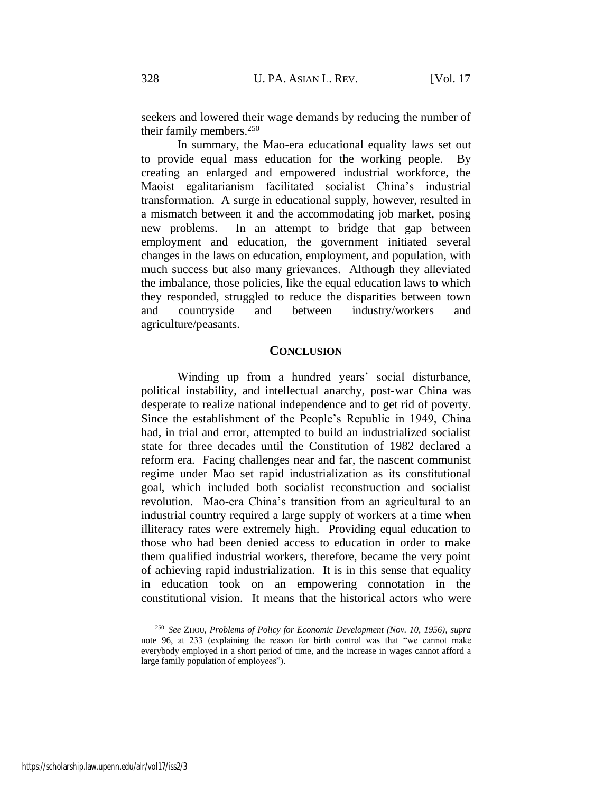seekers and lowered their wage demands by reducing the number of their family members.<sup>250</sup>

In summary, the Mao-era educational equality laws set out to provide equal mass education for the working people. By creating an enlarged and empowered industrial workforce, the Maoist egalitarianism facilitated socialist China's industrial transformation. A surge in educational supply, however, resulted in a mismatch between it and the accommodating job market, posing new problems. In an attempt to bridge that gap between employment and education, the government initiated several changes in the laws on education, employment, and population, with much success but also many grievances. Although they alleviated the imbalance, those policies, like the equal education laws to which they responded, struggled to reduce the disparities between town and countryside and between industry/workers and agriculture/peasants.

#### **CONCLUSION**

Winding up from a hundred years' social disturbance, political instability, and intellectual anarchy, post-war China was desperate to realize national independence and to get rid of poverty. Since the establishment of the People's Republic in 1949, China had, in trial and error, attempted to build an industrialized socialist state for three decades until the Constitution of 1982 declared a reform era. Facing challenges near and far, the nascent communist regime under Mao set rapid industrialization as its constitutional goal, which included both socialist reconstruction and socialist revolution. Mao-era China's transition from an agricultural to an industrial country required a large supply of workers at a time when illiteracy rates were extremely high. Providing equal education to those who had been denied access to education in order to make them qualified industrial workers, therefore, became the very point of achieving rapid industrialization. It is in this sense that equality in education took on an empowering connotation in the constitutional vision. It means that the historical actors who were

<span id="page-45-0"></span><sup>250</sup> *See* ZHOU, *Problems of Policy for Economic Development (Nov. 10, 1956)*, *supra* note [96,](#page-20-0) at 233 (explaining the reason for birth control was that "we cannot make everybody employed in a short period of time, and the increase in wages cannot afford a large family population of employees").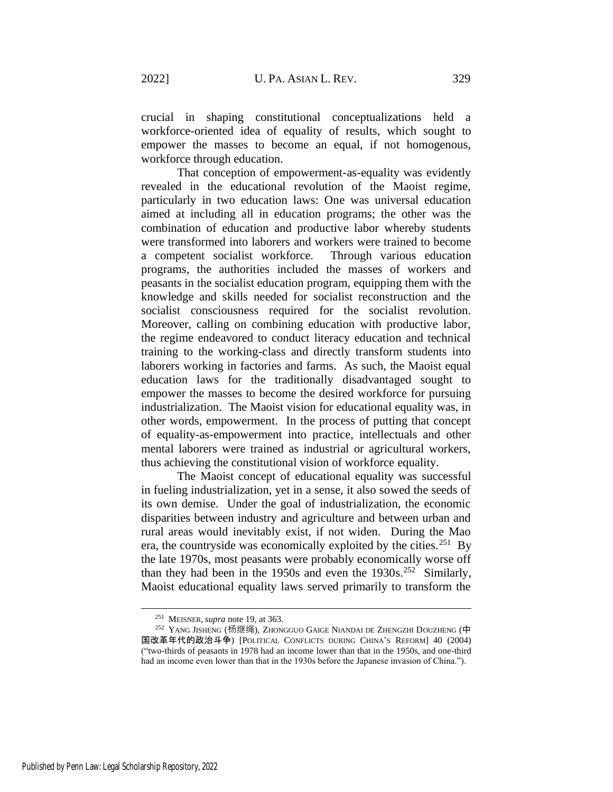crucial in shaping constitutional conceptualizations held a workforce-oriented idea of equality of results, which sought to empower the masses to become an equal, if not homogenous, workforce through education.

That conception of empowerment-as-equality was evidently revealed in the educational revolution of the Maoist regime, particularly in two education laws: One was universal education aimed at including all in education programs; the other was the combination of education and productive labor whereby students were transformed into laborers and workers were trained to become a competent socialist workforce. Through various education programs, the authorities included the masses of workers and peasants in the socialist education program, equipping them with the knowledge and skills needed for socialist reconstruction and the socialist consciousness required for the socialist revolution. Moreover, calling on combining education with productive labor, the regime endeavored to conduct literacy education and technical training to the working-class and directly transform students into laborers working in factories and farms. As such, the Maoist equal education laws for the traditionally disadvantaged sought to empower the masses to become the desired workforce for pursuing industrialization. The Maoist vision for educational equality was, in other words, empowerment. In the process of putting that concept of equality-as-empowerment into practice, intellectuals and other mental laborers were trained as industrial or agricultural workers, thus achieving the constitutional vision of workforce equality.

The Maoist concept of educational equality was successful in fueling industrialization, yet in a sense, it also sowed the seeds of its own demise. Under the goal of industrialization, the economic disparities between industry and agriculture and between urban and rural areas would inevitably exist, if not widen. During the Mao era, the countryside was economically exploited by the cities.<sup>251</sup> By the late 1970s, most peasants were probably economically worse off than they had been in the 1950s and even the  $1930s$ .<sup>252</sup> Similarly, Maoist educational equality laws served primarily to transform the

<sup>251</sup> MEISNER,*supra* not[e 19,](#page-5-1) at 363.

<sup>252</sup> YANG JISHENG (杨继绳), ZHONGGUO GAIGE NIANDAI DE ZHENGZHI DOUZHENG (中 国改革年代的政治斗争) [POLITICAL CONFLICTS DURING CHINA'S REFORM] 40 (2004) ("two-thirds of peasants in 1978 had an income lower than that in the 1950s, and one-third had an income even lower than that in the 1930s before the Japanese invasion of China.").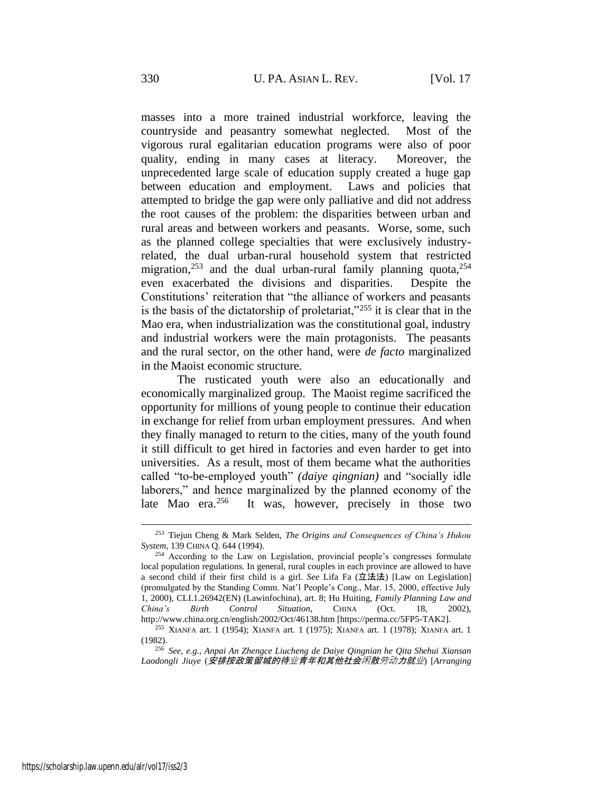masses into a more trained industrial workforce, leaving the countryside and peasantry somewhat neglected. Most of the vigorous rural egalitarian education programs were also of poor quality, ending in many cases at literacy. Moreover, the unprecedented large scale of education supply created a huge gap between education and employment. Laws and policies that attempted to bridge the gap were only palliative and did not address the root causes of the problem: the disparities between urban and rural areas and between workers and peasants. Worse, some, such as the planned college specialties that were exclusively industryrelated, the dual urban-rural household system that restricted migration,<sup>253</sup> and the dual urban-rural family planning quota,<sup>254</sup> even exacerbated the divisions and disparities. Despite the Constitutions' reiteration that "the alliance of workers and peasants is the basis of the dictatorship of proletariat,"<sup>255</sup> it is clear that in the Mao era, when industrialization was the constitutional goal, industry and industrial workers were the main protagonists. The peasants and the rural sector, on the other hand, were *de facto* marginalized in the Maoist economic structure.

The rusticated youth were also an educationally and economically marginalized group. The Maoist regime sacrificed the opportunity for millions of young people to continue their education in exchange for relief from urban employment pressures. And when they finally managed to return to the cities, many of the youth found it still difficult to get hired in factories and even harder to get into universities. As a result, most of them became what the authorities called "to-be-employed youth" *(daiye qingnian)* and "socially idle laborers," and hence marginalized by the planned economy of the late Mao era. $256$ It was, however, precisely in those two

<sup>253</sup> Tiejun Cheng & Mark Selden, *The Origins and Consequences of China's Hukou System*, 139 CHINA Q. 644 (1994).

<sup>254</sup> According to the Law on Legislation, provincial people's congresses formulate local population regulations. In general, rural couples in each province are allowed to have a second child if their first child is a girl. *See* Lifa Fa (立法法) [Law on Legislation] (promulgated by the Standing Comm. Nat'l People's Cong., Mar. 15, 2000, effective July 1, 2000), CLI.1.26942(EN) (Lawinfochina), art. 8; Hu Huiting, *Family Planning Law and China's Birth Control Situation*, CHINA (Oct. 18, 2002), http://www.china.org.cn/english/2002/Oct/46138.htm [https://perma.cc/5FP5-TAK2].

<sup>255</sup> XIANFA art. 1 (1954); XIANFA art. 1 (1975); XIANFA art. 1 (1978); XIANFA art. 1 (1982).

<sup>256</sup> *See*, *e.g.*, *Anpai An Zhengce Liucheng de Daiye Qingnian he Qita Shehui Xiansan Laodongli Jiuye* (安排按政策留城的待业青年和其他社会闲散劳动力就业) [*Arranging*